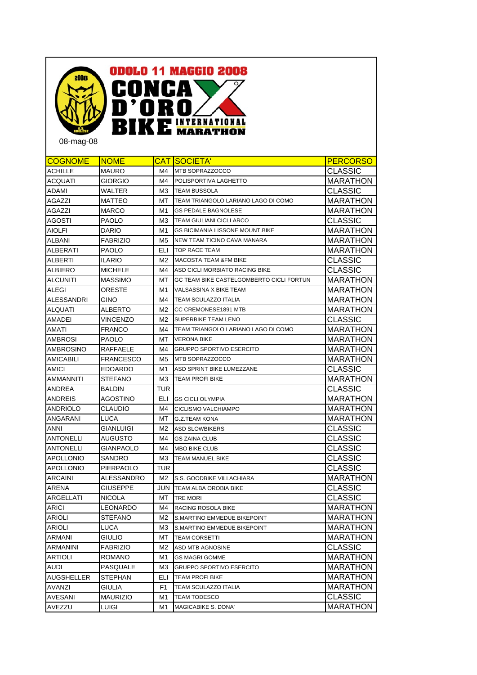

08-mag-08

| <b>CLASSIC</b><br>ACHILLE<br>MAURO<br>M4<br>MTB SOPRAZZOCCO<br><b>MARATHON</b><br>ACQUATI<br><b>GIORGIO</b><br>M4<br>POLISPORTIVA LAGHETTO<br><b>CLASSIC</b><br>ADAMI<br>WALTER<br>ΜЗ<br><b>TEAM BUSSOLA</b><br>MARATHON<br><b>AGAZZI</b><br><b>MATTEO</b><br>TEAM TRIANGOLO LARIANO LAGO DI COMO<br>МT<br><b>MARATHON</b><br>AGAZZI<br><b>GS PEDALE BAGNOLESE</b><br>MARCO<br>M1<br>CLASSIC<br>AGOSTI<br><b>PAOLO</b><br>TEAM GIULIANI CICLI ARCO<br>MЗ<br><b>MARATHON</b><br>AIOLFI<br><b>DARIO</b><br>M1<br>GS BICIMANIA LISSONE MOUNT.BIKE<br><b>MARATHON</b><br>ALBANI<br><b>FABRIZIO</b><br>M5<br>NEW TEAM TICINO CAVA MANARA<br><b>MARATHON</b><br>ELI<br>ALBERATI<br>PAOLO<br>TOP RACE TEAM<br><b>CLASSIC</b><br>ALBERTI<br><b>ILARIO</b><br>M2<br><b>MACOSTA TEAM &amp;FM BIKE</b><br><b>CLASSIC</b><br>ALBIERO<br><b>MICHELE</b><br>M4<br>ASD CICLI MORBIATO RACING BIKE<br><b>MARATHON</b><br>ALCUNITI<br><b>MASSIMO</b><br>МT<br>GC TEAM BIKE CASTELGOMBERTO CICLI FORTUN<br><b>MARATHON</b><br>ALEGI<br>ORESTE<br>M1<br>VALSASSINA X BIKE TEAM<br>ALESSANDRI<br><b>MARATHON</b><br>GINO<br>TEAM SCULAZZO ITALIA<br>M4<br>ALBERTO<br>ALQUATI<br>M2<br>CC CREMONESE1891 MTB<br><b>MARATHON</b><br>CLASSIC<br>AMADEI<br>VINCENZO<br>SUPERBIKE TEAM LENO<br>M2<br>MARATHON<br>AMATI<br>FRANCO<br>TEAM TRIANGOLO LARIANO LAGO DI COMO<br>M4<br>AMBROSI<br><b>MARATHON</b><br><b>PAOLO</b><br>МT<br><b>VERONA BIKE</b><br>AMBROSINO<br>RAFFAELE<br><b>GRUPPO SPORTIVO ESERCITO</b><br>MARATHON<br>M4<br>AMICABILI<br><b>FRANCESCO</b><br>MTB SOPRAZZOCCO<br><b>MARATHON</b><br>M5<br><b>CLASSIC</b><br>AMICI<br><b>EDOARDO</b><br>ASD SPRINT BIKE LUMEZZANE<br>M1<br><b>MARATHON</b><br>AMMANNITI<br><b>STEFANO</b><br><b>TEAM PROFI BIKE</b><br>ΜЗ<br><b>CLASSIC</b><br><b>TUR</b><br>ANDREA<br>BALDIN<br><b>MARATHON</b><br>ANDREIS<br>AGOSTINO<br>ELI<br><b>GS CICLI OLYMPIA</b><br><b>MARATHON</b><br>ANDRIOLO<br>CLAUDIO<br>M4<br>CICLISMO VALCHIAMPO<br><b>MARATHON</b><br>ANGARANI<br>LUCA<br>МT<br><b>G.Z.TEAM KONA</b><br><b>CLASSIC</b><br>ANNI<br>GIANLUIGI<br>M2<br><b>ASD SLOWBIKERS</b><br>CLASSIC<br><b>ANTONELLI</b><br>AUGUSTO<br>M4<br><b>GS ZAINA CLUB</b><br><b>CLASSIC</b><br>ANTONELLI<br><b>GIANPAOLO</b><br>MBO BIKE CLUB<br>M4<br>CLASSIC<br>APOLLONIO<br>SANDRO<br>ΜЗ<br>TEAM MANUEL BIKE<br><b>CLASSIC</b><br>APOLLONIO<br>TUR<br>PIERPAOLO<br><b>MARATHON</b><br>ARCAINI<br>ALESSANDRO<br>M2<br>S.S. GOODBIKE VILLACHIARA<br>CLASSIC<br>ARENA<br><b>GIUSEPPE</b><br>JUN I<br>TEAM ALBA OROBIA BIKE<br>CLASSIC<br>ARGELLATI<br>NICOLA<br>МT<br>TRE MORI<br><b>MARATHON</b><br>ARICI<br><b>LEONARDO</b><br>M4<br>RACING ROSOLA BIKE<br><b>MARATHON</b><br><b>ARIOLI</b><br><b>STEFANO</b><br>M2<br>S.MARTINO EMMEDUE BIKEPOINT<br><b>MARATHON</b><br><b>ARIOLI</b><br><b>LUCA</b><br>MЗ<br>S.MARTINO EMMEDUE BIKEPOINT<br><b>MARATHON</b><br>ARMANI<br><b>GIULIO</b><br>МT<br><b>TEAM CORSETTI</b><br><b>CLASSIC</b><br>ARMANINI<br><b>FABRIZIO</b><br>M2<br>ASD MTB AGNOSINE<br><b>MARATHON</b><br>ARTIOLI<br>ROMANO<br>M1<br><b>GS MAGRI GOMME</b><br>PASQUALE<br><b>MARATHON</b><br>AUDI<br>MЗ<br><b>GRUPPO SPORTIVO ESERCITO</b><br><b>MARATHON</b><br>AUGSHELLER<br><b>STEPHAN</b><br>ELI<br><b>TEAM PROFI BIKE</b><br><b>MARATHON</b><br><b>AVANZI</b><br>F1<br>GIULIA<br>TEAM SCULAZZO ITALIA<br><b>CLASSIC</b><br><b>AVESANI</b><br><b>MAURIZIO</b><br>M1<br><b>TEAM TODESCO</b> | <b>COGNOME</b> | <b>NOME</b>  |    | <b>CAT SOCIETA'</b> | <b>PERCORSO</b> |
|---------------------------------------------------------------------------------------------------------------------------------------------------------------------------------------------------------------------------------------------------------------------------------------------------------------------------------------------------------------------------------------------------------------------------------------------------------------------------------------------------------------------------------------------------------------------------------------------------------------------------------------------------------------------------------------------------------------------------------------------------------------------------------------------------------------------------------------------------------------------------------------------------------------------------------------------------------------------------------------------------------------------------------------------------------------------------------------------------------------------------------------------------------------------------------------------------------------------------------------------------------------------------------------------------------------------------------------------------------------------------------------------------------------------------------------------------------------------------------------------------------------------------------------------------------------------------------------------------------------------------------------------------------------------------------------------------------------------------------------------------------------------------------------------------------------------------------------------------------------------------------------------------------------------------------------------------------------------------------------------------------------------------------------------------------------------------------------------------------------------------------------------------------------------------------------------------------------------------------------------------------------------------------------------------------------------------------------------------------------------------------------------------------------------------------------------------------------------------------------------------------------------------------------------------------------------------------------------------------------------------------------------------------------------------------------------------------------------------------------------------------------------------------------------------------------------------------------------------------------------------------------------------------------------------------------------------------------------------------------------------------------------------------------------------------------------------------------------------------------------------------------------------------------------------------------------------------------------------------------------------------------------------------------------------------------------------------------------------------------------------------------------------------------------------|----------------|--------------|----|---------------------|-----------------|
|                                                                                                                                                                                                                                                                                                                                                                                                                                                                                                                                                                                                                                                                                                                                                                                                                                                                                                                                                                                                                                                                                                                                                                                                                                                                                                                                                                                                                                                                                                                                                                                                                                                                                                                                                                                                                                                                                                                                                                                                                                                                                                                                                                                                                                                                                                                                                                                                                                                                                                                                                                                                                                                                                                                                                                                                                                                                                                                                                                                                                                                                                                                                                                                                                                                                                                                                                                                                                           |                |              |    |                     |                 |
|                                                                                                                                                                                                                                                                                                                                                                                                                                                                                                                                                                                                                                                                                                                                                                                                                                                                                                                                                                                                                                                                                                                                                                                                                                                                                                                                                                                                                                                                                                                                                                                                                                                                                                                                                                                                                                                                                                                                                                                                                                                                                                                                                                                                                                                                                                                                                                                                                                                                                                                                                                                                                                                                                                                                                                                                                                                                                                                                                                                                                                                                                                                                                                                                                                                                                                                                                                                                                           |                |              |    |                     |                 |
|                                                                                                                                                                                                                                                                                                                                                                                                                                                                                                                                                                                                                                                                                                                                                                                                                                                                                                                                                                                                                                                                                                                                                                                                                                                                                                                                                                                                                                                                                                                                                                                                                                                                                                                                                                                                                                                                                                                                                                                                                                                                                                                                                                                                                                                                                                                                                                                                                                                                                                                                                                                                                                                                                                                                                                                                                                                                                                                                                                                                                                                                                                                                                                                                                                                                                                                                                                                                                           |                |              |    |                     |                 |
|                                                                                                                                                                                                                                                                                                                                                                                                                                                                                                                                                                                                                                                                                                                                                                                                                                                                                                                                                                                                                                                                                                                                                                                                                                                                                                                                                                                                                                                                                                                                                                                                                                                                                                                                                                                                                                                                                                                                                                                                                                                                                                                                                                                                                                                                                                                                                                                                                                                                                                                                                                                                                                                                                                                                                                                                                                                                                                                                                                                                                                                                                                                                                                                                                                                                                                                                                                                                                           |                |              |    |                     |                 |
|                                                                                                                                                                                                                                                                                                                                                                                                                                                                                                                                                                                                                                                                                                                                                                                                                                                                                                                                                                                                                                                                                                                                                                                                                                                                                                                                                                                                                                                                                                                                                                                                                                                                                                                                                                                                                                                                                                                                                                                                                                                                                                                                                                                                                                                                                                                                                                                                                                                                                                                                                                                                                                                                                                                                                                                                                                                                                                                                                                                                                                                                                                                                                                                                                                                                                                                                                                                                                           |                |              |    |                     |                 |
|                                                                                                                                                                                                                                                                                                                                                                                                                                                                                                                                                                                                                                                                                                                                                                                                                                                                                                                                                                                                                                                                                                                                                                                                                                                                                                                                                                                                                                                                                                                                                                                                                                                                                                                                                                                                                                                                                                                                                                                                                                                                                                                                                                                                                                                                                                                                                                                                                                                                                                                                                                                                                                                                                                                                                                                                                                                                                                                                                                                                                                                                                                                                                                                                                                                                                                                                                                                                                           |                |              |    |                     |                 |
|                                                                                                                                                                                                                                                                                                                                                                                                                                                                                                                                                                                                                                                                                                                                                                                                                                                                                                                                                                                                                                                                                                                                                                                                                                                                                                                                                                                                                                                                                                                                                                                                                                                                                                                                                                                                                                                                                                                                                                                                                                                                                                                                                                                                                                                                                                                                                                                                                                                                                                                                                                                                                                                                                                                                                                                                                                                                                                                                                                                                                                                                                                                                                                                                                                                                                                                                                                                                                           |                |              |    |                     |                 |
|                                                                                                                                                                                                                                                                                                                                                                                                                                                                                                                                                                                                                                                                                                                                                                                                                                                                                                                                                                                                                                                                                                                                                                                                                                                                                                                                                                                                                                                                                                                                                                                                                                                                                                                                                                                                                                                                                                                                                                                                                                                                                                                                                                                                                                                                                                                                                                                                                                                                                                                                                                                                                                                                                                                                                                                                                                                                                                                                                                                                                                                                                                                                                                                                                                                                                                                                                                                                                           |                |              |    |                     |                 |
|                                                                                                                                                                                                                                                                                                                                                                                                                                                                                                                                                                                                                                                                                                                                                                                                                                                                                                                                                                                                                                                                                                                                                                                                                                                                                                                                                                                                                                                                                                                                                                                                                                                                                                                                                                                                                                                                                                                                                                                                                                                                                                                                                                                                                                                                                                                                                                                                                                                                                                                                                                                                                                                                                                                                                                                                                                                                                                                                                                                                                                                                                                                                                                                                                                                                                                                                                                                                                           |                |              |    |                     |                 |
|                                                                                                                                                                                                                                                                                                                                                                                                                                                                                                                                                                                                                                                                                                                                                                                                                                                                                                                                                                                                                                                                                                                                                                                                                                                                                                                                                                                                                                                                                                                                                                                                                                                                                                                                                                                                                                                                                                                                                                                                                                                                                                                                                                                                                                                                                                                                                                                                                                                                                                                                                                                                                                                                                                                                                                                                                                                                                                                                                                                                                                                                                                                                                                                                                                                                                                                                                                                                                           |                |              |    |                     |                 |
|                                                                                                                                                                                                                                                                                                                                                                                                                                                                                                                                                                                                                                                                                                                                                                                                                                                                                                                                                                                                                                                                                                                                                                                                                                                                                                                                                                                                                                                                                                                                                                                                                                                                                                                                                                                                                                                                                                                                                                                                                                                                                                                                                                                                                                                                                                                                                                                                                                                                                                                                                                                                                                                                                                                                                                                                                                                                                                                                                                                                                                                                                                                                                                                                                                                                                                                                                                                                                           |                |              |    |                     |                 |
|                                                                                                                                                                                                                                                                                                                                                                                                                                                                                                                                                                                                                                                                                                                                                                                                                                                                                                                                                                                                                                                                                                                                                                                                                                                                                                                                                                                                                                                                                                                                                                                                                                                                                                                                                                                                                                                                                                                                                                                                                                                                                                                                                                                                                                                                                                                                                                                                                                                                                                                                                                                                                                                                                                                                                                                                                                                                                                                                                                                                                                                                                                                                                                                                                                                                                                                                                                                                                           |                |              |    |                     |                 |
|                                                                                                                                                                                                                                                                                                                                                                                                                                                                                                                                                                                                                                                                                                                                                                                                                                                                                                                                                                                                                                                                                                                                                                                                                                                                                                                                                                                                                                                                                                                                                                                                                                                                                                                                                                                                                                                                                                                                                                                                                                                                                                                                                                                                                                                                                                                                                                                                                                                                                                                                                                                                                                                                                                                                                                                                                                                                                                                                                                                                                                                                                                                                                                                                                                                                                                                                                                                                                           |                |              |    |                     |                 |
|                                                                                                                                                                                                                                                                                                                                                                                                                                                                                                                                                                                                                                                                                                                                                                                                                                                                                                                                                                                                                                                                                                                                                                                                                                                                                                                                                                                                                                                                                                                                                                                                                                                                                                                                                                                                                                                                                                                                                                                                                                                                                                                                                                                                                                                                                                                                                                                                                                                                                                                                                                                                                                                                                                                                                                                                                                                                                                                                                                                                                                                                                                                                                                                                                                                                                                                                                                                                                           |                |              |    |                     |                 |
|                                                                                                                                                                                                                                                                                                                                                                                                                                                                                                                                                                                                                                                                                                                                                                                                                                                                                                                                                                                                                                                                                                                                                                                                                                                                                                                                                                                                                                                                                                                                                                                                                                                                                                                                                                                                                                                                                                                                                                                                                                                                                                                                                                                                                                                                                                                                                                                                                                                                                                                                                                                                                                                                                                                                                                                                                                                                                                                                                                                                                                                                                                                                                                                                                                                                                                                                                                                                                           |                |              |    |                     |                 |
|                                                                                                                                                                                                                                                                                                                                                                                                                                                                                                                                                                                                                                                                                                                                                                                                                                                                                                                                                                                                                                                                                                                                                                                                                                                                                                                                                                                                                                                                                                                                                                                                                                                                                                                                                                                                                                                                                                                                                                                                                                                                                                                                                                                                                                                                                                                                                                                                                                                                                                                                                                                                                                                                                                                                                                                                                                                                                                                                                                                                                                                                                                                                                                                                                                                                                                                                                                                                                           |                |              |    |                     |                 |
|                                                                                                                                                                                                                                                                                                                                                                                                                                                                                                                                                                                                                                                                                                                                                                                                                                                                                                                                                                                                                                                                                                                                                                                                                                                                                                                                                                                                                                                                                                                                                                                                                                                                                                                                                                                                                                                                                                                                                                                                                                                                                                                                                                                                                                                                                                                                                                                                                                                                                                                                                                                                                                                                                                                                                                                                                                                                                                                                                                                                                                                                                                                                                                                                                                                                                                                                                                                                                           |                |              |    |                     |                 |
|                                                                                                                                                                                                                                                                                                                                                                                                                                                                                                                                                                                                                                                                                                                                                                                                                                                                                                                                                                                                                                                                                                                                                                                                                                                                                                                                                                                                                                                                                                                                                                                                                                                                                                                                                                                                                                                                                                                                                                                                                                                                                                                                                                                                                                                                                                                                                                                                                                                                                                                                                                                                                                                                                                                                                                                                                                                                                                                                                                                                                                                                                                                                                                                                                                                                                                                                                                                                                           |                |              |    |                     |                 |
|                                                                                                                                                                                                                                                                                                                                                                                                                                                                                                                                                                                                                                                                                                                                                                                                                                                                                                                                                                                                                                                                                                                                                                                                                                                                                                                                                                                                                                                                                                                                                                                                                                                                                                                                                                                                                                                                                                                                                                                                                                                                                                                                                                                                                                                                                                                                                                                                                                                                                                                                                                                                                                                                                                                                                                                                                                                                                                                                                                                                                                                                                                                                                                                                                                                                                                                                                                                                                           |                |              |    |                     |                 |
|                                                                                                                                                                                                                                                                                                                                                                                                                                                                                                                                                                                                                                                                                                                                                                                                                                                                                                                                                                                                                                                                                                                                                                                                                                                                                                                                                                                                                                                                                                                                                                                                                                                                                                                                                                                                                                                                                                                                                                                                                                                                                                                                                                                                                                                                                                                                                                                                                                                                                                                                                                                                                                                                                                                                                                                                                                                                                                                                                                                                                                                                                                                                                                                                                                                                                                                                                                                                                           |                |              |    |                     |                 |
|                                                                                                                                                                                                                                                                                                                                                                                                                                                                                                                                                                                                                                                                                                                                                                                                                                                                                                                                                                                                                                                                                                                                                                                                                                                                                                                                                                                                                                                                                                                                                                                                                                                                                                                                                                                                                                                                                                                                                                                                                                                                                                                                                                                                                                                                                                                                                                                                                                                                                                                                                                                                                                                                                                                                                                                                                                                                                                                                                                                                                                                                                                                                                                                                                                                                                                                                                                                                                           |                |              |    |                     |                 |
|                                                                                                                                                                                                                                                                                                                                                                                                                                                                                                                                                                                                                                                                                                                                                                                                                                                                                                                                                                                                                                                                                                                                                                                                                                                                                                                                                                                                                                                                                                                                                                                                                                                                                                                                                                                                                                                                                                                                                                                                                                                                                                                                                                                                                                                                                                                                                                                                                                                                                                                                                                                                                                                                                                                                                                                                                                                                                                                                                                                                                                                                                                                                                                                                                                                                                                                                                                                                                           |                |              |    |                     |                 |
|                                                                                                                                                                                                                                                                                                                                                                                                                                                                                                                                                                                                                                                                                                                                                                                                                                                                                                                                                                                                                                                                                                                                                                                                                                                                                                                                                                                                                                                                                                                                                                                                                                                                                                                                                                                                                                                                                                                                                                                                                                                                                                                                                                                                                                                                                                                                                                                                                                                                                                                                                                                                                                                                                                                                                                                                                                                                                                                                                                                                                                                                                                                                                                                                                                                                                                                                                                                                                           |                |              |    |                     |                 |
|                                                                                                                                                                                                                                                                                                                                                                                                                                                                                                                                                                                                                                                                                                                                                                                                                                                                                                                                                                                                                                                                                                                                                                                                                                                                                                                                                                                                                                                                                                                                                                                                                                                                                                                                                                                                                                                                                                                                                                                                                                                                                                                                                                                                                                                                                                                                                                                                                                                                                                                                                                                                                                                                                                                                                                                                                                                                                                                                                                                                                                                                                                                                                                                                                                                                                                                                                                                                                           |                |              |    |                     |                 |
|                                                                                                                                                                                                                                                                                                                                                                                                                                                                                                                                                                                                                                                                                                                                                                                                                                                                                                                                                                                                                                                                                                                                                                                                                                                                                                                                                                                                                                                                                                                                                                                                                                                                                                                                                                                                                                                                                                                                                                                                                                                                                                                                                                                                                                                                                                                                                                                                                                                                                                                                                                                                                                                                                                                                                                                                                                                                                                                                                                                                                                                                                                                                                                                                                                                                                                                                                                                                                           |                |              |    |                     |                 |
|                                                                                                                                                                                                                                                                                                                                                                                                                                                                                                                                                                                                                                                                                                                                                                                                                                                                                                                                                                                                                                                                                                                                                                                                                                                                                                                                                                                                                                                                                                                                                                                                                                                                                                                                                                                                                                                                                                                                                                                                                                                                                                                                                                                                                                                                                                                                                                                                                                                                                                                                                                                                                                                                                                                                                                                                                                                                                                                                                                                                                                                                                                                                                                                                                                                                                                                                                                                                                           |                |              |    |                     |                 |
|                                                                                                                                                                                                                                                                                                                                                                                                                                                                                                                                                                                                                                                                                                                                                                                                                                                                                                                                                                                                                                                                                                                                                                                                                                                                                                                                                                                                                                                                                                                                                                                                                                                                                                                                                                                                                                                                                                                                                                                                                                                                                                                                                                                                                                                                                                                                                                                                                                                                                                                                                                                                                                                                                                                                                                                                                                                                                                                                                                                                                                                                                                                                                                                                                                                                                                                                                                                                                           |                |              |    |                     |                 |
|                                                                                                                                                                                                                                                                                                                                                                                                                                                                                                                                                                                                                                                                                                                                                                                                                                                                                                                                                                                                                                                                                                                                                                                                                                                                                                                                                                                                                                                                                                                                                                                                                                                                                                                                                                                                                                                                                                                                                                                                                                                                                                                                                                                                                                                                                                                                                                                                                                                                                                                                                                                                                                                                                                                                                                                                                                                                                                                                                                                                                                                                                                                                                                                                                                                                                                                                                                                                                           |                |              |    |                     |                 |
|                                                                                                                                                                                                                                                                                                                                                                                                                                                                                                                                                                                                                                                                                                                                                                                                                                                                                                                                                                                                                                                                                                                                                                                                                                                                                                                                                                                                                                                                                                                                                                                                                                                                                                                                                                                                                                                                                                                                                                                                                                                                                                                                                                                                                                                                                                                                                                                                                                                                                                                                                                                                                                                                                                                                                                                                                                                                                                                                                                                                                                                                                                                                                                                                                                                                                                                                                                                                                           |                |              |    |                     |                 |
|                                                                                                                                                                                                                                                                                                                                                                                                                                                                                                                                                                                                                                                                                                                                                                                                                                                                                                                                                                                                                                                                                                                                                                                                                                                                                                                                                                                                                                                                                                                                                                                                                                                                                                                                                                                                                                                                                                                                                                                                                                                                                                                                                                                                                                                                                                                                                                                                                                                                                                                                                                                                                                                                                                                                                                                                                                                                                                                                                                                                                                                                                                                                                                                                                                                                                                                                                                                                                           |                |              |    |                     |                 |
|                                                                                                                                                                                                                                                                                                                                                                                                                                                                                                                                                                                                                                                                                                                                                                                                                                                                                                                                                                                                                                                                                                                                                                                                                                                                                                                                                                                                                                                                                                                                                                                                                                                                                                                                                                                                                                                                                                                                                                                                                                                                                                                                                                                                                                                                                                                                                                                                                                                                                                                                                                                                                                                                                                                                                                                                                                                                                                                                                                                                                                                                                                                                                                                                                                                                                                                                                                                                                           |                |              |    |                     |                 |
|                                                                                                                                                                                                                                                                                                                                                                                                                                                                                                                                                                                                                                                                                                                                                                                                                                                                                                                                                                                                                                                                                                                                                                                                                                                                                                                                                                                                                                                                                                                                                                                                                                                                                                                                                                                                                                                                                                                                                                                                                                                                                                                                                                                                                                                                                                                                                                                                                                                                                                                                                                                                                                                                                                                                                                                                                                                                                                                                                                                                                                                                                                                                                                                                                                                                                                                                                                                                                           |                |              |    |                     |                 |
|                                                                                                                                                                                                                                                                                                                                                                                                                                                                                                                                                                                                                                                                                                                                                                                                                                                                                                                                                                                                                                                                                                                                                                                                                                                                                                                                                                                                                                                                                                                                                                                                                                                                                                                                                                                                                                                                                                                                                                                                                                                                                                                                                                                                                                                                                                                                                                                                                                                                                                                                                                                                                                                                                                                                                                                                                                                                                                                                                                                                                                                                                                                                                                                                                                                                                                                                                                                                                           |                |              |    |                     |                 |
|                                                                                                                                                                                                                                                                                                                                                                                                                                                                                                                                                                                                                                                                                                                                                                                                                                                                                                                                                                                                                                                                                                                                                                                                                                                                                                                                                                                                                                                                                                                                                                                                                                                                                                                                                                                                                                                                                                                                                                                                                                                                                                                                                                                                                                                                                                                                                                                                                                                                                                                                                                                                                                                                                                                                                                                                                                                                                                                                                                                                                                                                                                                                                                                                                                                                                                                                                                                                                           |                |              |    |                     |                 |
|                                                                                                                                                                                                                                                                                                                                                                                                                                                                                                                                                                                                                                                                                                                                                                                                                                                                                                                                                                                                                                                                                                                                                                                                                                                                                                                                                                                                                                                                                                                                                                                                                                                                                                                                                                                                                                                                                                                                                                                                                                                                                                                                                                                                                                                                                                                                                                                                                                                                                                                                                                                                                                                                                                                                                                                                                                                                                                                                                                                                                                                                                                                                                                                                                                                                                                                                                                                                                           |                |              |    |                     |                 |
|                                                                                                                                                                                                                                                                                                                                                                                                                                                                                                                                                                                                                                                                                                                                                                                                                                                                                                                                                                                                                                                                                                                                                                                                                                                                                                                                                                                                                                                                                                                                                                                                                                                                                                                                                                                                                                                                                                                                                                                                                                                                                                                                                                                                                                                                                                                                                                                                                                                                                                                                                                                                                                                                                                                                                                                                                                                                                                                                                                                                                                                                                                                                                                                                                                                                                                                                                                                                                           |                |              |    |                     |                 |
|                                                                                                                                                                                                                                                                                                                                                                                                                                                                                                                                                                                                                                                                                                                                                                                                                                                                                                                                                                                                                                                                                                                                                                                                                                                                                                                                                                                                                                                                                                                                                                                                                                                                                                                                                                                                                                                                                                                                                                                                                                                                                                                                                                                                                                                                                                                                                                                                                                                                                                                                                                                                                                                                                                                                                                                                                                                                                                                                                                                                                                                                                                                                                                                                                                                                                                                                                                                                                           |                |              |    |                     |                 |
|                                                                                                                                                                                                                                                                                                                                                                                                                                                                                                                                                                                                                                                                                                                                                                                                                                                                                                                                                                                                                                                                                                                                                                                                                                                                                                                                                                                                                                                                                                                                                                                                                                                                                                                                                                                                                                                                                                                                                                                                                                                                                                                                                                                                                                                                                                                                                                                                                                                                                                                                                                                                                                                                                                                                                                                                                                                                                                                                                                                                                                                                                                                                                                                                                                                                                                                                                                                                                           |                |              |    |                     |                 |
|                                                                                                                                                                                                                                                                                                                                                                                                                                                                                                                                                                                                                                                                                                                                                                                                                                                                                                                                                                                                                                                                                                                                                                                                                                                                                                                                                                                                                                                                                                                                                                                                                                                                                                                                                                                                                                                                                                                                                                                                                                                                                                                                                                                                                                                                                                                                                                                                                                                                                                                                                                                                                                                                                                                                                                                                                                                                                                                                                                                                                                                                                                                                                                                                                                                                                                                                                                                                                           |                |              |    |                     |                 |
|                                                                                                                                                                                                                                                                                                                                                                                                                                                                                                                                                                                                                                                                                                                                                                                                                                                                                                                                                                                                                                                                                                                                                                                                                                                                                                                                                                                                                                                                                                                                                                                                                                                                                                                                                                                                                                                                                                                                                                                                                                                                                                                                                                                                                                                                                                                                                                                                                                                                                                                                                                                                                                                                                                                                                                                                                                                                                                                                                                                                                                                                                                                                                                                                                                                                                                                                                                                                                           |                |              |    |                     |                 |
|                                                                                                                                                                                                                                                                                                                                                                                                                                                                                                                                                                                                                                                                                                                                                                                                                                                                                                                                                                                                                                                                                                                                                                                                                                                                                                                                                                                                                                                                                                                                                                                                                                                                                                                                                                                                                                                                                                                                                                                                                                                                                                                                                                                                                                                                                                                                                                                                                                                                                                                                                                                                                                                                                                                                                                                                                                                                                                                                                                                                                                                                                                                                                                                                                                                                                                                                                                                                                           |                |              |    |                     |                 |
|                                                                                                                                                                                                                                                                                                                                                                                                                                                                                                                                                                                                                                                                                                                                                                                                                                                                                                                                                                                                                                                                                                                                                                                                                                                                                                                                                                                                                                                                                                                                                                                                                                                                                                                                                                                                                                                                                                                                                                                                                                                                                                                                                                                                                                                                                                                                                                                                                                                                                                                                                                                                                                                                                                                                                                                                                                                                                                                                                                                                                                                                                                                                                                                                                                                                                                                                                                                                                           |                |              |    |                     |                 |
|                                                                                                                                                                                                                                                                                                                                                                                                                                                                                                                                                                                                                                                                                                                                                                                                                                                                                                                                                                                                                                                                                                                                                                                                                                                                                                                                                                                                                                                                                                                                                                                                                                                                                                                                                                                                                                                                                                                                                                                                                                                                                                                                                                                                                                                                                                                                                                                                                                                                                                                                                                                                                                                                                                                                                                                                                                                                                                                                                                                                                                                                                                                                                                                                                                                                                                                                                                                                                           |                |              |    |                     |                 |
|                                                                                                                                                                                                                                                                                                                                                                                                                                                                                                                                                                                                                                                                                                                                                                                                                                                                                                                                                                                                                                                                                                                                                                                                                                                                                                                                                                                                                                                                                                                                                                                                                                                                                                                                                                                                                                                                                                                                                                                                                                                                                                                                                                                                                                                                                                                                                                                                                                                                                                                                                                                                                                                                                                                                                                                                                                                                                                                                                                                                                                                                                                                                                                                                                                                                                                                                                                                                                           |                |              |    |                     |                 |
|                                                                                                                                                                                                                                                                                                                                                                                                                                                                                                                                                                                                                                                                                                                                                                                                                                                                                                                                                                                                                                                                                                                                                                                                                                                                                                                                                                                                                                                                                                                                                                                                                                                                                                                                                                                                                                                                                                                                                                                                                                                                                                                                                                                                                                                                                                                                                                                                                                                                                                                                                                                                                                                                                                                                                                                                                                                                                                                                                                                                                                                                                                                                                                                                                                                                                                                                                                                                                           | AVEZZU         | <b>LUIGI</b> | M1 | MAGICABIKE S. DONA' | <b>MARATHON</b> |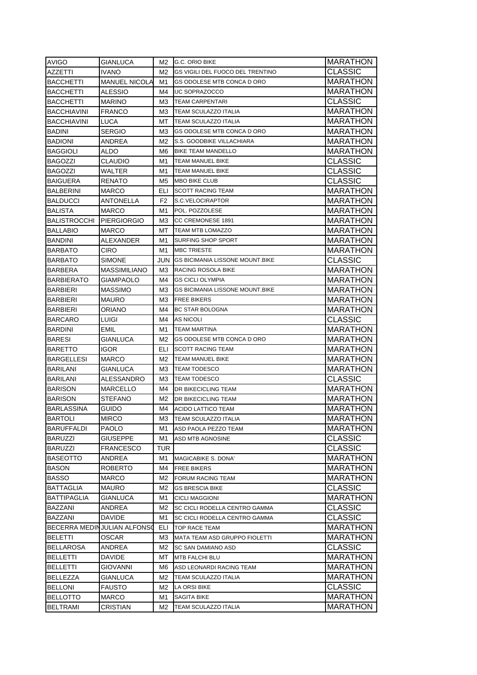| <b>AVIGO</b>                      | GIANLUCA                    | M2             | <b>G.C. ORIO BIKE</b>                  | <b>MARATHON</b>                    |
|-----------------------------------|-----------------------------|----------------|----------------------------------------|------------------------------------|
| AZZETTI                           | IVANO                       | M2             | GS VIGILI DEL FUOCO DEL TRENTINO       | CLASSIC                            |
| <b>BACCHETTI</b>                  | <b>MANUEL NICOLA</b>        | M1             | <b>GS ODOLESE MTB CONCA D ORO</b>      | MARATHON                           |
| <b>BACCHETTI</b>                  | ALESSIO                     | M4             | UC SOPRAZOCCO                          | <b>MARATHON</b>                    |
| <b>BACCHETTI</b>                  | MARINO                      | ΜЗ             | <b>TEAM CARPENTARI</b>                 | CLASSIC                            |
| <b>BACCHIAVINI</b>                | <b>FRANCO</b>               | ΜЗ             | TEAM SCULAZZO ITALIA                   | MARATHON                           |
| <b>BACCHIAVINI</b>                | LUCA                        | MT.            | TEAM SCULAZZO ITALIA                   | <b>MARATHON</b>                    |
| <b>BADINI</b>                     | <b>SERGIO</b>               | ΜЗ             | GS ODOLESE MTB CONCA D ORO             | <b>MARATHON</b>                    |
| <b>BADIONI</b>                    | ANDREA                      | M2             | S.S. GOODBIKE VILLACHIARA              | <b>MARATHON</b>                    |
| <b>BAGGIOLI</b>                   | ALDO                        | M6             | <b>BIKE TEAM MANDELLO</b>              | <b>MARATHON</b>                    |
| BAGOZZI                           | CLAUDIO                     | M1             | TEAM MANUEL BIKE                       | CLASSIC                            |
| <b>BAGOZZI</b>                    | WALTER                      | M1             | TEAM MANUEL BIKE                       | CLASSIC                            |
| <b>BAIGUERA</b>                   | <b>RENATO</b>               | M5             | <b>MBO BIKE CLUB</b>                   | CLASSIC                            |
| <b>BALBERINI</b>                  | <b>MARCO</b>                | ELI.           | <b>SCOTT RACING TEAM</b>               | <b>MARATHON</b>                    |
| <b>BALDUCCI</b>                   | ANTONELLA                   | F <sub>2</sub> | S.C.VELOCIRAPTOR                       | <b>MARATHON</b>                    |
| <b>BALISTA</b>                    | <b>MARCO</b>                | M1             | POL. POZZOLESE                         | MARATHON                           |
| BALISTROCCHI                      | <b>PIERGIORGIO</b>          | MЗ             | <b>CC CREMONESE 1891</b>               | MARATHON                           |
| BALLABIO                          | MARCO                       | MT.            | TEAM MTB LOMAZZO                       | <b>MARATHON</b>                    |
| BANDINI                           | ALEXANDER                   | M1             | SURFING SHOP SPORT                     | <b>MARATHON</b>                    |
| <b>BARBATO</b>                    | CIRO                        | M1             | <b>MBC TRIESTE</b>                     | <b>MARATHON</b>                    |
| <b>BARBATO</b>                    | <b>SIMONE</b>               | JUN            | <b>GS BICIMANIA LISSONE MOUNT.BIKE</b> | CLASSIC                            |
| <b>BARBERA</b>                    | <b>MASSIMILIANO</b>         | МЗ             | RACING ROSOLA BIKE                     | MARATHON                           |
| <b>BARBIERATO</b>                 | <b>GIAMPAOLO</b>            | M4             | <b>GS CICLI OLYMPIA</b>                | <b>MARATHON</b>                    |
| <b>BARBIERI</b>                   | <b>MASSIMO</b>              | ΜЗ             | <b>GS BICIMANIA LISSONE MOUNT.BIKE</b> | <b>MARATHON</b>                    |
| <b>BARBIERI</b>                   | <b>MAURO</b>                | ΜЗ             | <b>FREE BIKERS</b>                     | <b>MARATHON</b>                    |
| <b>BARBIERI</b>                   | ORIANO                      | M4             | <b>BC STAR BOLOGNA</b>                 | <b>MARATHON</b>                    |
| <b>BARCARO</b>                    | LUIGI                       | M4             | AS NICOLI                              | CLASSIC                            |
| <b>BARDINI</b>                    | EMIL                        | M1             | <b>TEAM MARTINA</b>                    | MARATHON                           |
| <b>BARESI</b>                     | GIANLUCA                    | M2             | GS ODOLESE MTB CONCA D ORO             | <b>MARATHON</b>                    |
| <b>BARETTO</b>                    | igor                        | ELI            | <b>SCOTT RACING TEAM</b>               | MARATHON                           |
| <b>BARGELLESI</b>                 | <b>MARCO</b>                | M2             | TEAM MANUEL BIKE                       | <b>MARATHON</b>                    |
| <b>BARILANI</b>                   | GIANLUCA                    | MЗ             | <b>TEAM TODESCO</b>                    | <b>MARATHON</b>                    |
| <b>BARILANI</b>                   | ALESSANDRO                  | MЗ             | <b>TEAM TODESCO</b>                    | CLASSIC                            |
| <b>BARISON</b>                    | MARCELLO                    | M4             | DR BIKECICLING TEAM                    | <b>MARATHON</b>                    |
| <b>BARISON</b>                    | STEFANO                     | M2             | DR BIKECICLING TEAM                    | <b>MARATHON</b>                    |
| BARLASSINA                        | GUIDO                       | M4             | <b>ACIDO LATTICO TEAM</b>              | MARATHON                           |
| <b>BARTOLI</b>                    | <b>MIRCO</b>                | МЗ             | <b>TEAM SCULAZZO ITALIA</b>            | <b>MARATHON</b>                    |
| <b>BARUFFALDI</b>                 | PAOLO                       | M1             | ASD PAOLA PEZZO TEAM                   | <b>MARATHON</b>                    |
| <b>BARUZZI</b>                    | GIUSEPPE                    | M1             | ASD MTB AGNOSINE                       | CLASSIC                            |
| <b>BARUZZI</b>                    | FRANCESCO                   | <b>TUR</b>     |                                        | <b>CLASSIC</b>                     |
| <b>BASEOTTO</b>                   | ANDREA                      | M1             | MAGICABIKE S. DONA'                    | <b>MARATHON</b>                    |
| BASON                             | ROBERTO                     | M4             | FREE BIKERS                            | <b>MARATHON</b>                    |
| BASSO                             | MARCO                       | М2             | FORUM RACING TEAM                      | <b>MARATHON</b>                    |
| <b>BATTAGLIA</b>                  | <b>MAURO</b>                | М2             | <b>GS BRESCIA BIKE</b>                 | CLASSIC                            |
| BATTIPAGLIA                       | GIANLUCA                    | M1             | <b>CICLI MAGGIONI</b>                  | MARATHON                           |
| <b>BAZZANI</b>                    | ANDREA                      | M2             | SC CICLI RODELLA CENTRO GAMMA          | CLASSIC                            |
| BAZZANI                           | <b>DAVIDE</b>               | M1             | SC CICLI RODELLA CENTRO GAMMA          | CLASSIC                            |
|                                   | BECERRA MEDINJULIAN ALFONSO | ELI            | TOP RACE TEAM                          | <b>MARATHON</b>                    |
| <b>BELETTI</b>                    | OSCAR                       | ΜЗ             | <b>MATA TEAM ASD GRUPPO FIOLETTI</b>   | <b>MARATHON</b>                    |
| <b>BELLAROSA</b>                  |                             |                |                                        | CLASSIC                            |
|                                   | ANDREA                      | М2<br>МT       | SC SAN DAMIANO ASD<br>MTB FALCHI BLU   |                                    |
| BELLETTI<br>BELLETTI              | DAVIDE<br>GIOVANNI          | M6             | ASD LEONARDI RACING TEAM               | <b>MARATHON</b><br><b>MARATHON</b> |
|                                   |                             |                |                                        |                                    |
| BELLEZZA                          | GIANLUCA                    | M2             | TEAM SCULAZZO ITALIA                   | <b>MARATHON</b><br><b>CLASSIC</b>  |
| <b>BELLONI</b><br><b>BELLOTTO</b> | FAUSTO                      | M2             | LA ORSI BIKE                           |                                    |
| <b>BELTRAMI</b>                   | MARCO<br>CRISTIAN           | M1<br>M2       | SAGITA BIKE<br>TEAM SCULAZZO ITALIA    | MARATHON<br>MARATHON               |
|                                   |                             |                |                                        |                                    |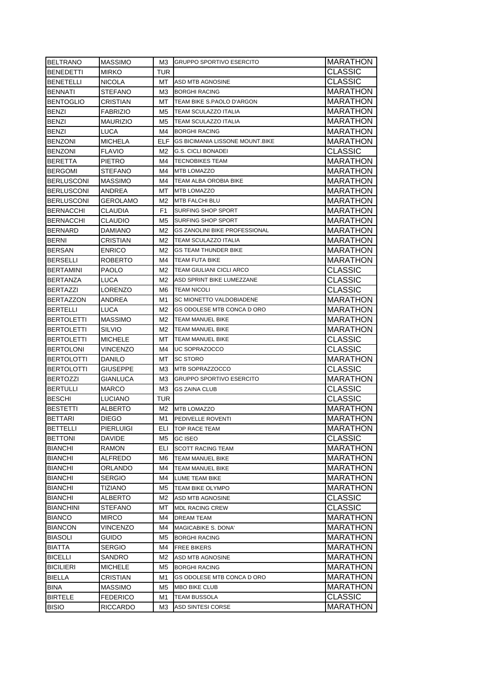| <b>BELTRANO</b>   | <b>MASSIMO</b>  | M3 I           | <b>IGRUPPO SPORTIVO ESERCITO</b>       | MARATHON        |
|-------------------|-----------------|----------------|----------------------------------------|-----------------|
| <b>BENEDETTI</b>  | MIRKO           | TUR            |                                        | <b>CLASSIC</b>  |
| BENETELLI         | NICOLA          | MT             | <b>ASD MTB AGNOSINE</b>                | <b>CLASSIC</b>  |
| <b>BENNATI</b>    | STEFANO         | МЗ             | <b>BORGHI RACING</b>                   | MARATHON        |
| <b>BENTOGLIO</b>  | CRISTIAN        | MT.            | TEAM BIKE S.PAOLO D'ARGON              | MARATHON        |
| <b>BENZI</b>      | <b>FABRIZIO</b> | M5             | <b>TEAM SCULAZZO ITALIA</b>            | <b>MARATHON</b> |
| <b>BENZI</b>      | MAURIZIO        | M5             | <b>TEAM SCULAZZO ITALIA</b>            | <b>MARATHON</b> |
| <b>BENZI</b>      | LUCA            | M4             | <b>BORGHI RACING</b>                   | <b>MARATHON</b> |
| <b>BENZONI</b>    | <b>MICHELA</b>  | ELF.           | <b>GS BICIMANIA LISSONE MOUNT BIKE</b> | <b>MARATHON</b> |
| <b>BENZONI</b>    | <b>FLAVIO</b>   | M2.            | <b>G.S. CICLI BONADEI</b>              | <b>CLASSIC</b>  |
| BERETTA           | PIETRO          | M4             | <b>TECNOBIKES TEAM</b>                 | <b>MARATHON</b> |
| <b>BERGOMI</b>    | STEFANO         | M4             | <b>MTB LOMAZZO</b>                     | <b>MARATHON</b> |
| <b>BERLUSCONI</b> | <b>MASSIMO</b>  | M4             | TEAM ALBA OROBIA BIKE                  | MARATHON        |
| <b>BERLUSCONI</b> | ANDREA          | МT             | <b>MTB LOMAZZO</b>                     | MARATHON        |
| <b>BERLUSCONI</b> | GEROLAMO        | M2             | MTB FALCHI BLU                         | MARATHON        |
| <b>BERNACCHI</b>  | CLAUDIA         | F <sub>1</sub> | SURFING SHOP SPORT                     | <b>MARATHON</b> |
| <b>BERNACCHI</b>  | CLAUDIO         | M5             | <b>SURFING SHOP SPORT</b>              | <b>MARATHON</b> |
| <b>BERNARD</b>    | DAMIANO         | M2             | <b>GS ZANOLINI BIKE PROFESSIONAL</b>   | <b>MARATHON</b> |
| <b>BERNI</b>      | CRISTIAN        | M2             | TEAM SCULAZZO ITALIA                   | MARATHON        |
| <b>BERSAN</b>     | <b>ENRICO</b>   | M2             | <b>GS TEAM THUNDER BIKE</b>            | MARATHON        |
| <b>BERSELLI</b>   | <b>ROBERTO</b>  | M4             | <b>TEAM FUTA BIKE</b>                  | MARATHON        |
| <b>BERTAMINI</b>  | PAOLO           | M2             | TEAM GIULIANI CICLI ARCO               | <b>CLASSIC</b>  |
| <b>BERTANZA</b>   | LUCA            | M2             | ASD SPRINT BIKE LUMEZZANE              | <b>CLASSIC</b>  |
| <b>BERTAZZI</b>   | LORENZO         | M6             | <b>TEAM NICOLI</b>                     | <b>CLASSIC</b>  |
| <b>BERTAZZON</b>  | ANDREA          | M1             | SC MIONETTO VALDOBIADENE               | <b>MARATHON</b> |
| <b>BERTELLI</b>   | LUCA            | M2             | GS ODOLESE MTB CONCA D ORO             | <b>MARATHON</b> |
| <b>BERTOLETTI</b> | <b>MASSIMO</b>  | M2             | TEAM MANUEL BIKE                       | <b>MARATHON</b> |
| BERTOLETTI        | SILVIO          | M2             | TEAM MANUEL BIKE                       | <b>MARATHON</b> |
| BERTOLETTI        | <b>MICHELE</b>  | MT.            | <b>TEAM MANUEL BIKE</b>                | <b>CLASSIC</b>  |
| <b>BERTOLONI</b>  | VINCENZO        | M4             | UC SOPRAZOCCO                          | <b>CLASSIC</b>  |
| <b>BERTOLOTTI</b> | DANILO          | МT             | <b>SC STORO</b>                        | MARATHON        |
| <b>BERTOLOTTI</b> | GIUSEPPE        | ΜЗ             | MTB SOPRAZZOCCO                        | <b>CLASSIC</b>  |
| <b>BERTOZZI</b>   | GIANLUCA        | ΜЗ             | <b>GRUPPO SPORTIVO ESERCITO</b>        | <b>MARATHON</b> |
| <b>BERTULLI</b>   | MARCO           | МЗ             | <b>GS ZAINA CLUB</b>                   | <b>CLASSIC</b>  |
| <b>BESCHI</b>     | LUCIANO         | TUR            |                                        | <b>CLASSIC</b>  |
| <b>BESTETTI</b>   | ALBERTO         | M2             | <b>MTB LOMAZZO</b>                     | MARATHON        |
| <b>BETTARI</b>    | DIEGO           | M1             | PEDIVELLE ROVENTI                      | <b>MARATHON</b> |
| BETTELLI          | PIERLUIGI       | ELI            | TOP RACE TEAM                          | MARATHON        |
| <b>BETTONI</b>    | DAVIDE          | M5             | <b>GC ISEO</b>                         | <b>CLASSIC</b>  |
| BIANCHI           | RAMON           | ELI            | <b>SCOTT RACING TEAM</b>               | <b>MARATHON</b> |
| <b>BIANCHI</b>    | ALFREDO         | M6             | TEAM MANUEL BIKE                       | <b>MARATHON</b> |
| <b>BIANCHI</b>    | ORLANDO         | M4             | TEAM MANUEL BIKE                       | <b>MARATHON</b> |
| <b>BIANCHI</b>    | SERGIO          | M4             | LUME TEAM BIKE                         | <b>MARATHON</b> |
| <b>BIANCHI</b>    | TIZIANO         | M5             | TEAM BIKE OLYMPO                       | <b>MARATHON</b> |
| <b>BIANCHI</b>    | ALBERTO         | M2             | ASD MTB AGNOSINE                       | <b>CLASSIC</b>  |
| <b>BIANCHINI</b>  | STEFANO         | МT             | <b>MDL RACING CREW</b>                 | <b>CLASSIC</b>  |
| <b>BIANCO</b>     | MIRCO           | M4             | DREAM TEAM                             | <b>MARATHON</b> |
| <b>BIANCON</b>    | VINCENZO        | M4             | MAGICABIKE S. DONA'                    | <b>MARATHON</b> |
| <b>BIASOLI</b>    | <b>GUIDO</b>    | M5             | <b>BORGHI RACING</b>                   | <b>MARATHON</b> |
| <b>BIATTA</b>     | SERGIO          | M4             | <b>FREE BIKERS</b>                     | <b>MARATHON</b> |
| <b>BICELLI</b>    | SANDRO          | M2             | ASD MTB AGNOSINE                       | MARATHON        |
| <b>BICILIERI</b>  | MICHELE         | M5             | <b>BORGHI RACING</b>                   | <b>MARATHON</b> |
| <b>BIELLA</b>     | CRISTIAN        | M1             | GS ODOLESE MTB CONCA D ORO             | MARATHON        |
| <b>BINA</b>       | <b>MASSIMO</b>  | M5             | MBO BIKE CLUB                          | MARATHON        |
| <b>BIRTELE</b>    | <b>FEDERICO</b> | M1             | TEAM BUSSOLA                           | <b>CLASSIC</b>  |
| <b>BISIO</b>      | RICCARDO        | MЗ             | ASD SINTESI CORSE                      | MARATHON        |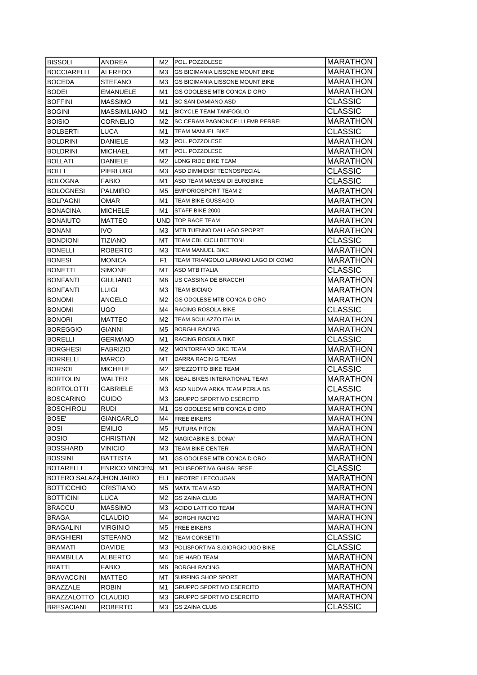| <b>BISSOLI</b>                 | ANDREA                | M2  | POL. POZZOLESE                         | MARATHON        |
|--------------------------------|-----------------------|-----|----------------------------------------|-----------------|
| <b>BOCCIARELLI</b>             | ALFREDO               | M3  | <b>GS BICIMANIA LISSONE MOUNT.BIKE</b> | MARATHON        |
| <b>BOCEDA</b>                  | STEFANO               | MЗ  | <b>GS BICIMANIA LISSONE MOUNT.BIKE</b> | MARATHON        |
| <b>BODEI</b>                   | EMANUELE              | M1  | GS ODOLESE MTB CONCA D ORO             | MARATHON        |
| <b>BOFFINI</b>                 | MASSIMO               | M1  | SC SAN DAMIANO ASD                     | <b>CLASSIC</b>  |
| <b>BOGINI</b>                  | MASSIMILIANO          | M1  | <b>BICYCLE TEAM TANFOGLIO</b>          | <b>CLASSIC</b>  |
| <b>BOISIO</b>                  | CORNELIO              | M2  | SC CERAM.PAGNONCELLI FMB PERREL        | <b>MARATHON</b> |
| <b>BOLBERTI</b>                | <b>LUCA</b>           | M1  | TEAM MANUEL BIKE                       | <b>CLASSIC</b>  |
| <b>BOLDRINI</b>                | DANIELE               | MЗ  | POL. POZZOLESE                         | <b>MARATHON</b> |
| <b>BOLDRINI</b>                | <b>MICHAEL</b>        | MT. | POL. POZZOLESE                         | <b>MARATHON</b> |
| <b>BOLLATI</b>                 | DANIELE               | M2  | LONG RIDE BIKE TEAM                    | <b>MARATHON</b> |
| <b>BOLLI</b>                   | PIERLUIGI             | ΜЗ  | ASD DIMMIDISI' TECNOSPECIAL            | <b>CLASSIC</b>  |
| BOLOGNA                        | FABIO                 | M1  | ASD TEAM MASSAI DI EUROBIKE            | <b>CLASSIC</b>  |
| <b>BOLOGNESI</b>               | PALMIRO               | M5  | <b>EMPORIOSPORT TEAM 2</b>             | MARATHON        |
| <b>BOLPAGNI</b>                | OMAR                  | M1  | TEAM BIKE GUSSAGO                      | <b>MARATHON</b> |
| <b>BONACINA</b>                | MICHELE               | M1  | STAFF BIKE 2000                        | MARATHON        |
| <b>BONAIUTO</b>                | MATTEO                | UND | <b>TOP RACE TEAM</b>                   | MARATHON        |
| <b>BONANI</b>                  | <b>IVO</b>            | ΜЗ  | <b>MTB TUENNO DALLAGO SPOPRT</b>       | MARATHON        |
| <b>BONDIONI</b>                | TIZIANO               | МT  | TEAM CBL CICLI BETTONI                 | CLASSIC         |
| <b>BONELLI</b>                 | ROBERTO               | ΜЗ  | <b>TEAM MANUEL BIKE</b>                | MARATHON        |
| <b>BONESI</b>                  | <b>MONICA</b>         | F1  | TEAM TRIANGOLO LARIANO LAGO DI COMO    | <b>MARATHON</b> |
| <b>BONETTI</b>                 | <b>SIMONE</b>         | МT  | <b>ASD MTB ITALIA</b>                  | <b>CLASSIC</b>  |
| <b>BONFANTI</b>                | GIULIANO              | M6  | US CASSINA DE BRACCHI                  | <b>MARATHON</b> |
| <b>BONFANTI</b>                | LUIGI                 | MЗ  | <b>TEAM BICIAIO</b>                    | <b>MARATHON</b> |
| <b>BONOMI</b>                  | ANGELO                | M2  | GS ODOLESE MTB CONCA D ORO             | <b>MARATHON</b> |
| <b>BONOMI</b>                  | UGO.                  | M4  | RACING ROSOLA BIKE                     | <b>CLASSIC</b>  |
| <b>BONORI</b>                  | MATTEO                | M2  | TEAM SCULAZZO ITALIA                   | <b>MARATHON</b> |
| <b>BOREGGIO</b>                | GIANNI                | M5  | <b>BORGHI RACING</b>                   | <b>MARATHON</b> |
| <b>BORELLI</b>                 | GERMANO               | M1  | RACING ROSOLA BIKE                     | <b>CLASSIC</b>  |
| <b>BORGHESI</b>                | FABRIZIO              | M2  | <b>MONTORFANO BIKE TEAM</b>            | <b>MARATHON</b> |
| BORRELLI                       | MARCO                 | МT  | DARRA RACIN G TEAM                     | <b>MARATHON</b> |
| <b>BORSOI</b>                  | MICHELE               | M2  | SPEZZOTTO BIKE TEAM                    | <b>CLASSIC</b>  |
| <b>BORTOLIN</b>                | WALTER                | M6  | <b>IDEAL BIKES INTERATIONAL TEAM</b>   | <b>MARATHON</b> |
| <b>BORTOLOTTI</b>              | GABRIELE              | ΜЗ  | ASD NUOVA ARKA TEAM PERLA BS           | <b>CLASSIC</b>  |
| <b>BOSCARINO</b>               | GUIDO                 | MЗ  | <b>GRUPPO SPORTIVO ESERCITO</b>        | MARATHON        |
| <b>BOSCHIROLI</b>              | rudi                  | M1  | <b>GS ODOLESE MTB CONCA D ORO</b>      | <b>MARATHON</b> |
| <b>BOSE'</b>                   | <b>GIANCARLO</b>      | M4  | <b>FREE BIKERS</b>                     | <b>MARATHON</b> |
| <b>BOSI</b>                    | EMILIO                | M5  | <b>FUTURA PITON</b>                    | <b>MARATHON</b> |
| <b>BOSIO</b>                   | CHRISTIAN             | M2  | MAGICABIKE S. DONA'                    | <b>MARATHON</b> |
| <b>BOSSHARD</b>                | <b>VINICIO</b>        | MЗ  | <b>TEAM BIKE CENTER</b>                | <b>MARATHON</b> |
| <b>BOSSINI</b>                 | BATTISTA              |     | GS ODOLESE MTB CONCA D ORO             | <b>MARATHON</b> |
|                                |                       | M1  | POLISPORTIVA GHISALBESE                | <b>CLASSIC</b>  |
| <b>BOTARELLI</b>               | <b>ENRICO VINCENI</b> | M1  |                                        |                 |
| <b>BOTERO SALAZAJHON JAIRO</b> |                       | ELI | <b>INFOTRE LEECOUGAN</b>               | <b>MARATHON</b> |
| <b>BOTTICCHIO</b>              | CRISTIANO             | M5  | <b>MATA TEAM ASD</b>                   | <b>MARATHON</b> |
| <b>BOTTICINI</b>               | LUCA                  | M2  | <b>GS ZAINA CLUB</b>                   | MARATHON        |
| <b>BRACCU</b>                  | MASSIMO               | MЗ  | ACIDO LATTICO TEAM                     | <b>MARATHON</b> |
| <b>BRAGA</b>                   | CLAUDIO               | M4  | <b>BORGHI RACING</b>                   | <b>MARATHON</b> |
| <b>BRAGALINI</b>               | VIRGINIO              | M5  | <b>FREE BIKERS</b>                     | <b>MARATHON</b> |
| <b>BRAGHIERI</b>               | STEFANO               | M2  | <b>TEAM CORSETTI</b>                   | <b>CLASSIC</b>  |
| <b>BRAMATI</b>                 | DAVIDE                | MЗ  | POLISPORTIVA S.GIORGIO UGO BIKE        | <b>CLASSIC</b>  |
| <b>BRAMBILLA</b>               | ALBERTO               | M4  | DIE HARD TEAM                          | MARATHON        |
| <b>BRATTI</b>                  | FABIO                 | M6  | <b>BORGHI RACING</b>                   | MARATHON        |
| <b>BRAVACCINI</b>              | MATTEO                | МΤ  | SURFING SHOP SPORT                     | MARATHON        |
| <b>BRAZZALE</b>                | ROBIN                 | M1  | GRUPPO SPORTIVO ESERCITO               | MARATHON        |
| <b>BRAZZALOTTO</b>             | <b>CLAUDIO</b>        | MЗ  | <b>GRUPPO SPORTIVO ESERCITO</b>        | MARATHON        |
| <b>BRESACIANI</b>              | <b>ROBERTO</b>        | MЗ  | <b>GS ZAINA CLUB</b>                   | <b>CLASSIC</b>  |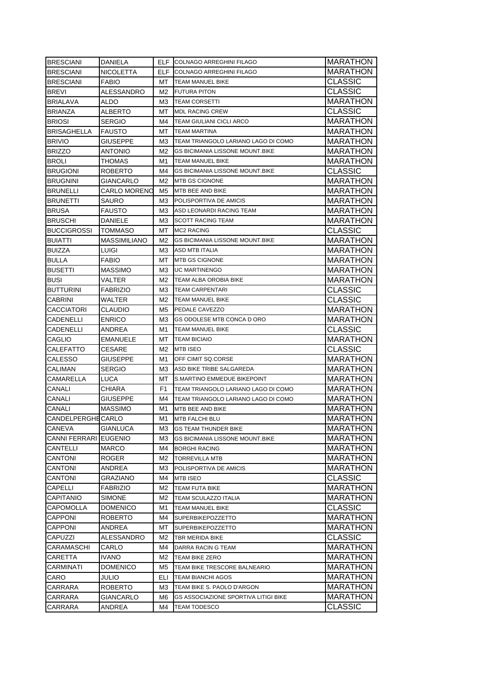| <b>BRESCIANI</b>          | DANIELA                    |          | ELF COLNAGO ARREGHINI FILAGO                                       | MARATHON                   |
|---------------------------|----------------------------|----------|--------------------------------------------------------------------|----------------------------|
| <b>BRESCIANI</b>          | NICOLETTA                  | ELF.     | COLNAGO ARREGHINI FILAGO                                           | <b>MARATHON</b>            |
| <b>BRESCIANI</b>          | FABIO                      | MT       | <b>TEAM MANUEL BIKE</b>                                            | <b>CLASSIC</b>             |
| <b>BREVI</b>              | ALESSANDRO                 | M2       | <b>FUTURA PITON</b>                                                | <b>CLASSIC</b>             |
| <b>BRIALAVA</b>           | ALDO                       | ΜЗ       | <b>TEAM CORSETTI</b>                                               | MARATHON                   |
| <b>BRIANZA</b>            | <b>ALBERTO</b>             | MT.      | <b>MDL RACING CREW</b>                                             | <b>CLASSIC</b>             |
| <b>BRIOSI</b>             | <b>SERGIO</b>              | M4       | <b>TEAM GIULIANI CICLI ARCO</b>                                    | <b>MARATHON</b>            |
| <b>BRISAGHELLA</b>        | <b>FAUSTO</b>              | МT       | <b>TEAM MARTINA</b>                                                | <b>MARATHON</b>            |
| <b>BRIVIO</b>             | <b>GIUSEPPE</b>            | MЗ       | TEAM TRIANGOLO LARIANO LAGO DI COMO                                | <b>MARATHON</b>            |
| <b>BRIZZO</b>             | ANTONIO                    | M2       | <b>GS BICIMANIA LISSONE MOUNT.BIKE</b>                             | <b>MARATHON</b>            |
| <b>BROLI</b>              | THOMAS                     | M1       | TEAM MANUEL BIKE                                                   | <b>MARATHON</b>            |
| <b>BRUGIONI</b>           | ROBERTO                    | M4       | <b>GS BICIMANIA LISSONE MOUNT.BIKE</b>                             | <b>CLASSIC</b>             |
| <b>BRUGNINI</b>           | GIANCARLO                  | M2       | <b>MTB GS CIGNONE</b>                                              | <b>MARATHON</b>            |
| <b>BRUNELLI</b>           | CARLO MORENO               | M5       | MTB BEE AND BIKE                                                   | <b>MARATHON</b>            |
| <b>BRUNETTI</b>           | SAURO                      | ΜЗ       | POLISPORTIVA DE AMICIS                                             | <b>MARATHON</b>            |
| <b>BRUSA</b>              | FAUSTO                     | ΜЗ       | ASD LEONARDI RACING TEAM                                           | <b>MARATHON</b>            |
| <b>BRUSCHI</b>            | DANIELE                    | MЗ       | <b>SCOTT RACING TEAM</b>                                           | <b>MARATHON</b>            |
| <b>BUCCIGROSSI</b>        | TOMMASO                    | MT.      | <b>MC2 RACING</b>                                                  | <b>CLASSIC</b>             |
| <b>BUIATTI</b>            | MASSIMILIANO               | M2       | <b>GS BICIMANIA LISSONE MOUNT.BIKE</b>                             | MARATHON                   |
| <b>BUIZZA</b>             | LUIGI                      | МЗ       | <b>ASD MTB ITALIA</b>                                              | MARATHON                   |
| <b>BULLA</b>              | <b>FABIO</b>               | МΤ       | <b>MTB GS CIGNONE</b>                                              | <b>MARATHON</b>            |
| <b>BUSETTI</b>            | MASSIMO                    | ΜЗ       | <b>UC MARTINENGO</b>                                               | MARATHON                   |
| <b>BUSI</b>               | VALTER                     | M2       | TEAM ALBA OROBIA BIKE                                              | <b>MARATHON</b>            |
| <b>BUTTURINI</b>          | <b>FABRIZIO</b>            | ΜЗ       | <b>TEAM CARPENTARI</b>                                             | <b>CLASSIC</b>             |
| <b>CABRINI</b>            | WALTER                     | M2       | <b>TEAM MANUEL BIKE</b>                                            | <b>CLASSIC</b>             |
| <b>CACCIATORI</b>         | CLAUDIO                    | M5       | PEDALE CAVEZZO                                                     | <b>MARATHON</b>            |
| CADENELLI                 | <b>ENRICO</b>              | ΜЗ       | GS ODOLESE MTB CONCA D ORO                                         | <b>MARATHON</b>            |
| CADENELLI                 | ANDREA                     | M1       | <b>TEAM MANUEL BIKE</b>                                            | <b>CLASSIC</b>             |
|                           |                            |          |                                                                    |                            |
|                           |                            | МΤ       | <b>TEAM BICIAIO</b>                                                |                            |
| CAGLIO                    | EMANUELE                   |          |                                                                    | <b>MARATHON</b>            |
| <b>CALEFATTO</b>          | CESARE                     | M2       | <b>MTB ISEO</b>                                                    | <b>CLASSIC</b>             |
| <b>CALESSO</b>            | GIUSEPPE                   | M1       | OFF CIMIT SQ.CORSE                                                 | <b>MARATHON</b>            |
| <b>CALIMAN</b>            | SERGIO                     | ΜЗ<br>МT | ASD BIKE TRIBE SALGAREDA<br>S.MARTINO EMMEDUE BIKEPOINT            | <b>MARATHON</b>            |
| <b>CAMARELLA</b>          | <b>LUCA</b>                | F1       | TEAM TRIANGOLO LARIANO LAGO DI COMO                                | MARATHON                   |
| CANALI                    | CHIARA                     |          |                                                                    | MARATHON                   |
| CANALI                    | GIUSEPPE                   | M4       | TEAM TRIANGOLO LARIANO LAGO DI COMO<br>MTB BEE AND BIKE            | MARATHON                   |
| CANALI                    | MASSIMO                    | M1       |                                                                    | MARATHON                   |
| <b>CANDELPERGHE CARLO</b> |                            | M1       | <b>MTB FALCHI BLU</b>                                              | <b>MARATHON</b>            |
| <b>CANEVA</b>             | GIANLUCA                   | M3       | <b>GS TEAM THUNDER BIKE</b>                                        | MARATHON                   |
| CANNI FERRARI EUGENIO     |                            | MЗ       | <b>GS BICIMANIA LISSONE MOUNT BIKE</b>                             | <b>MARATHON</b>            |
| <b>CANTELLI</b>           | <b>MARCO</b>               | M4       | <b>BORGHI RACING</b>                                               | <b>MARATHON</b>            |
| <b>CANTONI</b>            | ROGER                      | M2       | <b>TORREVILLA MTB</b>                                              | <b>MARATHON</b>            |
| <b>CANTONI</b>            | ANDREA                     | M3       | POLISPORTIVA DE AMICIS                                             | MARATHON                   |
| <b>CANTONI</b>            | GRAZIANO                   | M4       | MTB ISEO                                                           | <b>CLASSIC</b>             |
| CAPELLI                   | FABRIZIO                   | M2       | <b>TEAM FUTA BIKE</b>                                              | <b>MARATHON</b>            |
| <b>CAPITANIO</b>          | SIMONE                     | M2       | <b>TEAM SCULAZZO ITALIA</b>                                        | MARATHON                   |
| <b>CAPOMOLLA</b>          | DOMENICO                   | M1       | TEAM MANUEL BIKE                                                   | <b>CLASSIC</b>             |
| <b>CAPPONI</b>            | ROBERTO                    | M4       | <b>SUPERBIKEPOZZETTO</b>                                           | <b>MARATHON</b>            |
| <b>CAPPONI</b>            | ANDREA                     | МT       | <b>SUPERBIKEPOZZETTO</b>                                           | <b>MARATHON</b>            |
| CAPUZZI                   | ALESSANDRO                 | M2       | TBR MERIDA BIKE                                                    | <b>CLASSIC</b>             |
| CARAMASCHI                | CARLO                      | M4       | DARRA RACIN G TEAM                                                 | <b>MARATHON</b>            |
| CARETTA                   | IVANO                      | M2       | TEAM BIKE ZERO                                                     | MARATHON                   |
| CARMINATI                 | DOMENICO                   | M5       | TEAM BIKE TRESCORE BALNEARIO                                       | MARATHON                   |
| CARO                      | JULIO                      | ELI      | <b>TEAM BIANCHI AGOS</b>                                           | MARATHON                   |
| <b>CARRARA</b>            | ROBERTO                    | MЗ       | TEAM BIKE S. PAOLO D'ARGON                                         | <b>MARATHON</b>            |
| CARRARA<br><b>CARRARA</b> | <b>GIANCARLO</b><br>ANDREA | M6<br>M4 | <b>GS ASSOCIAZIONE SPORTIVA LITIGI BIKE</b><br><b>TEAM TODESCO</b> | <b>MARATHON</b><br>CLASSIC |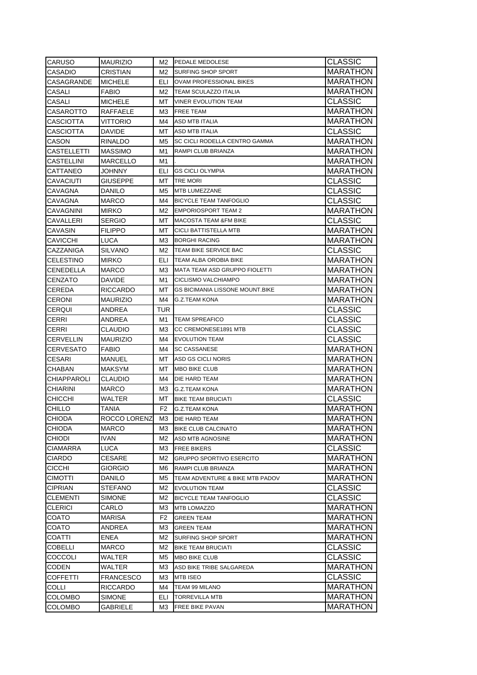| <b>CARUSO</b>                    | <b>MAURIZIO</b>           | M2             | <b>PEDALE MEDOLESE</b>                          | <b>CLASSIC</b>       |
|----------------------------------|---------------------------|----------------|-------------------------------------------------|----------------------|
| <b>CASADIO</b>                   | CRISTIAN                  | M2             | <b>SURFING SHOP SPORT</b>                       | MARATHON             |
| CASAGRANDE                       | <b>MICHELE</b>            | ELI            | <b>OVAM PROFESSIONAL BIKES</b>                  | MARATHON             |
| <b>CASALI</b>                    | <b>FABIO</b>              | M2             | <b>TEAM SCULAZZO ITALIA</b>                     | MARATHON             |
| CASALI                           | <b>MICHELE</b>            | МT             | <b>VINER EVOLUTION TEAM</b>                     | <b>CLASSIC</b>       |
| <b>CASAROTTO</b>                 | RAFFAELE                  | МЗ             | <b>FREE TEAM</b>                                | MARATHON             |
| <b>CASCIOTTA</b>                 | VITTORIO                  | M4             | <b>ASD MTB ITALIA</b>                           | <b>MARATHON</b>      |
| <b>CASCIOTTA</b>                 | DAVIDE                    | MT.            | <b>ASD MTB ITALIA</b>                           | <b>CLASSIC</b>       |
| CASON                            | RINALDO                   | M5             | SC CICLI RODELLA CENTRO GAMMA                   | <b>MARATHON</b>      |
| CASTELLETTI                      | <b>MASSIMO</b>            | M1             | RAMPI CLUB BRIANZA                              | <b>MARATHON</b>      |
| <b>CASTELLINI</b>                | <b>MARCELLO</b>           | M1             |                                                 | MARATHON             |
| CATTANEO                         | JOHNNY                    | ELI            | <b>GS CICLI OLYMPIA</b>                         | <b>MARATHON</b>      |
| CAVACIUTI                        | GIUSEPPE                  | МT             | TRE MORI                                        | <b>CLASSIC</b>       |
| CAVAGNA                          | DANILO                    | M5             | MTB LUMEZZANE                                   | CLASSIC              |
| <b>CAVAGNA</b>                   | MARCO                     | M4             | <b>BICYCLE TEAM TANFOGLIO</b>                   | <b>CLASSIC</b>       |
| <b>CAVAGNINI</b>                 | MIRKO                     | M2             | <b>EMPORIOSPORT TEAM 2</b>                      | <b>MARATHON</b>      |
| <b>CAVALLERI</b>                 | SERGIO                    | MT             | <b>MACOSTA TEAM &amp;FM BIKE</b>                | <b>CLASSIC</b>       |
| <b>CAVASIN</b>                   | FILIPPO                   | MT             | CICLI BATTISTELLA MTB                           | MARATHON             |
| <b>CAVICCHI</b>                  | LUCA                      | ΜЗ             | <b>BORGHI RACING</b>                            | MARATHON             |
| CAZZANIGA                        | SILVANO                   | M2             | TEAM BIKE SERVICE BAC                           | <b>CLASSIC</b>       |
| <b>CELESTINO</b>                 | <b>MIRKO</b>              | ELI            | TEAM ALBA OROBIA BIKE                           | <b>MARATHON</b>      |
| <b>CENEDELLA</b>                 | <b>MARCO</b>              | МЗ             | MATA TEAM ASD GRUPPO FIOLETTI                   | <b>MARATHON</b>      |
| <b>CENZATO</b>                   | DAVIDE                    | M1             | CICLISMO VALCHIAMPO                             | <b>MARATHON</b>      |
| <b>CEREDA</b>                    | RICCARDO                  | MT.            | <b>GS BICIMANIA LISSONE MOUNT.BIKE</b>          | <b>MARATHON</b>      |
| <b>CERONI</b>                    | <b>MAURIZIO</b>           | M4             | <b>G.Z.TEAM KONA</b>                            | <b>MARATHON</b>      |
| <b>CERQUI</b>                    | ANDREA                    | TUR            |                                                 | <b>CLASSIC</b>       |
| CERRI                            | ANDREA                    | M1             | <b>TEAM SPREAFICO</b>                           | <b>CLASSIC</b>       |
| <b>CERRI</b>                     | CLAUDIO                   | ΜЗ             | CC CREMONESE1891 MTB                            | <b>CLASSIC</b>       |
| <b>CERVELLIN</b>                 | <b>MAURIZIO</b>           | M4             | <b>EVOLUTION TEAM</b>                           | <b>CLASSIC</b>       |
| <b>CERVESATO</b>                 | FABIO                     | M4             | <b>SC CASSANESE</b>                             | <b>MARATHON</b>      |
| <b>CESARI</b>                    | MANUEL                    | МT             | ASD GS CICLI NORIS                              | <b>MARATHON</b>      |
| <b>CHABAN</b>                    | <b>MAKSYM</b>             | МT             | <b>MBO BIKE CLUB</b>                            | <b>MARATHON</b>      |
| <b>CHIAPPAROLI</b>               | <b>CLAUDIO</b>            | M4             | DIE HARD TEAM                                   | MARATHON             |
| <b>CHIARINI</b>                  | MARCO                     | МЗ             | G.Z.TEAM KONA                                   | MARATHON             |
| <b>CHICCHI</b>                   | WALTER                    | MT.            | <b>BIKE TEAM BRUCIATI</b>                       | <b>CLASSIC</b>       |
| CHILLO                           | TANIA                     | F <sub>2</sub> | <b>G.Z.TEAM KONA</b>                            | MARATHON             |
| <b>CHIODA</b>                    | ROCCO LORENZ              | M3.            | DIE HARD TEAM                                   | <b>MARATHON</b>      |
| CHIODA                           | MARCO                     | ΜЗ             | <b>BIKE CLUB CALCINATO</b>                      | <b>MARATHON</b>      |
| <b>CHIODI</b>                    | IVAN.                     | M2             | ASD MTB AGNOSINE                                | <b>MARATHON</b>      |
| <b>CIAMARRA</b>                  | <b>LUCA</b>               | MЗ             | <b>FREE BIKERS</b>                              | <b>CLASSIC</b>       |
| <b>CIARDO</b>                    | CESARE                    | M2             | <b>GRUPPO SPORTIVO ESERCITO</b>                 | <b>MARATHON</b>      |
| <b>CICCHI</b>                    | GIORGIO                   | M6             | RAMPI CLUB BRIANZA                              | <b>MARATHON</b>      |
| <b>CIMOTTI</b>                   | DANILO                    | M5             | TEAM ADVENTURE & BIKE MTB PADOV                 | <b>MARATHON</b>      |
| <b>CIPRIAN</b>                   |                           |                |                                                 |                      |
| <b>CLEMENTI</b>                  |                           |                |                                                 |                      |
|                                  | STEFANO                   | M2             | <b>EVOLUTION TEAM</b>                           | <b>CLASSIC</b>       |
|                                  | SIMONE                    | M2             | <b>BICYCLE TEAM TANFOGLIO</b>                   | <b>CLASSIC</b>       |
| <b>CLERICI</b>                   | CARLO                     | MЗ             | MTB LOMAZZO                                     | <b>MARATHON</b>      |
| COATO                            | MARISA                    | F2             | <b>GREEN TEAM</b>                               | <b>MARATHON</b>      |
| <b>COATO</b>                     | ANDREA                    | MЗ             | <b>GREEN TEAM</b>                               | <b>MARATHON</b>      |
| <b>COATTI</b>                    | ENEA                      | M2             | SURFING SHOP SPORT                              | <b>MARATHON</b>      |
| <b>COBELLI</b>                   | MARCO                     | M2             | <b>BIKE TEAM BRUCIATI</b>                       | <b>CLASSIC</b>       |
| COCCOLI                          | WALTER                    | M5             | MBO BIKE CLUB                                   | <b>CLASSIC</b>       |
| <b>CODEN</b>                     | WALTER                    | ΜЗ             | ASD BIKE TRIBE SALGAREDA                        | MARATHON             |
| <b>COFFETTI</b>                  | FRANCESCO                 | МЗ             | <b>MTB ISEO</b>                                 | <b>CLASSIC</b>       |
| <b>COLLI</b>                     | RICCARDO                  | M4             | TEAM 99 MILANO                                  | MARATHON             |
| <b>COLOMBO</b><br><b>COLOMBO</b> | SIMONE<br><b>GABRIELE</b> | ELI<br>MЗ      | <b>TORREVILLA MTB</b><br><b>FREE BIKE PAVAN</b> | MARATHON<br>MARATHON |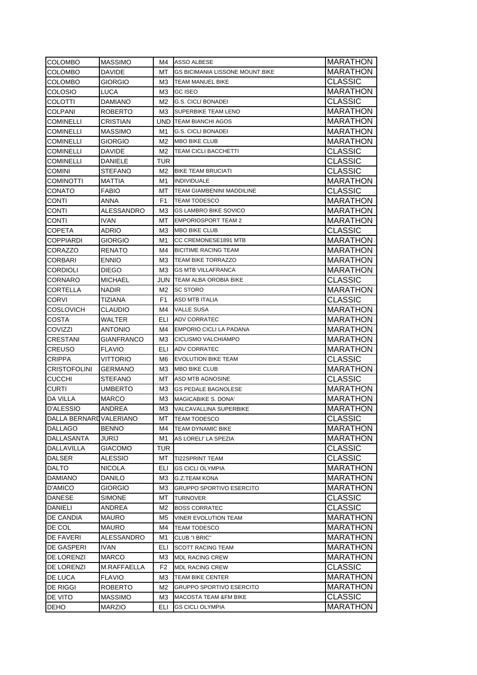| <b>COLOMBO</b>          | <b>MASSIMO</b>  | M4.  | ASSO ALBESE                            | MARATHON        |
|-------------------------|-----------------|------|----------------------------------------|-----------------|
| COLOMBO                 | DAVIDE          | MT   | <b>GS BICIMANIA LISSONE MOUNT.BIKE</b> | MARATHON        |
| COLOMBO                 | <b>GIORGIO</b>  | M3.  | <b>TEAM MANUEL BIKE</b>                | <b>CLASSIC</b>  |
| COLOSIO                 | LUCA            | M3.  | <b>GC ISEO</b>                         | MARATHON        |
| COLOTTI                 | <b>DAMIANO</b>  | M2   | <b>G.S. CICLI BONADEI</b>              | <b>CLASSIC</b>  |
| COLPANI                 | <b>ROBERTO</b>  | МЗ   | <b>SUPERBIKE TEAM LENO</b>             | <b>MARATHON</b> |
| COMINELLI               | <b>CRISTIAN</b> |      | <b>UND TEAM BIANCHI AGOS</b>           | MARATHON        |
| COMINELLI               | <b>MASSIMO</b>  | M1   | <b>G.S. CICLI BONADEI</b>              | MARATHON        |
| COMINELLI               | <b>GIORGIO</b>  | M2   | <b>MBO BIKE CLUB</b>                   | MARATHON        |
| COMINELLI               | <b>DAVIDE</b>   | M2   | <b>TEAM CICLI BACCHETTI</b>            | <b>CLASSIC</b>  |
| COMINELLI               | DANIELE         | TUR  |                                        | <b>CLASSIC</b>  |
| COMINI                  | <b>STEFANO</b>  | M2   | <b>BIKE TEAM BRUCIATI</b>              | <b>CLASSIC</b>  |
| <b>COMINOTTI</b>        | MATTIA          | M1   | <b>INDIVIDUALE</b>                     | MARATHON        |
| CONATO                  | <b>FABIO</b>    | MT   | <b>TEAM GIAMBENINI MADDILINE</b>       | <b>CLASSIC</b>  |
| CONTI                   | ANNA            | F1   | <b>TEAM TODESCO</b>                    | MARATHON        |
| CONTI                   | ALESSANDRO      | ΜЗ   | <b>GS LAMBRO BIKE SOVICO</b>           | MARATHON        |
| CONTI                   | <b>IVAN</b>     | MT   | <b>EMPORIOSPORT TEAM 2</b>             | MARATHON        |
| COPETA                  | ADRIO           | ΜЗ   | <b>MBO BIKE CLUB</b>                   | <b>CLASSIC</b>  |
| COPPIARDI               | <b>GIORGIO</b>  | M1   | CC CREMONESE1891 MTB                   | <b>MARATHON</b> |
| CORAZZO                 | <b>RENATO</b>   | M4   | <b>BICITIME RACING TEAM</b>            | MARATHON        |
| CORBARI                 | <b>ENNIO</b>    | МЗ   | <b>TEAM BIKE TORRAZZO</b>              | MARATHON        |
| <b>CORDIOLI</b>         | <b>DIEGO</b>    | M3.  | <b>GS MTB VILLAFRANCA</b>              | MARATHON        |
| CORNARO                 | <b>MICHAEL</b>  |      | <b>JUN TEAM ALBA OROBIA BIKE</b>       | <b>CLASSIC</b>  |
| CORTELLA                | <b>NADIR</b>    | M2   | <b>SC STORO</b>                        | <b>MARATHON</b> |
| CORVI                   | <b>TIZIANA</b>  | F1   | <b>ASD MTB ITALIA</b>                  | <b>CLASSIC</b>  |
| <b>COSLOVICH</b>        | <b>CLAUDIO</b>  | M4   | <b>VALLE SUSA</b>                      | MARATHON        |
| COSTA                   | WALTER          | ELI. | <b>ADV CORRATEC</b>                    | MARATHON        |
| COVIZZI                 | <b>ANTONIO</b>  | M4   | <b>EMPORIO CICLI LA PADANA</b>         | MARATHON        |
| CRESTANI                | GIANFRANCO      | M3.  | <b>CICLISMO VALCHIAMPO</b>             | MARATHON        |
| CREUSO                  | <b>FLAVIO</b>   | ELI. | <b>ADV CORRATEC</b>                    | MARATHON        |
| <b>CRIPPA</b>           | VITTORIO        | M6.  | <b>EVOLUTION BIKE TEAM</b>             | <b>CLASSIC</b>  |
| <b>CRISTOFOLINI</b>     | <b>GERMANO</b>  | МЗ   | <b>MBO BIKE CLUB</b>                   | <b>MARATHON</b> |
| <b>CUCCHI</b>           | <b>STEFANO</b>  | MT   | ASD MTB AGNOSINE                       | <b>CLASSIC</b>  |
| CURTI                   | UMBERTO         | ΜЗ   | <b>GS PEDALE BAGNOLESE</b>             | MARATHON        |
| DA VILLA                | MARCO           | МЗ   | <b>MAGICABIKE S. DONA'</b>             | MARATHON        |
| D'ALESSIO               | ANDREA          | MЗ   | VALCAVALLINA SUPERBIKE                 | MARATHON        |
| DALLA BERNARD VALERIANO |                 | мт   | <b>TEAM TODESCO</b>                    | <b>CLASSIC</b>  |
| <b>DALLAGO</b>          | <b>BENNO</b>    | M4   | <b>TEAM DYNAMIC BIKE</b>               | MARATHON        |
| DALLASANTA              | JURIJ           | M1   | AS LORELI' LA SPEZIA                   | MARATHON        |
| DALLAVILLA              | <b>GIACOMO</b>  | TUR  |                                        | <b>CLASSIC</b>  |
| <b>DALSER</b>           | <b>ALESSIO</b>  | МT   | <b>TI22SPRINT TEAM</b>                 | <b>CLASSIC</b>  |
| DALTO                   | <b>NICOLA</b>   | ELI  | <b>GS CICLI OLYMPIA</b>                | <b>MARATHON</b> |
| DAMIANO                 | DANILO          | ΜЗ   | <b>G.Z.TEAM KONA</b>                   | MARATHON        |
| D'AMICO                 | GIORGIO         | ΜЗ   | <b>GRUPPO SPORTIVO ESERCITO</b>        | MARATHON        |
| DANESE                  | <b>SIMONE</b>   | МT   | <b>TURNOVER</b>                        | <b>CLASSIC</b>  |
| DANIELI                 | ANDREA          | M2   | <b>BOSS CORRATEC</b>                   | <b>CLASSIC</b>  |
| DE CANDIA               | <b>MAURO</b>    | M5   | <b>VINER EVOLUTION TEAM</b>            | <b>MARATHON</b> |
| DE COL                  | MAURO           | M4   | <b>TEAM TODESCO</b>                    | MARATHON        |
| DE FAVERI               | ALESSANDRO      | M1   | CLUB "I BRIC"                          | MARATHON        |
| DE GASPERI              | IVAN            | ELI  | <b>SCOTT RACING TEAM</b>               | MARATHON        |
| DE LORENZI              | MARCO           | MЗ   | <b>MDL RACING CREW</b>                 | MARATHON        |
| DE LORENZI              | M.RAFFAELLA     | F2   | <b>MDL RACING CREW</b>                 | <b>CLASSIC</b>  |
| DE LUCA                 | <b>FLAVIO</b>   | ΜЗ   | TEAM BIKE CENTER                       | MARATHON        |
| DE RIGGI                | <b>ROBERTO</b>  | M2.  | <b>GRUPPO SPORTIVO ESERCITO</b>        | MARATHON        |
| DE VITO                 | <b>MASSIMO</b>  | ΜЗ   | <b>MACOSTA TEAM &amp;FM BIKE</b>       | <b>CLASSIC</b>  |
| DEHO                    | <b>MARZIO</b>   | ELI  | <b>GS CICLI OLYMPIA</b>                | MARATHON        |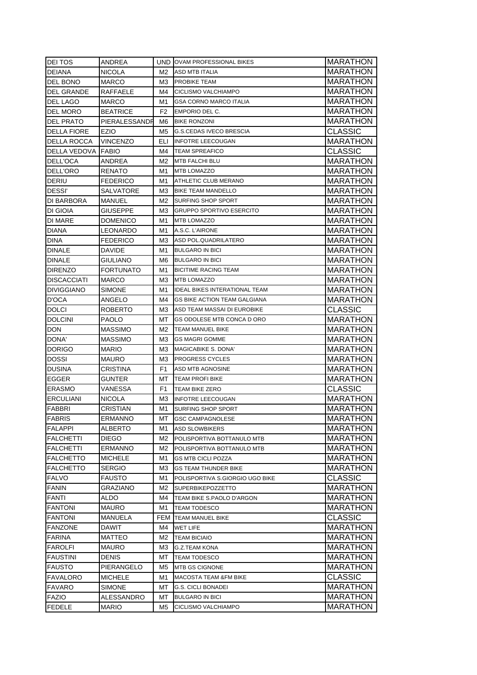| <b>DEITOS</b>             | ANDREA           |                | <b>UND OVAM PROFESSIONAL BIKES</b>   | MARATHON        |
|---------------------------|------------------|----------------|--------------------------------------|-----------------|
| <b>DEIANA</b>             | <b>NICOLA</b>    | M2             | ASD MTB ITALIA                       | <b>MARATHON</b> |
| DEL BONO                  | <b>MARCO</b>     | ΜЗ             | <b>PROBIKE TEAM</b>                  | MARATHON        |
| DEL GRANDE                | RAFFAELE         | M4             | CICLISMO VALCHIAMPO                  | MARATHON        |
| DEL LAGO                  | MARCO            | M1             | <b>GSA CORNO MARCO ITALIA</b>        | <b>MARATHON</b> |
| <b>DEL MORO</b>           | <b>BEATRICE</b>  | F <sub>2</sub> | EMPORIO DEL C.                       | MARATHON        |
| <b>DEL PRATO</b>          | PIERALESSANDR    | M6.            | <b>BIKE RONZONI</b>                  | MARATHON        |
| <b>DELLA FIORE</b>        | <b>EZIO</b>      | M5             | <b>G.S.CEDAS IVECO BRESCIA</b>       | <b>CLASSIC</b>  |
| DELLA ROCCA               | <b>VINCENZO</b>  | ELI            | <b>INFOTRE LEECOUGAN</b>             | <b>MARATHON</b> |
| <b>DELLA VEDOVA FABIO</b> |                  | M4             | <b>TEAM SPREAFICO</b>                | <b>CLASSIC</b>  |
| DELL'OCA                  | ANDREA           | M2             | MTB FALCHI BLU                       | <b>MARATHON</b> |
| DELL'ORO                  | RENATO           | M1             | <b>MTB LOMAZZO</b>                   | <b>MARATHON</b> |
| DERIU                     | <b>FEDERICO</b>  | M1             | ATHLETIC CLUB MERANO                 | <b>MARATHON</b> |
| <b>DESSI'</b>             | SALVATORE        | МЗ             | <b>BIKE TEAM MANDELLO</b>            | <b>MARATHON</b> |
| DI BARBORA                | MANUEL           | M2             | <b>SURFING SHOP SPORT</b>            | <b>MARATHON</b> |
| DI GIOIA                  | GIUSEPPE         | ΜЗ             | <b>GRUPPO SPORTIVO ESERCITO</b>      | <b>MARATHON</b> |
| DI MARE                   | DOMENICO         | M1             | <b>MTB LOMAZZO</b>                   | <b>MARATHON</b> |
| DIANA                     | LEONARDO         | M1             | A.S.C. L'AIRONE                      | <b>MARATHON</b> |
| DINA                      | FEDERICO         | ΜЗ             | ASD POL.QUADRILATERO                 | <b>MARATHON</b> |
| DINALE                    | DAVIDE           | M1             | <b>BULGARO IN BICI</b>               | <b>MARATHON</b> |
| <b>DINALE</b>             | GIULIANO         | M6             | <b>BULGARO IN BICI</b>               | <b>MARATHON</b> |
| <b>DIRENZO</b>            | <b>FORTUNATO</b> | M1             | <b>BICITIME RACING TEAM</b>          | <b>MARATHON</b> |
| <b>DISCACCIATI</b>        | <b>MARCO</b>     | МЗ             | <b>MTB LOMAZZO</b>                   | MARATHON        |
| <b>DIVIGGIANO</b>         | <b>SIMONE</b>    | M1             | <b>IDEAL BIKES INTERATIONAL TEAM</b> | <b>MARATHON</b> |
| D'OCA                     | ANGELO           | M4             | <b>GS BIKE ACTION TEAM GALGIANA</b>  | <b>MARATHON</b> |
| <b>DOLCI</b>              | ROBERTO          | ΜЗ             | ASD TEAM MASSAI DI EUROBIKE          | CLASSIC         |
| <b>DOLCINI</b>            | <b>PAOLO</b>     | MT             | GS ODOLESE MTB CONCA D ORO           | <b>MARATHON</b> |
| <b>DON</b>                | <b>MASSIMO</b>   | M2             | TEAM MANUEL BIKE                     | <b>MARATHON</b> |
| DONA'                     | <b>MASSIMO</b>   | ΜЗ             | <b>GS MAGRI GOMME</b>                | <b>MARATHON</b> |
| <b>DORIGO</b>             | <b>MARIO</b>     | ΜЗ             | MAGICABIKE S. DONA'                  | <b>MARATHON</b> |
| <b>DOSSI</b>              | MAURO            | МЗ             | <b>PROGRESS CYCLES</b>               | MARATHON        |
| <b>DUSINA</b>             | CRISTINA         | F1             | <b>ASD MTB AGNOSINE</b>              | <b>MARATHON</b> |
| EGGER                     | GUNTER           | MT.            | <b>TEAM PROFI BIKE</b>               | <b>MARATHON</b> |
| <b>ERASMO</b>             | VANESSA          | F1             | <b>TEAM BIKE ZERO</b>                | CLASSIC         |
| <b>ERCULIANI</b>          | NICOLA           | ΜЗ             | <b>INFOTRE LEECOUGAN</b>             | MARATHON        |
| <b>FABBRI</b>             | CRISTIAN         | M1             | SURFING SHOP SPORT                   | MARATHON        |
| <b>FABRIS</b>             | ERMANNO          | МT             | <b>GSC CAMPAGNOLESE</b>              | <b>MARATHON</b> |
| <b>FALAPPI</b>            | ALBERTO          | M1             | <b>ASD SLOWBIKERS</b>                | <b>MARATHON</b> |
| <b>FALCHETTI</b>          | DIEGO            | M2             | POLISPORTIVA BOTTANULO MTB           | MARATHON        |
| <b>FALCHETTI</b>          | <b>ERMANNO</b>   | M2             | POLISPORTIVA BOTTANULO MTB           | MARATHON        |
| <b>FALCHETTO</b>          | <b>MICHELE</b>   | M1             | <b>GS MTB CICLI POZZA</b>            | <b>MARATHON</b> |
| <b>FALCHETTO</b>          | SERGIO           | ΜЗ             | <b>GS TEAM THUNDER BIKE</b>          | MARATHON        |
| <b>FALVO</b>              | <b>FAUSTO</b>    | M1             | POLISPORTIVA S.GIORGIO UGO BIKE      | CLASSIC         |
| <b>FANIN</b>              | GRAZIANO         | М2             | <b>SUPERBIKEPOZZETTO</b>             | <b>MARATHON</b> |
| FANTI                     | ALDO             | M4             | TEAM BIKE S.PAOLO D'ARGON            | <b>MARATHON</b> |
| <b>FANTONI</b>            | <b>MAURO</b>     | M1             | <b>TEAM TODESCO</b>                  | MARATHON        |
| <b>FANTONI</b>            | MANUELA          | FEM            | <b>TEAM MANUEL BIKE</b>              | CLASSIC         |
| <b>FANZONE</b>            | DAWIT            | M4             | WET LIFE                             | <b>MARATHON</b> |
| <b>FARINA</b>             | MATTEO           | М2             | <b>TEAM BICIAIO</b>                  | <b>MARATHON</b> |
| <b>FAROLFI</b>            | MAURO            | MЗ             | G.Z.TEAM KONA                        | <b>MARATHON</b> |
| <b>FAUSTINI</b>           | DENIS            | МΤ             | TEAM TODESCO                         | MARATHON        |
| <b>FAUSTO</b>             | PIERANGELO       | M5             | MTB GS CIGNONE                       | MARATHON        |
| FAVALORO                  | MICHELE          | M1             | <b>MACOSTA TEAM &amp;FM BIKE</b>     | CLASSIC         |
| <b>FAVARO</b>             | SIMONE           | МT             | <b>G.S. CICLI BONADEI</b>            | MARATHON        |
| <b>FAZIO</b>              | ALESSANDRO       | МΤ<br>M5       | <b>BULGARO IN BICI</b>               | MARATHON        |
| <b>FEDELE</b>             | <b>MARIO</b>     |                | CICLISMO VALCHIAMPO                  | MARATHON        |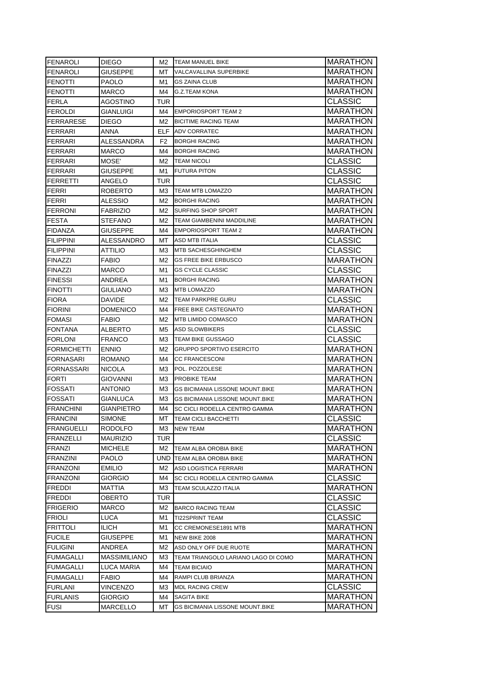| FENAROLI           | DIEGO           | M2   | <b>TEAM MANUEL BIKE</b>                | <b>MARATHON</b>                    |
|--------------------|-----------------|------|----------------------------------------|------------------------------------|
| <b>FENAROLI</b>    | GIUSEPPE        | MT.  | VALCAVALLINA SUPERBIKE                 | MARATHON                           |
| <b>FENOTTI</b>     | PAOLO           | M1   | <b>GS ZAINA CLUB</b>                   | MARATHON                           |
| <b>FENOTTI</b>     | MARCO           | M4   | <b>G.Z.TEAM KONA</b>                   | <b>MARATHON</b>                    |
| <b>FERLA</b>       | <b>AGOSTINO</b> | TUR  |                                        | <b>CLASSIC</b>                     |
| <b>FEROLDI</b>     | GIANLUIGI       | M4   | <b>EMPORIOSPORT TEAM 2</b>             | <b>MARATHON</b>                    |
| <b>FERRARESE</b>   | DIEGO           | M2   | <b>BICITIME RACING TEAM</b>            | <b>MARATHON</b>                    |
| <b>FERRARI</b>     | ANNA            | ELF. | <b>ADV CORRATEC</b>                    | <b>MARATHON</b>                    |
| <b>FERRARI</b>     | ALESSANDRA      | F2   | <b>BORGHI RACING</b>                   | <b>MARATHON</b>                    |
| <b>FERRARI</b>     | MARCO           | M4   | <b>BORGHI RACING</b>                   | <b>MARATHON</b>                    |
| <b>FERRARI</b>     | MOSE'           | M2   | <b>TEAM NICOLI</b>                     | CLASSIC                            |
| FERRARI            | GIUSEPPE        | M1   | <b>FUTURA PITON</b>                    | <b>CLASSIC</b>                     |
| FERRETTI           | ANGELO          | TUR  |                                        | <b>CLASSIC</b>                     |
| <b>FERRI</b>       | ROBERTO         | ΜЗ   | <b>TEAM MTB LOMAZZO</b>                | <b>MARATHON</b>                    |
| <b>FERRI</b>       | ALESSIO         | M2   | <b>BORGHI RACING</b>                   | MARATHON                           |
| <b>FERRONI</b>     | FABRIZIO        | M2   | SURFING SHOP SPORT                     | MARATHON                           |
| <b>FESTA</b>       | STEFANO         | M2   | TEAM GIAMBENINI MADDILINE              | MARATHON                           |
| <b>FIDANZA</b>     | GIUSEPPE        | M4   | <b>EMPORIOSPORT TEAM 2</b>             | MARATHON                           |
| <b>FILIPPINI</b>   | ALESSANDRO      | МT   | ASD MTB ITALIA                         | CLASSIC                            |
| <b>FILIPPINI</b>   | ATTILIO         | MЗ   | <b>MTB SACHESGHINGHEM</b>              | <b>CLASSIC</b>                     |
| <b>FINAZZI</b>     | <b>FABIO</b>    | M2   | <b>GS FREE BIKE ERBUSCO</b>            | <b>MARATHON</b>                    |
| <b>FINAZZI</b>     | MARCO           | M1   | <b>GS CYCLE CLASSIC</b>                | <b>CLASSIC</b>                     |
| <b>FINESSI</b>     | ANDREA          | M1   | <b>BORGHI RACING</b>                   | <b>MARATHON</b>                    |
| <b>FINOTTI</b>     | GIULIANO        | ΜЗ   | <b>MTB LOMAZZO</b>                     | <b>MARATHON</b>                    |
| <b>FIORA</b>       | DAVIDE          | M2   | TEAM PARKPRE GURU                      | <b>CLASSIC</b>                     |
| <b>FIORINI</b>     | DOMENICO        | M4   | <b>FREE BIKE CASTEGNATO</b>            | <b>MARATHON</b>                    |
| <b>FOMASI</b>      | FABIO           | M2   | <b>MTB LIMIDO COMASCO</b>              | MARATHON                           |
| <b>FONTANA</b>     | ALBERTO         | M5   | <b>ASD SLOWBIKERS</b>                  | <b>CLASSIC</b>                     |
| <b>FORLONI</b>     | <b>FRANCO</b>   | ΜЗ   | <b>TEAM BIKE GUSSAGO</b>               | CLASSIC                            |
|                    |                 |      |                                        |                                    |
| <b>FORMICHETTI</b> | <b>ENNIO</b>    | M2   | <b>GRUPPO SPORTIVO ESERCITO</b>        | MARATHON                           |
| <b>FORNASARI</b>   | ROMANO          | M4   | <b>CC FRANCESCONI</b>                  | MARATHON                           |
| <b>FORNASSARI</b>  | <b>NICOLA</b>   | MЗ   | POL. POZZOLESE                         | MARATHON                           |
| <b>FORTI</b>       | GIOVANNI        | MЗ   | <b>PROBIKE TEAM</b>                    | MARATHON                           |
| <b>FOSSATI</b>     | ANTONIO         | ΜЗ   | <b>GS BICIMANIA LISSONE MOUNT.BIKE</b> | MARATHON                           |
| <b>FOSSATI</b>     | GIANLUCA        | ΜЗ   | <b>GS BICIMANIA LISSONE MOUNT BIKE</b> | MARATHON                           |
| <b>FRANCHINI</b>   | GIANPIETRO      | M4   | <b>SC CICLI RODELLA CENTRO GAMMA</b>   | MARATHON                           |
| <b>FRANCINI</b>    | SIMONE          | MТ   | <b>TEAM CICLI BACCHETTI</b>            | <b>CLASSIC</b>                     |
| <b>FRANGUELLI</b>  | <b>RODOLFO</b>  | M3   | <b>NEW TEAM</b>                        | <b>MARATHON</b>                    |
| FRANZELLI          | <b>MAURIZIO</b> | TUR  |                                        | <b>CLASSIC</b>                     |
| <b>FRANZI</b>      | <b>MICHELE</b>  | M2   | TEAM ALBA OROBIA BIKE                  | <b>MARATHON</b>                    |
| <b>FRANZINI</b>    | <b>PAOLO</b>    | UND  | <b>TEAM ALBA OROBIA BIKE</b>           | <b>MARATHON</b>                    |
| <b>FRANZONI</b>    | <b>EMILIO</b>   | M2   | ASD LOGISTICA FERRARI                  | <b>MARATHON</b>                    |
| <b>FRANZONI</b>    | GIORGIO         | M4   | SC CICLI RODELLA CENTRO GAMMA          | <b>CLASSIC</b>                     |
| <b>FREDDI</b>      | MATTIA          | ΜЗ   | <b>TEAM SCULAZZO ITALIA</b>            | MARATHON                           |
| <b>FREDDI</b>      | OBERTO          | TUR  |                                        | <b>CLASSIC</b>                     |
| <b>FRIGERIO</b>    | MARCO           | M2   | <b>BARCO RACING TEAM</b>               | <b>CLASSIC</b>                     |
| <b>FRIOLI</b>      | LUCA            | M1   | <b>TI22SPRINT TEAM</b>                 | <b>CLASSIC</b>                     |
| <b>FRITTOLI</b>    | <b>ILICH</b>    | M1   | CC CREMONESE1891 MTB                   | MARATHON                           |
| <b>FUCILE</b>      | GIUSEPPE        | M1   | NEW BIKE 2008                          | MARATHON                           |
| <b>FULIGINI</b>    | ANDREA          | M2   | ASD ONLY OFF DUE RUOTE                 | MARATHON                           |
| <b>FUMAGALLI</b>   | MASSIMILIANO    | MЗ   | TEAM TRIANGOLO LARIANO LAGO DI COMO    | MARATHON                           |
| <b>FUMAGALLI</b>   | LUCA MARIA      | M4   | <b>TEAM BICIAIO</b>                    | MARATHON                           |
| <b>FUMAGALLI</b>   | FABIO           | M4   | RAMPI CLUB BRIANZA                     | MARATHON                           |
| <b>FURLANI</b>     | VINCENZO        | MЗ   | <b>MDL RACING CREW</b>                 | <b>CLASSIC</b>                     |
| <b>FURLANIS</b>    | GIORGIO         | M4   | <b>SAGITA BIKE</b>                     | <b>MARATHON</b><br><b>MARATHON</b> |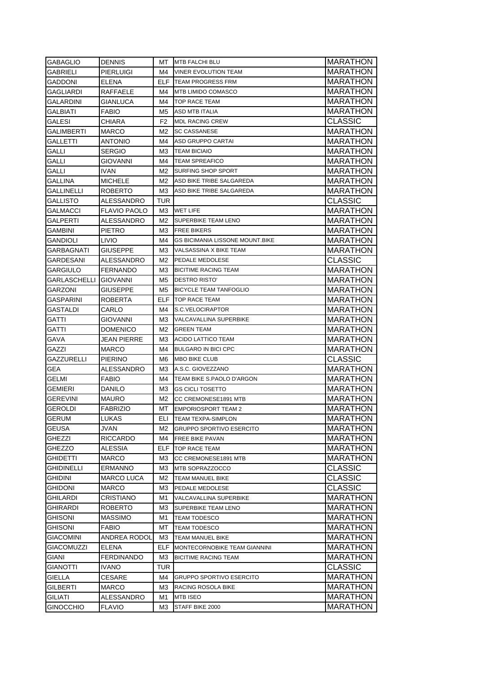| <b>GABAGLIO</b>       | DENNIS              |                | MT MTB FALCHI BLU                      | <b>MARATHON</b>                    |
|-----------------------|---------------------|----------------|----------------------------------------|------------------------------------|
| GABRIELI              | PIERLUIGI           | M4             | <b>VINER EVOLUTION TEAM</b>            | MARATHON                           |
| <b>GADDONI</b>        | ELENA               |                | <b>ELF TEAM PROGRESS FRM</b>           | MARATHON                           |
| GAGLIARDI             | RAFFAELE            | M4             | <b>MTB LIMIDO COMASCO</b>              | <b>MARATHON</b>                    |
| <b>GALARDINI</b>      | GIANLUCA            | M4             | <b>TOP RACE TEAM</b>                   | <b>MARATHON</b>                    |
| <b>GALBIATI</b>       | <b>FABIO</b>        | M5             | <b>ASD MTB ITALIA</b>                  | <b>MARATHON</b>                    |
| GALESI                | CHIARA              | F <sub>2</sub> | <b>MDL RACING CREW</b>                 | <b>CLASSIC</b>                     |
| <b>GALIMBERTI</b>     | MARCO               | M2             | <b>SC CASSANESE</b>                    | <b>MARATHON</b>                    |
| GALLETTI              | <b>ANTONIO</b>      | M4             | ASD GRUPPO CARTAI                      | <b>MARATHON</b>                    |
| GALLI                 | SERGIO              | ΜЗ             | <b>TEAM BICIAIO</b>                    | <b>MARATHON</b>                    |
| GALLI                 | GIOVANNI            | M4             | <b>TEAM SPREAFICO</b>                  | <b>MARATHON</b>                    |
| GALLI                 | IVAN                | M2             | <b>SURFING SHOP SPORT</b>              | <b>MARATHON</b>                    |
| <b>GALLINA</b>        | <b>MICHELE</b>      | M2             | ASD BIKE TRIBE SALGAREDA               | <b>MARATHON</b>                    |
| <b>GALLINELLI</b>     | ROBERTO             | ΜЗ             | ASD BIKE TRIBE SALGAREDA               | <b>MARATHON</b>                    |
| <b>GALLISTO</b>       | ALESSANDRO          | TUR            |                                        | <b>CLASSIC</b>                     |
| GALMACCI              | <b>FLAVIO PAOLO</b> | M3             | <b>WET LIFE</b>                        | MARATHON                           |
| GALPERTI              | ALESSANDRO          | M2             | <b>SUPERBIKE TEAM LENO</b>             | MARATHON                           |
| GAMBINI               | PIETRO              | ΜЗ             | <b>FREE BIKERS</b>                     | MARATHON                           |
| GANDIOLI              | LIVIO               | M4             | <b>GS BICIMANIA LISSONE MOUNT.BIKE</b> | MARATHON                           |
| GARBAGNATI            | GIUSEPPE            | ΜЗ             | VALSASSINA X BIKE TEAM                 | <b>MARATHON</b>                    |
| GARDESANI             | ALESSANDRO          | M2             | PEDALE MEDOLESE                        | <b>CLASSIC</b>                     |
| <b>GARGIULO</b>       | <b>FERNANDO</b>     | ΜЗ             | <b>BICITIME RACING TEAM</b>            | <b>MARATHON</b>                    |
| GARLASCHELLI GIOVANNI |                     | M5             | <b>DESTRO RISTO'</b>                   | <b>MARATHON</b>                    |
| <b>GARZONI</b>        | <b>GIUSEPPE</b>     | M5             | <b>BICYCLE TEAM TANFOGLIO</b>          | <b>MARATHON</b>                    |
| GASPARINI             | ROBERTA             | <b>ELF</b>     | <b>TOP RACE TEAM</b>                   | <b>MARATHON</b>                    |
| GASTALDI              | CARLO               | M4             | S.C.VELOCIRAPTOR                       | <b>MARATHON</b>                    |
| GATTI                 | GIOVANNI            | ΜЗ             | VALCAVALLINA SUPERBIKE                 | MARATHON                           |
| GATTI                 | DOMENICO            | M2             | <b>GREEN TEAM</b>                      | <b>MARATHON</b>                    |
|                       |                     |                |                                        |                                    |
| GAVA                  | JEAN PIERRE         | ΜЗ             | <b>ACIDO LATTICO TEAM</b>              |                                    |
| GAZZI                 | MARCO               | M4             | <b>BULGARO IN BICI CPC</b>             | MARATHON<br>MARATHON               |
| GAZZURELLI            | PIERINO             | M6             | <b>MBO BIKE CLUB</b>                   | <b>CLASSIC</b>                     |
| GEA                   | ALESSANDRO          | ΜЗ             | A.S.C. GIOVEZZANO                      | MARATHON                           |
| GELMI                 | <b>FABIO</b>        | M4             | TEAM BIKE S.PAOLO D'ARGON              | <b>MARATHON</b>                    |
| GEMIERI               | DANILO              | ΜЗ             | <b>GS CICLI TOSETTO</b>                | MARATHON                           |
| GEREVINI              | MAURO               | M2             | CC CREMONESE1891 MTB                   | MARATHON                           |
| <b>GEROLDI</b>        | <b>FABRIZIO</b>     | МT             | <b>EMPORIOSPORT TEAM 2</b>             | MARATHON                           |
| <b>GERUM</b>          | <b>LUKAS</b>        | ELI            | <b>TEAM TEXPA-SIMPLON</b>              | <b>MARATHON</b>                    |
| <b>GEUSA</b>          | JVAN                | M2             | <b>GRUPPO SPORTIVO ESERCITO</b>        | MARATHON                           |
| <b>GHEZZI</b>         | <b>RICCARDO</b>     | M4             | <b>FREE BIKE PAVAN</b>                 |                                    |
| GHEZZO                | ALESSIA             | ELF            | <b>TOP RACE TEAM</b>                   | <b>MARATHON</b>                    |
| <b>GHIDETTI</b>       | MARCO               | MЗ             | CC CREMONESE1891 MTB                   | <b>MARATHON</b><br><b>MARATHON</b> |
| GHIDINELLI            | <b>ERMANNO</b>      | MЗ             | MTB SOPRAZZOCCO                        | <b>CLASSIC</b>                     |
| Ghidini               | <b>MARCO LUCA</b>   | M2             | TEAM MANUEL BIKE                       |                                    |
| <b>GHIDONI</b>        | MARCO               | MЗ             | PEDALE MEDOLESE                        | <b>CLASSIC</b>                     |
| GHILARDI              | CRISTIANO           | M1             | <b>VALCAVALLINA SUPERBIKE</b>          | CLASSIC<br><b>MARATHON</b>         |
| GHIRARDI              | ROBERTO             | MЗ             | SUPERBIKE TEAM LENO                    | MARATHON                           |
| <b>GHISONI</b>        | MASSIMO             | M1             | <b>TEAM TODESCO</b>                    |                                    |
| <b>GHISONI</b>        | FABIO               | МT             | <b>TEAM TODESCO</b>                    | MARATHON                           |
| GIACOMINI             | <b>ANDREA RODOL</b> | M3             | TEAM MANUEL BIKE                       | MARATHON<br>MARATHON               |
| GIACOMUZZI            | ELENA               | ELF            | MONTECORNOBIKE TEAM GIANNINI           | MARATHON                           |
| GIANI                 | <b>FERDINANDO</b>   | МЗ             | <b>BICITIME RACING TEAM</b>            | MARATHON                           |
| GIANOTTI              | IVANO               | TUR            |                                        |                                    |
| GIELLA                | CESARE              | M4             | <b>GRUPPO SPORTIVO ESERCITO</b>        | CLASSIC<br>MARATHON                |
| <b>GILBERTI</b>       | MARCO               | ΜЗ             | RACING ROSOLA BIKE                     | MARATHON                           |
| <b>GILIATI</b>        | ALESSANDRO          | M1             | <b>MTB ISEO</b>                        | <b>MARATHON</b>                    |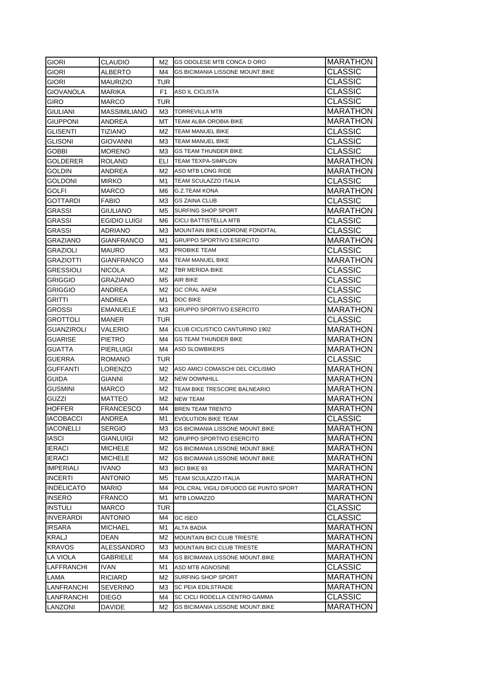| <b>GIORI</b>      | CLAUDIO             | M2  | <b>IGS ODOLESE MTB CONCA D ORO</b>     | MARATHON        |
|-------------------|---------------------|-----|----------------------------------------|-----------------|
| giori             | ALBERTO             | M4  | <b>GS BICIMANIA LISSONE MOUNT.BIKE</b> | <b>CLASSIC</b>  |
| GIORI             | <b>MAURIZIO</b>     | TUR |                                        | CLASSIC         |
| GIOVANOLA         | <b>MARIKA</b>       | F1  | ASD IL CICLISTA                        | <b>CLASSIC</b>  |
| <b>GIRO</b>       | MARCO               | TUR |                                        | <b>CLASSIC</b>  |
| <b>GIULIANI</b>   | <b>MASSIMILIANO</b> |     | M3 <b>TORREVILLA MTB</b>               | MARATHON        |
| <b>GIUPPONI</b>   | ANDREA              | MT. | <b>TEAM ALBA OROBIA BIKE</b>           | <b>MARATHON</b> |
| <b>GLISENTI</b>   | TIZIANO             | M2  | <b>TEAM MANUEL BIKE</b>                | <b>CLASSIC</b>  |
| <b>GLISONI</b>    | GIOVANNI            | ΜЗ  | <b>TEAM MANUEL BIKE</b>                | <b>CLASSIC</b>  |
| GOBBI             | <b>MORENO</b>       | ΜЗ  | <b>GS TEAM THUNDER BIKE</b>            | <b>CLASSIC</b>  |
| GOLDERER          | <b>ROLAND</b>       | ELI | <b>TEAM TEXPA-SIMPLON</b>              | <b>MARATHON</b> |
| <b>GOLDIN</b>     | ANDREA              | M2  | ASD MTB LONG RIDE                      | <b>MARATHON</b> |
| <b>GOLDONI</b>    | MIRKO               | M1  | <b>TEAM SCULAZZO ITALIA</b>            | <b>CLASSIC</b>  |
| <b>GOLFI</b>      | MARCO               | M6  | <b>G.Z.TEAM KONA</b>                   | MARATHON        |
| <b>GOTTARDI</b>   | FABIO               | M3  | <b>GS ZAINA CLUB</b>                   | <b>CLASSIC</b>  |
| <b>GRASSI</b>     | GIULIANO            | M5  | SURFING SHOP SPORT                     | MARATHON        |
| GRASSI            | EGIDIO LUIGI        | M6  | CICLI BATTISTELLA MTB                  | CLASSIC         |
| GRASSI            | ADRIANO             | MЗ  | MOUNTAIN BIKE LODRONE FONDITAL         | <b>CLASSIC</b>  |
| GRAZIANO          | GIANFRANCO          | M1  | <b>GRUPPO SPORTIVO ESERCITO</b>        | MARATHON        |
| GRAZIOLI          | MAURO               | MЗ  | <b>PROBIKE TEAM</b>                    | <b>CLASSIC</b>  |
| <b>GRAZIOTTI</b>  | GIANFRANCO          | M4  | TEAM MANUEL BIKE                       | <b>MARATHON</b> |
| <b>GRESSIOLI</b>  | <b>NICOLA</b>       | M2  | <b>TBR MERIDA BIKE</b>                 | <b>CLASSIC</b>  |
| <b>GRIGGIO</b>    | GRAZIANO            | M5  | <b>AIR BIKE</b>                        | <b>CLASSIC</b>  |
| <b>GRIGGIO</b>    | ANDREA              | M2  | <b>GC CRAL AAEM</b>                    | <b>CLASSIC</b>  |
| <b>GRITTI</b>     | <b>ANDREA</b>       | M1  | <b>DOC BIKE</b>                        | <b>CLASSIC</b>  |
| <b>GROSSI</b>     | <b>EMANUELE</b>     | MЗ  | <b>GRUPPO SPORTIVO ESERCITO</b>        | <b>MARATHON</b> |
| GROTTOLI          | MANER               | TUR |                                        | <b>CLASSIC</b>  |
| GUANZIROLI        | VALERIO             | M4  | CLUB CICLISTICO CANTURINO 1902         | <b>MARATHON</b> |
| <b>GUARISE</b>    | <b>PIETRO</b>       | M4  | <b>GS TEAM THUNDER BIKE</b>            | <b>MARATHON</b> |
| GUATTA            | PIERLUIGI           | M4  | <b>ASD SLOWBIKERS</b>                  | <b>MARATHON</b> |
| <b>GUERRA</b>     | ROMANO              | TUR |                                        | <b>CLASSIC</b>  |
| <b>GUFFANTI</b>   | LORENZO             | M2  | ASD AMICI COMASCHI DEL CICLISMO        | MARATHON        |
| <b>GUIDA</b>      | GIANNI              | M2  | <b>NEW DOWNHILL</b>                    | MARATHON        |
| GUSMINI           | MARCO               | M2  | <b>TEAM BIKE TRESCORE BALNEARIO</b>    | MARATHON        |
| GUZZI             | MATTEO              | M2  | <b>NEW TEAM</b>                        | MARATHON        |
| <b>HOFFER</b>     | FRANCESCO           | M4  | <b>BREN TEAM TRENTO</b>                | MARATHON        |
| <b>IACOBACCI</b>  | ANDREA              | M1  | <b>EVOLUTION BIKE TEAM</b>             | <b>CLASSIC</b>  |
| <b>IACONELLI</b>  | SERGIO              | M3  | <b>GS BICIMANIA LISSONE MOUNT.BIKE</b> | MARATHON        |
| <b>IASCI</b>      | GIANLUIGI           | M2  | <b>GRUPPO SPORTIVO ESERCITO</b>        | <b>MARATHON</b> |
| <b>IERACI</b>     | <b>MICHELE</b>      | M2  | <b>GS BICIMANIA LISSONE MOUNT.BIKE</b> | <b>MARATHON</b> |
| <b>IERACI</b>     | <b>MICHELE</b>      | M2  | <b>GS BICIMANIA LISSONE MOUNT BIKE</b> | <b>MARATHON</b> |
| <b>IMPERIALI</b>  | IVANO               | MЗ  | <b>BICI BIKE 93</b>                    | <b>MARATHON</b> |
| <b>INCERTI</b>    | ANTONIO             | M5  | <b>TEAM SCULAZZO ITALIA</b>            | <b>MARATHON</b> |
| <b>INDELICATO</b> | <b>MARIO</b>        | M4  | POL.CRAL VIGILI D/FUOCO GE PUNTO SPORT | <b>MARATHON</b> |
| <b>INSERO</b>     | FRANCO              | M1  | <b>MTB LOMAZZO</b>                     | MARATHON        |
| <b>INSTULI</b>    | MARCO               | TUR |                                        | <b>CLASSIC</b>  |
| <b>INVERARDI</b>  | ANTONIO             | M4  | <b>GC ISEO</b>                         | <b>CLASSIC</b>  |
| <b>IRSARA</b>     | MICHAEL             | M1  | <b>ALTA BADIA</b>                      | <b>MARATHON</b> |
| <b>KRALJ</b>      | DEAN                | M2  | <b>MOUNTAIN BICI CLUB TRIESTE</b>      | MARATHON        |
| <b>KRAVOS</b>     | ALESSANDRO          | MЗ  | <b>MOUNTAIN BICI CLUB TRIESTE</b>      | MARATHON        |
| LA VIOLA          | GABRIELE            | M4  | GS BICIMANIA LISSONE MOUNT.BIKE        | MARATHON        |
| LAFFRANCHI        | IVAN                | M1  | ASD MTB AGNOSINE                       | CLASSIC         |
| LAMA              | RICIARD             | M2  | SURFING SHOP SPORT                     | MARATHON        |
| LANFRANCHI        | SEVERINO            | M3  | <b>SC PEIA EDILSTRADE</b>              | MARATHON        |
| LANFRANCHI        | DIEGO               | M4  | SC CICLI RODELLA CENTRO GAMMA          | <b>CLASSIC</b>  |
| LANZONI           | DAVIDE              | M2  | <b>GS BICIMANIA LISSONE MOUNT.BIKE</b> | MARATHON        |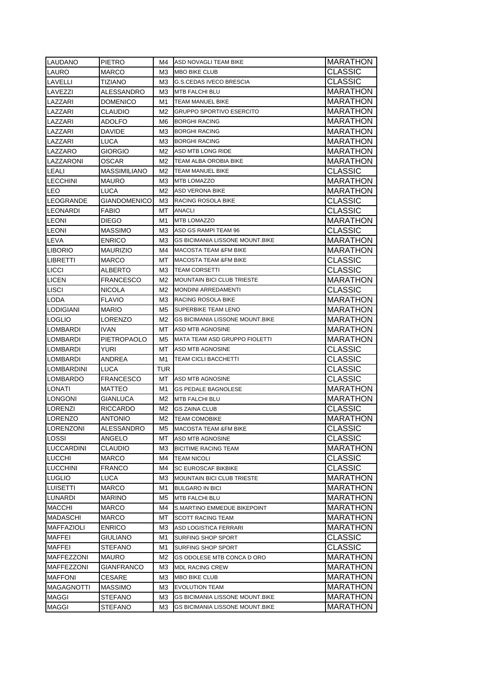| <b>LAUDANO</b>                   | <b>PIETRO</b>              | M4.      | ASD NOVAGLI TEAM BIKE                           | MARATHON                          |
|----------------------------------|----------------------------|----------|-------------------------------------------------|-----------------------------------|
| LAURO                            | MARCO                      | MЗ       | <b>MBO BIKE CLUB</b>                            | <b>CLASSIC</b>                    |
| LAVELLI                          | TIZIANO                    | ΜЗ       | <b>G.S.CEDAS IVECO BRESCIA</b>                  | CLASSIC                           |
| LAVEZZI                          | ALESSANDRO                 | MЗ       | MTB FALCHI BLU                                  | MARATHON                          |
| LAZZARI                          | DOMENICO                   | M1       | <b>TEAM MANUEL BIKE</b>                         | <b>MARATHON</b>                   |
| LAZZARI                          | CLAUDIO                    | M2       | <b>GRUPPO SPORTIVO ESERCITO</b>                 | <b>MARATHON</b>                   |
| LAZZARI                          | ADOLFO                     | M6.      | <b>BORGHI RACING</b>                            | <b>MARATHON</b>                   |
| LAZZARI                          | DAVIDE                     | M3.      | <b>BORGHI RACING</b>                            | <b>MARATHON</b>                   |
| LAZZARI                          | LUCA                       | МЗ       | <b>BORGHI RACING</b>                            | <b>MARATHON</b>                   |
| LAZZARO                          | GIORGIO                    | M2       | ASD MTB LONG RIDE                               | <b>MARATHON</b>                   |
| LAZZARONI                        | OSCAR                      | M2       | TEAM ALBA OROBIA BIKE                           | <b>MARATHON</b>                   |
| LEALI                            | <b>MASSIMILIANO</b>        | M2       | <b>TEAM MANUEL BIKE</b>                         | CLASSIC                           |
| <b>LECCHINI</b>                  | MAURO                      | МЗ       | <b>MTB LOMAZZO</b>                              | <b>MARATHON</b>                   |
| LEO                              | LUCA                       | M2       | <b>ASD VERONA BIKE</b>                          | <b>MARATHON</b>                   |
| LEOGRANDE                        | <b>GIANDOMENICO</b>        | ΜЗ       | RACING ROSOLA BIKE                              | CLASSIC                           |
| LEONARDI                         | <b>FABIO</b>               | МT       | <b>ANACLI</b>                                   | CLASSIC                           |
| <b>LEONI</b>                     | <b>DIEGO</b>               | M1       | <b>MTB LOMAZZO</b>                              | <b>MARATHON</b>                   |
| <b>LEONI</b>                     | <b>MASSIMO</b>             | ΜЗ       | ASD GS RAMPI TEAM 96                            | CLASSIC                           |
| LEVA                             | <b>ENRICO</b>              | ΜЗ       | GS BICIMANIA LISSONE MOUNT.BIKE                 | MARATHON                          |
| LIBORIO                          | MAURIZIO                   | M4       | <b>MACOSTA TEAM &amp;FM BIKE</b>                | MARATHON                          |
| <b>LIBRETTI</b>                  | MARCO                      | МT       | <b>MACOSTA TEAM &amp;FM BIKE</b>                | CLASSIC                           |
| <b>LICCI</b>                     | ALBERTO                    | ΜЗ       | <b>TEAM CORSETTI</b>                            | CLASSIC                           |
| LICEN                            | <b>FRANCESCO</b>           | M2       | <b>MOUNTAIN BICI CLUB TRIESTE</b>               | MARATHON                          |
| <b>LISCI</b>                     | <b>NICOLA</b>              | M2.      | <b>MONDINI ARREDAMENTI</b>                      | <b>CLASSIC</b>                    |
| LODA                             | <b>FLAVIO</b>              | ΜЗ       | RACING ROSOLA BIKE                              | <b>MARATHON</b>                   |
| LODIGIANI                        | <b>MARIO</b>               | M5       | SUPERBIKE TEAM LENO                             | <b>MARATHON</b>                   |
| <b>LOGLIO</b>                    | LORENZO                    | M2       | <b>GS BICIMANIA LISSONE MOUNT.BIKE</b>          | <b>MARATHON</b>                   |
| LOMBARDI                         | <b>IVAN</b>                | MT       | ASD MTB AGNOSINE                                | <b>MARATHON</b>                   |
|                                  |                            |          |                                                 |                                   |
| LOMBARDI                         | PIETROPAOLO                | M5       | MATA TEAM ASD GRUPPO FIOLETTI                   |                                   |
| LOMBARDI                         | YURI                       | MT.      | ASD MTB AGNOSINE                                | <b>MARATHON</b>                   |
| LOMBARDI                         | ANDREA                     | M1       | <b>TEAM CICLI BACCHETTI</b>                     | CLASSIC                           |
| LOMBARDINI                       | LUCA                       | TUR      |                                                 | CLASSIC<br>CLASSIC                |
| <b>LOMBARDO</b>                  | <b>FRANCESCO</b>           | MT.      | <b>ASD MTB AGNOSINE</b>                         |                                   |
| LONATI                           | MATTEO                     | M1       | <b>GS PEDALE BAGNOLESE</b>                      | <b>CLASSIC</b>                    |
| <b>LONGONI</b>                   | <b>GIANLUCA</b>            | M2       | <b>MTB FALCHI BLU</b>                           | MARATHON                          |
| LORENZI                          | RICCARDO                   | M2       | <b>GS ZAINA CLUB</b>                            | <b>MARATHON</b>                   |
|                                  |                            | M2.      | <b>TEAM COMOBIKE</b>                            | CLASSIC                           |
| LORENZO<br>LORENZONI             | ANTONIO<br>ALESSANDRO      | M5       | <b>MACOSTA TEAM &amp;FM BIKE</b>                | <b>MARATHON</b>                   |
| LOSSI                            | ANGELO                     | МT       | ASD MTB AGNOSINE                                | CLASSIC                           |
| <b>LUCCARDINI</b>                | CLAUDIO                    | MЗ       | <b>BICITIME RACING TEAM</b>                     | <b>CLASSIC</b><br><b>MARATHON</b> |
|                                  |                            | M4       | <b>TEAM NICOLI</b>                              |                                   |
| <b>LUCCHI</b><br><b>LUCCHINI</b> | MARCO<br>FRANCO            | M4       | <b>SC EUROSCAF BIKBIKE</b>                      | CLASSIC                           |
|                                  |                            |          | <b>MOUNTAIN BICI CLUB TRIESTE</b>               | <b>CLASSIC</b>                    |
| <b>LUGLIO</b>                    | LUCA                       | ΜЗ       |                                                 | <b>MARATHON</b>                   |
| <b>LUISETTI</b>                  | MARCO<br><b>MARINO</b>     | M1       | <b>BULGARO IN BICI</b><br><b>MTB FALCHI BLU</b> | <b>MARATHON</b>                   |
| LUNARDI<br><b>MACCHI</b>         | MARCO                      | M5<br>M4 | S.MARTINO EMMEDUE BIKEPOINT                     | <b>MARATHON</b>                   |
|                                  |                            |          | <b>SCOTT RACING TEAM</b>                        | <b>MARATHON</b>                   |
| MADASCHI<br>MAFFAZIOLI           | MARCO<br><b>ENRICO</b>     | МT<br>MЗ | ASD LOGISTICA FERRARI                           | MARATHON<br><b>MARATHON</b>       |
|                                  |                            | M1       |                                                 |                                   |
| MAFFEI<br>MAFFEI                 | GIULIANO<br><b>STEFANO</b> | M1       | SURFING SHOP SPORT<br>SURFING SHOP SPORT        | CLASSIC                           |
| MAFFEZZONI                       | MAURO                      | M2       | GS ODOLESE MTB CONCA D ORO                      | CLASSIC                           |
| MAFFEZZONI                       |                            | MЗ       | <b>MDL RACING CREW</b>                          | <b>MARATHON</b>                   |
| <b>MAFFONI</b>                   | GIANFRANCO                 | ΜЗ       | MBO BIKE CLUB                                   | <b>MARATHON</b>                   |
| MAGAGNOTTI                       | CESARE<br><b>MASSIMO</b>   | MЗ       | <b>EVOLUTION TEAM</b>                           | <b>MARATHON</b>                   |
| MAGGI                            | <b>STEFANO</b>             | MЗ       | GS BICIMANIA LISSONE MOUNT.BIKE                 | <b>MARATHON</b><br>MARATHON       |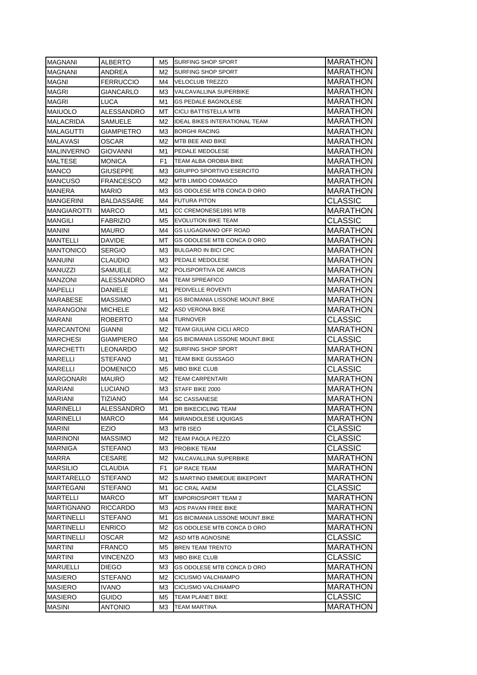| <b>MAGNANI</b>     | ALBERTO          | M5.      | <b>ISURFING SHOP SPORT</b>                     | <b>MARATHON</b> |
|--------------------|------------------|----------|------------------------------------------------|-----------------|
| <b>MAGNANI</b>     | ANDREA           | M2       | <b>SURFING SHOP SPORT</b>                      | MARATHON        |
| <b>MAGNI</b>       | <b>FERRUCCIO</b> | M4       | <b>VELOCLUB TREZZO</b>                         | MARATHON        |
| <b>MAGRI</b>       | GIANCARLO        | ΜЗ       | VALCAVALLINA SUPERBIKE                         | <b>MARATHON</b> |
| <b>MAGRI</b>       | LUCA             | M1       | <b>GS PEDALE BAGNOLESE</b>                     | <b>MARATHON</b> |
| <b>MAIUOLO</b>     | ALESSANDRO       | МT       | <b>CICLI BATTISTELLA MTB</b>                   | <b>MARATHON</b> |
| <b>MALACRIDA</b>   | SAMUELE          | M2       | <b>IDEAL BIKES INTERATIONAL TEAM</b>           | <b>MARATHON</b> |
| <b>MALAGUTTI</b>   | GIAMPIETRO       | ΜЗ       | <b>BORGHI RACING</b>                           | <b>MARATHON</b> |
| MALAVASI           | OSCAR            | M2       | MTB BEE AND BIKE                               | <b>MARATHON</b> |
| <b>MALINVERNO</b>  | GIOVANNI         | M1       | PEDALE MEDOLESE                                | <b>MARATHON</b> |
| <b>MALTESE</b>     | <b>MONICA</b>    | F1       | TEAM ALBA OROBIA BIKE                          | <b>MARATHON</b> |
| <b>MANCO</b>       | GIUSEPPE         | ΜЗ       | <b>GRUPPO SPORTIVO ESERCITO</b>                | <b>MARATHON</b> |
| <b>MANCUSO</b>     | FRANCESCO        | M2       | <b>MTB LIMIDO COMASCO</b>                      | MARATHON        |
| <b>MANERA</b>      | <b>MARIO</b>     | MЗ       | GS ODOLESE MTB CONCA D ORO                     | <b>MARATHON</b> |
| <b>MANGERINI</b>   | BALDASSARE       | M4       | <b>FUTURA PITON</b>                            | <b>CLASSIC</b>  |
| <b>MANGIAROTTI</b> | <b>MARCO</b>     | M1       | CC CREMONESE1891 MTB                           | MARATHON        |
| MANGILI            | FABRIZIO         | M5       | <b>EVOLUTION BIKE TEAM</b>                     | CLASSIC         |
| MANINI             | MAURO            | M4       | <b>GS LUGAGNANO OFF ROAD</b>                   | MARATHON        |
| MANTELLI           | DAVIDE           | МT       | GS ODOLESE MTB CONCA D ORO                     | MARATHON        |
| <b>MANTONICO</b>   | <b>SERGIO</b>    | MЗ       | <b>BULGARO IN BICI CPC</b>                     | <b>MARATHON</b> |
| <b>MANUINI</b>     | CLAUDIO          | ΜЗ       | PEDALE MEDOLESE                                | <b>MARATHON</b> |
| <b>MANUZZI</b>     | SAMUELE          | M2       | POLISPORTIVA DE AMICIS                         | <b>MARATHON</b> |
| <b>MANZONI</b>     | ALESSANDRO       | M4       | <b>TEAM SPREAFICO</b>                          | <b>MARATHON</b> |
| <b>MAPELLI</b>     | DANIELE          | M1       | PEDIVELLE ROVENTI                              | <b>MARATHON</b> |
| <b>MARABESE</b>    | <b>MASSIMO</b>   | M1       | <b>GS BICIMANIA LISSONE MOUNT.BIKE</b>         | <b>MARATHON</b> |
| <b>MARANGONI</b>   | <b>MICHELE</b>   | M2       | <b>ASD VERONA BIKE</b>                         | <b>MARATHON</b> |
| <b>MARANI</b>      | <b>ROBERTO</b>   | M4       | <b>TURNOVER</b>                                | CLASSIC         |
| <b>MARCANTONI</b>  | GIANNI           | M2       | <b>TEAM GIULIANI CICLI ARCO</b>                | <b>MARATHON</b> |
| <b>MARCHESI</b>    | GIAMPIERO        | M4       | <b>GS BICIMANIA LISSONE MOUNT BIKE</b>         | <b>CLASSIC</b>  |
| <b>MARCHETTI</b>   | LEONARDO         | M2       | <b>SURFING SHOP SPORT</b>                      | <b>MARATHON</b> |
| <b>MARELLI</b>     | STEFANO          | M1       | <b>TEAM BIKE GUSSAGO</b>                       | MARATHON        |
| <b>MARELLI</b>     | <b>DOMENICO</b>  | M5       | <b>MBO BIKE CLUB</b>                           | <b>CLASSIC</b>  |
| <b>MARGONARI</b>   | MAURO            | M2       | <b>TEAM CARPENTARI</b>                         | MARATHON        |
| MARIANI            | LUCIANO          | ΜЗ       | STAFF BIKE 2000                                | MARATHON        |
| MARIANI            | TIZIANO          | M4       | <b>SC CASSANESE</b>                            | MARATHON        |
| <b>MARINELLI</b>   | ALESSANDRO       | M1       | <b>DR BIKECICLING TEAM</b>                     | MARATHON        |
| <b>MARINELLI</b>   | <b>MARCO</b>     | M4       | <b>MIRANDOLESE LIQUIGAS</b>                    | <b>MARATHON</b> |
| <b>MARINI</b>      | EZIO             | MЗ       | <b>MTB ISEO</b>                                | <b>CLASSIC</b>  |
| <b>MARINONI</b>    | <b>MASSIMO</b>   | M2       | TEAM PAOLA PEZZO                               | <b>CLASSIC</b>  |
| <b>MARNIGA</b>     | STEFANO          | ΜЗ       | PROBIKE TEAM                                   | <b>CLASSIC</b>  |
| <b>MARRA</b>       | CESARE           | M2       | <b>VALCAVALLINA SUPERBIKE</b>                  | MARATHON        |
| <b>MARSILIO</b>    | CLAUDIA          | F1       | <b>GP RACE TEAM</b>                            | <b>MARATHON</b> |
| MARTARELLO         | STEFANO          | M2       | S.MARTINO EMMEDUE BIKEPOINT                    | <b>MARATHON</b> |
| MARTEGANI          | STEFANO          | M1       | <b>GC CRAL AAEM</b>                            | CLASSIC         |
| MARTELLI           | MARCO            | МT       | <b>EMPORIOSPORT TEAM 2</b>                     | <b>MARATHON</b> |
| <b>MARTIGNANO</b>  | <b>RICCARDO</b>  | MЗ       | ADS PAVAN FREE BIKE                            | MARATHON        |
| <b>MARTINELLI</b>  | <b>STEFANO</b>   | M1       | <b>GS BICIMANIA LISSONE MOUNT.BIKE</b>         | MARATHON        |
| <b>MARTINELLI</b>  | <b>ENRICO</b>    | M2       | GS ODOLESE MTB CONCA D ORO                     | MARATHON        |
| <b>MARTINELLI</b>  | OSCAR            | M2       | ASD MTB AGNOSINE                               | CLASSIC         |
| <b>MARTINI</b>     | FRANCO           | M5       | BREN TEAM TRENTO                               | MARATHON        |
| MARTINI            | VINCENZO         | MЗ       | <b>MBO BIKE CLUB</b>                           | CLASSIC         |
| <b>MARUELLI</b>    | DIEGO            | MЗ       | GS ODOLESE MTB CONCA D ORO                     | MARATHON        |
| <b>MASIERO</b>     | STEFANO          | M2       | CICLISMO VALCHIAMPO                            | MARATHON        |
| <b>MASIERO</b>     |                  |          |                                                | MARATHON        |
| <b>MASIERO</b>     | IVANO.<br>guido  | ΜЗ<br>M5 | CICLISMO VALCHIAMPO<br><b>TEAM PLANET BIKE</b> | <b>CLASSIC</b>  |
| <b>MASINI</b>      | <b>ANTONIO</b>   | MЗ       |                                                |                 |
|                    |                  |          | <b>TEAM MARTINA</b>                            | <b>MARATHON</b> |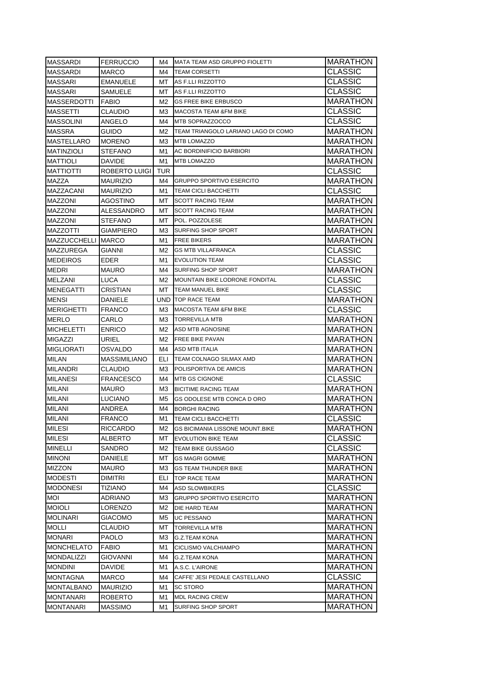| <b>MASSARDI</b>    | <b>FERRUCCIO</b>    | M4. | <b>IMATA TEAM ASD GRUPPO FIOLETTI</b>  | <b>MARATHON</b> |
|--------------------|---------------------|-----|----------------------------------------|-----------------|
| MASSARDI           | MARCO               | M4  | <b>TEAM CORSETTI</b>                   | CLASSIC         |
| MASSARI            | <b>EMANUELE</b>     | MT  | AS F.LLI RIZZOTTO                      | CLASSIC         |
| <b>MASSARI</b>     | SAMUELE             | MT. | AS F.LLI RIZZOTTO                      | CLASSIC         |
| <b>MASSERDOTTI</b> | <b>FABIO</b>        | M2  | <b>GS FREE BIKE ERBUSCO</b>            | MARATHON        |
| <b>MASSETTI</b>    | CLAUDIO             | МЗ  | <b>MACOSTA TEAM &amp;FM BIKE</b>       | <b>CLASSIC</b>  |
| <b>MASSOLINI</b>   | ANGELO              | M4  | MTB SOPRAZZOCCO                        | <b>CLASSIC</b>  |
| <b>MASSRA</b>      | GUIDO               | M2  | TEAM TRIANGOLO LARIANO LAGO DI COMO    | <b>MARATHON</b> |
| <b>MASTELLARO</b>  | <b>MORENO</b>       | МЗ  | <b>MTB LOMAZZO</b>                     | <b>MARATHON</b> |
| MATINZIOLI         | <b>STEFANO</b>      | M1  | AC BORDINIFICIO BARBIORI               | <b>MARATHON</b> |
| MATTIOLI           | <b>DAVIDE</b>       | M1  | <b>MTB LOMAZZO</b>                     | <b>MARATHON</b> |
| <b>MATTIOTTI</b>   | ROBERTO LUIGI       | TUR |                                        | CLASSIC         |
| MAZZA              | <b>MAURIZIO</b>     | M4  | <b>GRUPPO SPORTIVO ESERCITO</b>        | <b>MARATHON</b> |
| MAZZACANI          | <b>MAURIZIO</b>     | M1  | <b>TEAM CICLI BACCHETTI</b>            | CLASSIC         |
| <b>MAZZONI</b>     | AGOSTINO            | MT. | <b>SCOTT RACING TEAM</b>               | <b>MARATHON</b> |
| <b>MAZZONI</b>     | ALESSANDRO          | МΤ  | <b>SCOTT RACING TEAM</b>               | <b>MARATHON</b> |
| <b>MAZZONI</b>     | STEFANO             | MT. | POL. POZZOLESE                         | <b>MARATHON</b> |
| <b>MAZZOTTI</b>    | GIAMPIERO           | MЗ  | SURFING SHOP SPORT                     | <b>MARATHON</b> |
| MAZZUCCHELLI MARCO |                     | M1  | <b>FREE BIKERS</b>                     | <b>MARATHON</b> |
| MAZZUREGA          | GIANNI              | M2  | <b>GS MTB VILLAFRANCA</b>              | CLASSIC         |
| <b>MEDEIROS</b>    | <b>EDER</b>         | M1  | <b>EVOLUTION TEAM</b>                  | CLASSIC         |
| <b>MEDRI</b>       | <b>MAURO</b>        | M4  | <b>SURFING SHOP SPORT</b>              | MARATHON        |
| <b>MELZANI</b>     | LUCA                | M2  | MOUNTAIN BIKE LODRONE FONDITAL         | <b>CLASSIC</b>  |
| <b>MENEGATTI</b>   | CRISTIAN            | MT  | <b>TEAM MANUEL BIKE</b>                | CLASSIC         |
| <b>MENSI</b>       | DANIELE             |     | <b>UND TOP RACE TEAM</b>               | <b>MARATHON</b> |
| <b>MERIGHETTI</b>  | <b>FRANCO</b>       | M3. | <b>MACOSTA TEAM &amp;FM BIKE</b>       | CLASSIC         |
| <b>MERLO</b>       | CARLO               | ΜЗ  | <b>TORREVILLA MTB</b>                  | <b>MARATHON</b> |
| <b>MICHELETTI</b>  | <b>ENRICO</b>       | M2  | ASD MTB AGNOSINE                       | <b>MARATHON</b> |
| <b>MIGAZZI</b>     | URIEL               | M2  | <b>FREE BIKE PAVAN</b>                 | <b>MARATHON</b> |
| MIGLIORATI         | OSVALDO             | M4  | <b>ASD MTB ITALIA</b>                  | MARATHON        |
| <b>MILAN</b>       | <b>MASSIMILIANO</b> | ELI | <b>TEAM COLNAGO SILMAX AMD</b>         | <b>MARATHON</b> |
| <b>MILANDRI</b>    | CLAUDIO             | МЗ  | POLISPORTIVA DE AMICIS                 | <b>MARATHON</b> |
| <b>MILANESI</b>    | <b>FRANCESCO</b>    | M4  | <b>MTB GS CIGNONE</b>                  | CLASSIC         |
| <b>MILANI</b>      | MAURO               | МЗ  | <b>BICITIME RACING TEAM</b>            | MARATHON        |
| MILANI             | LUCIANO             | M5  | GS ODOLESE MTB CONCA D ORO             | <b>MARATHON</b> |
| MILANI             | ANDREA              | M4  | <b>BORGHI RACING</b>                   | MARATHON        |
| <b>MILANI</b>      | <b>FRANCO</b>       | M1  | <b>TEAM CICLI BACCHETTI</b>            | CLASSIC         |
| <b>MILESI</b>      | RICCARDO            | M2  | <b>GS BICIMANIA LISSONE MOUNT.BIKE</b> | <b>MARATHON</b> |
| <b>MILESI</b>      | <b>ALBERTO</b>      | МT  | <b>EVOLUTION BIKE TEAM</b>             | <b>CLASSIC</b>  |
| <b>MINELLI</b>     | SANDRO              | M2  | <b>TEAM BIKE GUSSAGO</b>               | <b>CLASSIC</b>  |
| <b>MINONI</b>      | DANIELE             | МT  | <b>GS MAGRI GOMME</b>                  | <b>MARATHON</b> |
| <b>MIZZON</b>      | MAURO               | ΜЗ  | <b>GS TEAM THUNDER BIKE</b>            | <b>MARATHON</b> |
| <b>MODESTI</b>     | DIMITRI             | ELI | <b>TOP RACE TEAM</b>                   | <b>MARATHON</b> |
| <b>MODONESI</b>    | <b>TIZIANO</b>      | M4  | <b>ASD SLOWBIKERS</b>                  | CLASSIC         |
| MOI                | ADRIANO             | ΜЗ  | <b>GRUPPO SPORTIVO ESERCITO</b>        | <b>MARATHON</b> |
| <b>MOIOLI</b>      | LORENZO             | M2  | DIE HARD TEAM                          | <b>MARATHON</b> |
| <b>MOLINARI</b>    | GIACOMO             | M5  | UC PESSANO                             | <b>MARATHON</b> |
| <b>MOLLI</b>       | CLAUDIO             | МT  | <b>TORREVILLA MTB</b>                  | <b>MARATHON</b> |
| <b>MONARI</b>      | PAOLO               | MЗ  | <b>G.Z.TEAM KONA</b>                   | <b>MARATHON</b> |
| <b>MONCHELATO</b>  | FABIO               | M1  | CICLISMO VALCHIAMPO                    | <b>MARATHON</b> |
| <b>MONDALIZZI</b>  | GIOVANNI            | M4  | G.Z.TEAM KONA                          | <b>MARATHON</b> |
| <b>MONDINI</b>     | DAVIDE              | M1  | A.S.C. L'AIRONE                        | MARATHON        |
| <b>MONTAGNA</b>    | MARCO               | M4  | CAFFE' JESI PEDALE CASTELLANO          | CLASSIC         |
| <b>MONTALBANO</b>  |                     |     |                                        |                 |
|                    | <b>MAURIZIO</b>     | M1  | <b>SC STORO</b>                        | <b>MARATHON</b> |
| <b>MONTANARI</b>   | ROBERTO             | M1  | <b>MDL RACING CREW</b>                 | MARATHON        |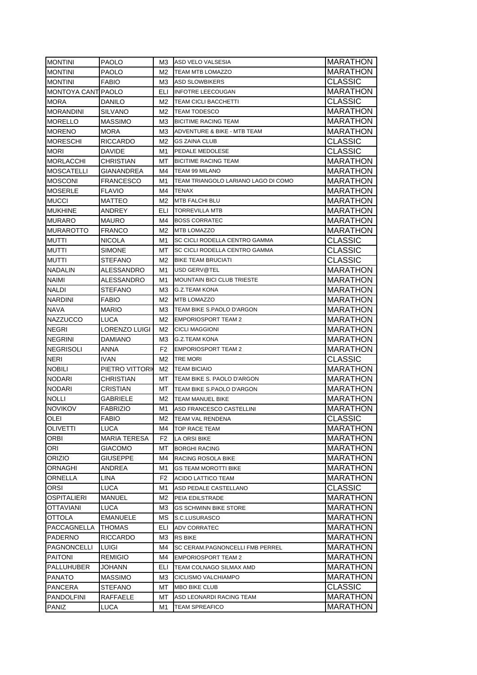| <b>MONTINI</b>            | PAOLO               | M3.            | ASD VELO VALSESIA                      | <b>MARATHON</b> |
|---------------------------|---------------------|----------------|----------------------------------------|-----------------|
| <b>MONTINI</b>            | PAOLO               | M2             | <b>TEAM MTB LOMAZZO</b>                | MARATHON        |
| <b>MONTINI</b>            | FABIO               | МЗ             | <b>ASD SLOWBIKERS</b>                  | <b>CLASSIC</b>  |
| <b>MONTOYA CANT PAOLO</b> |                     | ELI            | <b>INFOTRE LEECOUGAN</b>               | <b>MARATHON</b> |
| <b>MORA</b>               | DANILO              | M2             | <b>TEAM CICLI BACCHETTI</b>            | <b>CLASSIC</b>  |
| <b>MORANDINI</b>          | SILVANO             | M2             | <b>TEAM TODESCO</b>                    | <b>MARATHON</b> |
| <b>MORELLO</b>            | <b>MASSIMO</b>      | ΜЗ             | <b>BICITIME RACING TEAM</b>            | <b>MARATHON</b> |
| <b>MORENO</b>             | MORA                | ΜЗ             | ADVENTURE & BIKE - MTB TEAM            | <b>MARATHON</b> |
| MORESCHI                  | <b>RICCARDO</b>     | M2             | <b>GS ZAINA CLUB</b>                   | <b>CLASSIC</b>  |
| <b>MORI</b>               | DAVIDE              | M1             | PEDALE MEDOLESE                        | <b>CLASSIC</b>  |
| <b>MORLACCHI</b>          | CHRISTIAN           | МT             | <b>BICITIME RACING TEAM</b>            | <b>MARATHON</b> |
| <b>MOSCATELLI</b>         | GIANANDREA          | M4             | TEAM 99 MILANO                         | <b>MARATHON</b> |
| <b>MOSCONI</b>            | <b>FRANCESCO</b>    | M1             | TEAM TRIANGOLO LARIANO LAGO DI COMO    | <b>MARATHON</b> |
| <b>MOSERLE</b>            | <b>FLAVIO</b>       | M4             | <b>TENAX</b>                           | <b>MARATHON</b> |
| <b>MUCCI</b>              | MATTEO              | M2             | MTB FALCHI BLU                         | MARATHON        |
| <b>MUKHINE</b>            | ANDREY              | ELI            | <b>TORREVILLA MTB</b>                  | MARATHON        |
| <b>MURARO</b>             | MAURO               | M4             | <b>BOSS CORRATEC</b>                   | MARATHON        |
| <b>MURAROTTO</b>          | FRANCO              | M2             | <b>MTB LOMAZZO</b>                     | MARATHON        |
| <b>MUTTI</b>              | NICOLA              | M1             | <b>SC CICLI RODELLA CENTRO GAMMA</b>   | CLASSIC         |
| <b>MUTTI</b>              | SIMONE              | МT             | SC CICLI RODELLA CENTRO GAMMA          | <b>CLASSIC</b>  |
| <b>MUTTI</b>              | <b>STEFANO</b>      | M2             | <b>BIKE TEAM BRUCIATI</b>              | <b>CLASSIC</b>  |
| <b>NADALIN</b>            | ALESSANDRO          | M1             | USD GERV@TEL                           | <b>MARATHON</b> |
| <b>NAIMI</b>              | ALESSANDRO          | M1             | <b>MOUNTAIN BICI CLUB TRIESTE</b>      | <b>MARATHON</b> |
| <b>NALDI</b>              | STEFANO             | ΜЗ             | <b>G.Z.TEAM KONA</b>                   | <b>MARATHON</b> |
| <b>NARDINI</b>            | <b>FABIO</b>        | M2             | <b>MTB LOMAZZO</b>                     | <b>MARATHON</b> |
| <b>NAVA</b>               | <b>MARIO</b>        | ΜЗ             | TEAM BIKE S.PAOLO D'ARGON              | <b>MARATHON</b> |
| <b>NAZZUCCO</b>           | LUCA                | M2             | <b>EMPORIOSPORT TEAM 2</b>             | MARATHON        |
| <b>NEGRI</b>              | LORENZO LUIGI       | M2             | <b>CICLI MAGGIONI</b>                  | <b>MARATHON</b> |
| NEGRINI                   | DAMIANO             | ΜЗ             | <b>G.Z.TEAM KONA</b>                   | MARATHON        |
| NEGRISOLI                 | ANNA                | F2             | <b>EMPORIOSPORT TEAM 2</b>             | MARATHON        |
| NERI                      | IVAN                | M2             | <b>TRE MORI</b>                        | CLASSIC         |
| <b>NOBILI</b>             | PIETRO VITTORI      | M2             | <b>TEAM BICIAIO</b>                    | MARATHON        |
| <b>NODARI</b>             | CHRISTIAN           | MT.            | TEAM BIKE S. PAOLO D'ARGON             | MARATHON        |
| <b>NODARI</b>             | CRISTIAN            | MT.            | TEAM BIKE S.PAOLO D'ARGON              | MARATHON        |
| <b>NOLLI</b>              | GABRIELE            | M2             | <b>TEAM MANUEL BIKE</b>                | MARATHON        |
| <b>NOVIKOV</b>            | FABRIZIO            | M1             | ASD FRANCESCO CASTELLINI               | MARATHON        |
| OLEI                      | FABIO               | M2             | <b>TEAM VAL RENDENA</b>                | <b>CLASSIC</b>  |
| <b>OLIVETTI</b>           | LUCA                | M4             | TOP RACE TEAM                          | <b>MARATHON</b> |
| <b>ORBI</b>               | <b>MARIA TERESA</b> | F <sub>2</sub> | <b>LA ORSI BIKE</b>                    | <b>MARATHON</b> |
| ORI                       | GIACOMO             | МT             | <b>BORGHI RACING</b>                   | <b>MARATHON</b> |
| <b>ORIZIO</b>             | GIUSEPPE            | M4             | RACING ROSOLA BIKE                     | <b>MARATHON</b> |
| ORNAGHI                   | ANDREA              | M1             | <b>GS TEAM MOROTTI BIKE</b>            | <b>MARATHON</b> |
| ORNELLA                   | LINA                | F2             | ACIDO LATTICO TEAM                     | <b>MARATHON</b> |
| ORSI                      | LUCA                | M1             | ASD PEDALE CASTELLANO                  | <b>CLASSIC</b>  |
| <b>OSPITALIERI</b>        | MANUEL              | M2             | PEIA EDILSTRADE                        | <b>MARATHON</b> |
| <b>OTTAVIANI</b>          | LUCA                | MЗ             | <b>GS SCHWINN BIKE STORE</b>           | MARATHON        |
| OTTOLA                    | <b>EMANUELE</b>     | МS             | S.C.LUSURASCO                          | MARATHON        |
| PACCAGNELLA               | THOMAS              | ELI            | ADV CORRATEC                           | MARATHON        |
| PADERNO                   | RICCARDO            | MЗ             | <b>RS BIKE</b>                         | MARATHON        |
| <b>PAGNONCELLI</b>        | LUIGI               | M4             | <b>SC CERAM.PAGNONCELLI FMB PERREL</b> | MARATHON        |
| <b>PAITONI</b>            | REMIGIO             | M4             | <b>EMPORIOSPORT TEAM 2</b>             | MARATHON        |
| PALLUHUBER                | JOHANN              | ELI            | TEAM COLNAGO SILMAX AMD                | MARATHON        |
| <b>PANATO</b>             | MASSIMO             | MЗ             | CICLISMO VALCHIAMPO                    | MARATHON        |
| PANCERA                   | STEFANO             | МT             | <b>MBO BIKE CLUB</b>                   | <b>CLASSIC</b>  |
| <b>PANDOLFINI</b>         | RAFFAELE            | МT             | ASD LEONARDI RACING TEAM               | <b>MARATHON</b> |
| PANIZ                     | LUCA                | M1             | <b>TEAM SPREAFICO</b>                  | <b>MARATHON</b> |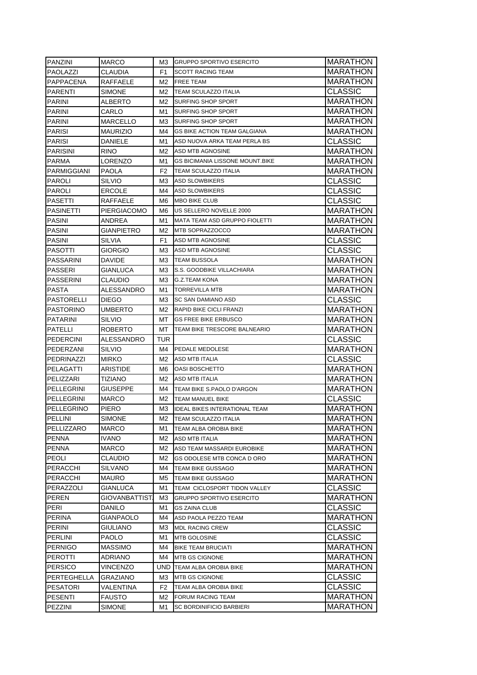| <b>PANZINI</b>    | <b>MARCO</b>    | M3. | <b>GRUPPO SPORTIVO ESERCITO</b>        | MARATHON                          |
|-------------------|-----------------|-----|----------------------------------------|-----------------------------------|
| PAOLAZZI          | CLAUDIA         | F1  | <b>SCOTT RACING TEAM</b>               | <b>MARATHON</b>                   |
| PAPPACENA         | RAFFAELE        | M2  | <b>FREE TEAM</b>                       | <b>MARATHON</b>                   |
| <b>PARENTI</b>    | SIMONE          | M2  | TEAM SCULAZZO ITALIA                   | CLASSIC                           |
| <b>PARINI</b>     | ALBERTO         | M2  | SURFING SHOP SPORT                     | <b>MARATHON</b>                   |
| <b>PARINI</b>     | CARLO           | M1  | SURFING SHOP SPORT                     | MARATHON                          |
| <b>PARINI</b>     | MARCELLO        | МЗ  | <b>SURFING SHOP SPORT</b>              | MARATHON                          |
| <b>PARISI</b>     | <b>MAURIZIO</b> | M4  | <b>GS BIKE ACTION TEAM GALGIANA</b>    | <b>MARATHON</b>                   |
| <b>PARISI</b>     | DANIELE         | M1  | ASD NUOVA ARKA TEAM PERLA BS           | CLASSIC                           |
| <b>PARISINI</b>   | <b>RINO</b>     | M2  | ASD MTB AGNOSINE                       | <b>MARATHON</b>                   |
| PARMA             | LORENZO         | M1  | <b>GS BICIMANIA LISSONE MOUNT.BIKE</b> | <b>MARATHON</b>                   |
| PARMIGGIANI       | <b>PAOLA</b>    | F2  | TEAM SCULAZZO ITALIA                   | <b>MARATHON</b>                   |
| PAROLI            | SILVIO          | ΜЗ  | <b>ASD SLOWBIKERS</b>                  | CLASSIC                           |
| PAROLI            | ERCOLE          | M4  | <b>ASD SLOWBIKERS</b>                  | CLASSIC                           |
| <b>PASETTI</b>    | RAFFAELE        | M6  | <b>MBO BIKE CLUB</b>                   | <b>CLASSIC</b>                    |
| <b>PASINETTI</b>  | PIERGIACOMO     | M6  | US SELLERO NOVELLE 2000                | <b>MARATHON</b>                   |
| <b>PASINI</b>     | ANDREA          | M1  | <b>MATA TEAM ASD GRUPPO FIOLETTI</b>   | <b>MARATHON</b>                   |
| PASINI            | GIANPIETRO      | M2  | MTB SOPRAZZOCCO                        | <b>MARATHON</b>                   |
| PASINI            | SILVIA          | F1  | ASD MTB AGNOSINE                       | CLASSIC                           |
| PASOTTI           | GIORGIO         | MЗ  | <b>ASD MTB AGNOSINE</b>                | CLASSIC                           |
| PASSARINI         | DAVIDE          | МЗ  | <b>TEAM BUSSOLA</b>                    | <b>MARATHON</b>                   |
| <b>PASSERI</b>    | GIANLUCA        | ΜЗ  | S.S. GOODBIKE VILLACHIARA              | MARATHON                          |
| <b>PASSERINI</b>  | CLAUDIO         | МЗ  | <b>G.Z.TEAM KONA</b>                   | MARATHON                          |
| <b>PASTA</b>      | ALESSANDRO      | M1  | <b>TORREVILLA MTB</b>                  | <b>MARATHON</b>                   |
| <b>PASTORELLI</b> | <b>DIEGO</b>    | M3. | <b>SC SAN DAMIANO ASD</b>              | CLASSIC                           |
| <b>PASTORINO</b>  | UMBERTO         | M2  | <b>RAPID BIKE CICLI FRANZI</b>         | <b>MARATHON</b>                   |
| <b>PATARINI</b>   | SILVIO          | MT  | <b>GS FREE BIKE ERBUSCO</b>            | <b>MARATHON</b>                   |
| PATELLI           | <b>ROBERTO</b>  | МT  | TEAM BIKE TRESCORE BALNEARIO           | <b>MARATHON</b>                   |
| <b>PEDERCINI</b>  | ALESSANDRO      | TUR |                                        | CLASSIC                           |
| PEDERZANI         | SILVIO          | M4  | <b>PEDALE MEDOLESE</b>                 | <b>MARATHON</b>                   |
| PEDRINAZZI        | <b>MIRKO</b>    | M2  | ASD MTB ITALIA                         | CLASSIC                           |
| <b>PELAGATTI</b>  | ARISTIDE        | M6  | OASI BOSCHETTO                         | <b>MARATHON</b>                   |
|                   |                 |     |                                        |                                   |
| PELIZZARI         | TIZIANO         | M2  | ASD MTB ITALIA                         | <b>MARATHON</b>                   |
| PELLEGRINI        | GIUSEPPE        | M4  | TEAM BIKE S.PAOLO D'ARGON              | <b>MARATHON</b>                   |
| PELLEGRINI        | <b>MARCO</b>    | M2  | TEAM MANUEL BIKE                       | CLASSIC                           |
| PELLEGRINO        | PIERO           | MЗ  | <b>IDEAL BIKES INTERATIONAL TEAM</b>   | MARATHON                          |
| PELLINI           | SIMONE          | M2  | <b>TEAM SCULAZZO ITALIA</b>            | <b>MARATHON</b>                   |
| PELLIZZARO        | MARCO           | M1  | TEAM ALBA OROBIA BIKE                  | <b>MARATHON</b>                   |
| <b>PENNA</b>      | IVANO.          | M2  | ASD MTB ITALIA                         | MARATHON                          |
| <b>PENNA</b>      | MARCO           | M2  | ASD TEAM MASSARDI EUROBIKE             | <b>MARATHON</b>                   |
| <b>PEOLI</b>      | CLAUDIO         | М2  | GS ODOLESE MTB CONCA D ORO             | <b>MARATHON</b>                   |
| <b>PERACCHI</b>   | SILVANO         | M4  | TEAM BIKE GUSSAGO                      | <b>MARATHON</b>                   |
| <b>PERACCHI</b>   | <b>MAURO</b>    | M5  | TEAM BIKE GUSSAGO                      | <b>MARATHON</b>                   |
| PERAZZOLI         | GIANLUCA        | M1  | TEAM CICLOSPORT TIDON VALLEY           | CLASSIC                           |
| <b>PEREN</b>      | GIOVANBATTIST.  | MЗ  | <b>GRUPPO SPORTIVO ESERCITO</b>        | <b>MARATHON</b>                   |
| <b>PERI</b>       | DANILO          | M1  | <b>GS ZAINA CLUB</b>                   |                                   |
| PERINA            | GIANPAOLO       | M4  | ASD PAOLA PEZZO TEAM                   | <b>CLASSIC</b><br><b>MARATHON</b> |
| PERINI            | GIULIANO        | MЗ  | <b>MDL RACING CREW</b>                 | CLASSIC                           |
| PERLINI           | <b>PAOLO</b>    | M1  | MTB GOLOSINE                           | CLASSIC                           |
| <b>PERNIGO</b>    | MASSIMO         | M4  | <b>BIKE TEAM BRUCIATI</b>              | <b>MARATHON</b>                   |
| <b>PEROTTI</b>    | ADRIANO         | M4  | MTB GS CIGNONE                         |                                   |
| <b>PERSICO</b>    | VINCENZO        | UND | TEAM ALBA OROBIA BIKE                  | MARATHON<br>MARATHON              |
| PERTEGHELLA       | GRAZIANO        | MЗ  | MTB GS CIGNONE                         | CLASSIC                           |
| <b>PESATORI</b>   | VALENTINA       | F2  | TEAM ALBA OROBIA BIKE                  | CLASSIC                           |
| <b>PESENTI</b>    | FAUSTO          | M2  | <b>FORUM RACING TEAM</b>               | MARATHON                          |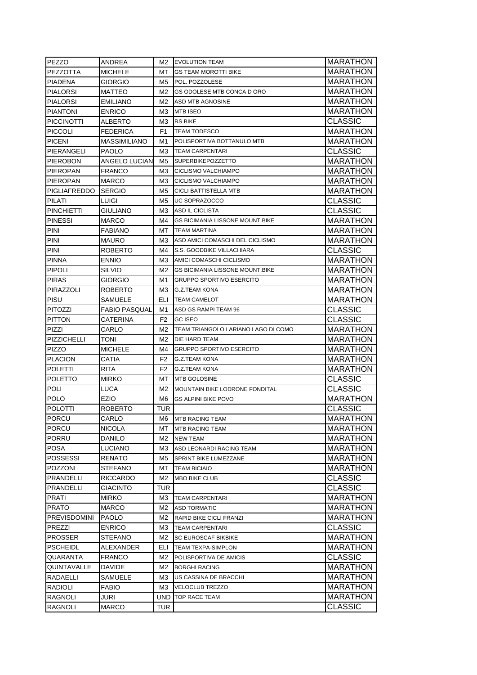| PEZZO                            | ANDREA               | M2             | <b>EVOLUTION TEAM</b>                  | <b>MARATHON</b>                   |
|----------------------------------|----------------------|----------------|----------------------------------------|-----------------------------------|
| <b>PEZZOTTA</b>                  | MICHELE              | МT             | GS TEAM MOROTTI BIKE                   | MARATHON                          |
| PIADENA                          | GIORGIO              | M5             | POL. POZZOLESE                         | MARATHON                          |
| <b>PIALORSI</b>                  | MATTEO               | M2             | GS ODOLESE MTB CONCA D ORO             | MARATHON                          |
| <b>PIALORSI</b>                  | <b>EMILIANO</b>      | M <sub>2</sub> | <b>ASD MTB AGNOSINE</b>                | MARATHON                          |
| <b>PIANTONI</b>                  | <b>ENRICO</b>        | MЗ             | <b>MTB ISEO</b>                        | <b>MARATHON</b>                   |
| <b>PICCINOTTI</b>                | <b>ALBERTO</b>       | M <sub>3</sub> | <b>RS BIKE</b>                         | <b>CLASSIC</b>                    |
| <b>PICCOLI</b>                   | <b>FEDERICA</b>      | F1             | <b>TEAM TODESCO</b>                    | <b>MARATHON</b>                   |
| <b>PICENI</b>                    | <b>MASSIMILIANO</b>  | M1             | POLISPORTIVA BOTTANULO MTB             | <b>MARATHON</b>                   |
| PIERANGELI                       | <b>PAOLO</b>         | MЗ             | <b>TEAM CARPENTARI</b>                 | <b>CLASSIC</b>                    |
| PIEROBON                         | ANGELO LUCIAN        | M5             | <b>SUPERBIKEPOZZETTO</b>               | <b>MARATHON</b>                   |
| <b>PIEROPAN</b>                  | FRANCO               | MЗ             | CICLISMO VALCHIAMPO                    | <b>MARATHON</b>                   |
| <b>PIEROPAN</b>                  | MARCO                | M3             | CICLISMO VALCHIAMPO                    | <b>MARATHON</b>                   |
| <b>PIGLIAFREDDO</b>              | <b>SERGIO</b>        | M <sub>5</sub> | CICLI BATTISTELLA MTB                  | MARATHON                          |
| PILATI                           | LUIGI                | M5             | UC SOPRAZOCCO                          | <b>CLASSIC</b>                    |
| <b>PINCHIETTI</b>                | GIULIANO             | M3             | ASD IL CICLISTA                        | <b>CLASSIC</b>                    |
| <b>PINESSI</b>                   | MARCO                | M4             | <b>GS BICIMANIA LISSONE MOUNT.BIKE</b> | <b>MARATHON</b>                   |
| PINI                             | FABIANO              | МT             | <b>TEAM MARTINA</b>                    | MARATHON                          |
| PINI                             | MAURO                | M3             | ASD AMICI COMASCHI DEL CICLISMO        | MARATHON                          |
| PINI                             | ROBERTO              | M4             | S.S. GOODBIKE VILLACHIARA              | <b>CLASSIC</b>                    |
| <b>PINNA</b>                     | <b>ENNIO</b>         | M <sub>3</sub> | AMICI COMASCHI CICLISMO                | <b>MARATHON</b>                   |
| <b>PIPOLI</b>                    | <b>SILVIO</b>        | M2             | <b>GS BICIMANIA LISSONE MOUNT.BIKE</b> | <b>MARATHON</b>                   |
| <b>PIRAS</b>                     | GIORGIO              | M1             | <b>GRUPPO SPORTIVO ESERCITO</b>        | <b>MARATHON</b>                   |
| PIRAZZOLI                        | ROBERTO              | M3             | <b>G.Z.TEAM KONA</b>                   | <b>MARATHON</b>                   |
| PISU                             | SAMUELE              | ELI            | <b>TEAM CAMELOT</b>                    | <b>MARATHON</b>                   |
| <b>PITOZZI</b>                   | <b>FABIO PASQUAL</b> | M1             | ASD GS RAMPI TEAM 96                   | <b>CLASSIC</b>                    |
| <b>PITTON</b>                    | CATERINA             | F2             | <b>GC ISEO</b>                         | <b>CLASSIC</b>                    |
| PIZZI                            | CARLO                | M2             | TEAM TRIANGOLO LARIANO LAGO DI COMO    | MARATHON                          |
| PIZZICHELLI                      | TONI                 | M2             | DIE HARD TEAM                          | <b>MARATHON</b>                   |
| <b>PIZZO</b>                     | MICHELE              | M4             | <b>GRUPPO SPORTIVO ESERCITO</b>        | MARATHON                          |
| <b>PLACION</b>                   | CATIA                | F <sub>2</sub> | <b>G.Z.TEAM KONA</b>                   | MARATHON                          |
| <b>POLETTI</b>                   | RITA                 | F <sub>2</sub> | <b>G.Z.TEAM KONA</b>                   | MARATHON                          |
| <b>POLETTO</b>                   | MIRKO                | МT             | <b>MTB GOLOSINE</b>                    | <b>CLASSIC</b>                    |
| POLI                             | LUCA                 | M <sub>2</sub> | MOUNTAIN BIKE LODRONE FONDITAL         | <b>CLASSIC</b>                    |
| POLO                             | EZIO                 | M <sub>6</sub> | <b>GS ALPINI BIKE POVO</b>             | <b>MARATHON</b>                   |
| <b>POLOTTI</b>                   | ROBERTO              | TUR            |                                        | CLASSIC                           |
| <b>PORCU</b>                     | CARLO                | M6             | <b>MTB RACING TEAM</b>                 | <b>MARATHON</b>                   |
| PORCU                            | NICOLA               | мт             | <b>MTB RACING TEAM</b>                 | MARATHON                          |
| <b>PORRU</b>                     | DANILO               | M2             | <b>NEW TEAM</b>                        | <b>MARATHON</b>                   |
| <b>POSA</b>                      | LUCIANO              | MЗ             | ASD LEONARDI RACING TEAM               | <b>MARATHON</b>                   |
| <b>POSSESSI</b>                  | RENATO               | M5             | <b>SPRINT BIKE LUMEZZANE</b>           | MARATHON                          |
| <b>POZZONI</b>                   | STEFANO              | МT             | <b>TEAM BICIAIO</b>                    | MARATHON                          |
| PRANDELLI                        | <b>RICCARDO</b>      | M2             | <b>MBO BIKE CLUB</b>                   | <b>CLASSIC</b>                    |
| PRANDELLI                        | GIACINTO             | TUR            |                                        | CLASSIC                           |
| PRATI                            | MIRKO                | ΜЗ             | <b>TEAM CARPENTARI</b>                 | MARATHON                          |
| <b>PRATO</b>                     | MARCO                | M2             | <b>ASD TORMATIC</b>                    | MARATHON                          |
| <b>PREVISDOMINI</b>              | <b>PAOLO</b>         | M2             | RAPID BIKE CICLI FRANZI                | MARATHON                          |
| PREZZI                           | <b>ENRICO</b>        | MЗ             | <b>TEAM CARPENTARI</b>                 | CLASSIC                           |
| <b>PROSSER</b>                   | STEFANO              | M2             | <b>SC EUROSCAF BIKBIKE</b>             | MARATHON                          |
| PSCHEIDL                         | ALEXANDER            | ELI            | TEAM TEXPA-SIMPLON                     | MARATHON                          |
| QUARANTA                         | FRANCO               | M2             | POLISPORTIVA DE AMICIS                 | CLASSIC                           |
| QUINTAVALLE                      | DAVIDE               | M2             | <b>BORGHI RACING</b>                   | MARATHON                          |
| RADAELLI                         | SAMUELE              | MЗ             | US CASSINA DE BRACCHI                  | MARATHON                          |
| RADIOLI                          | FABIO                | MЗ             | VELOCLUB TREZZO                        | MARATHON                          |
| <b>RAGNOLI</b><br><b>RAGNOLI</b> | JURI<br><b>MARCO</b> | TUR            | UND TOP RACE TEAM                      | <b>MARATHON</b><br><b>CLASSIC</b> |
|                                  |                      |                |                                        |                                   |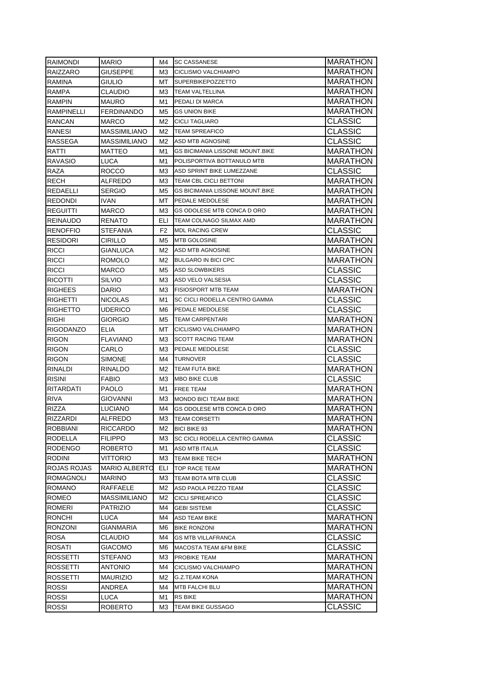| RAIMONDI                | <b>MARIO</b>             | M4.            | <b>SC CASSANESE</b>                              | <b>MARATHON</b>                   |
|-------------------------|--------------------------|----------------|--------------------------------------------------|-----------------------------------|
| RAIZZARO                | GIUSEPPE                 | ΜЗ             | CICLISMO VALCHIAMPO                              | <b>MARATHON</b>                   |
| <b>RAMINA</b>           | Giulio                   | MT.            | <b>SUPERBIKEPOZZETTO</b>                         | MARATHON                          |
| <b>RAMPA</b>            | CLAUDIO                  | ΜЗ             | <b>TEAM VALTELLINA</b>                           | MARATHON                          |
| <b>RAMPIN</b>           | <b>MAURO</b>             | M1             | PEDALI DI MARCA                                  | <b>MARATHON</b>                   |
| <b>RAMPINELLI</b>       | <b>FERDINANDO</b>        | M5             | <b>GS UNION BIKE</b>                             | <b>MARATHON</b>                   |
| <b>RANCAN</b>           | <b>MARCO</b>             | M2             | <b>CICLI TAGLIARO</b>                            | CLASSIC                           |
| RANESI                  | <b>MASSIMILIANO</b>      | M2             | <b>TEAM SPREAFICO</b>                            | <b>CLASSIC</b>                    |
| RASSEGA                 | <b>MASSIMILIANO</b>      | M2             | ASD MTB AGNOSINE                                 | CLASSIC                           |
| RATTI                   | <b>MATTEO</b>            | M1             | <b>GS BICIMANIA LISSONE MOUNT.BIKE</b>           | <b>MARATHON</b>                   |
| <b>RAVASIO</b>          | LUCA                     | M1             | POLISPORTIVA BOTTANULO MTB                       | <b>MARATHON</b>                   |
| RAZA                    | ROCCO                    | ΜЗ             | ASD SPRINT BIKE LUMEZZANE                        | CLASSIC                           |
| RECH                    | ALFREDO                  | ΜЗ             | TEAM CBL CICLI BETTONI                           | <b>MARATHON</b>                   |
| REDAELLI                | SERGIO                   | M5             | <b>GS BICIMANIA LISSONE MOUNT.BIKE</b>           | <b>MARATHON</b>                   |
| <b>REDONDI</b>          | IVAN                     | МT             | PEDALE MEDOLESE                                  | <b>MARATHON</b>                   |
| <b>REGUITTI</b>         | MARCO                    | MЗ             | GS ODOLESE MTB CONCA D ORO                       | <b>MARATHON</b>                   |
| <b>REINAUDO</b>         | RENATO                   | ELI            | TEAM COLNAGO SILMAX AMD                          | MARATHON                          |
| <b>RENOFFIO</b>         | <b>STEFANIA</b>          | F <sub>2</sub> | <b>MDL RACING CREW</b>                           | CLASSIC                           |
| <b>RESIDORI</b>         | CIRILLO                  | M5             | <b>MTB GOLOSINE</b>                              | MARATHON                          |
| <b>RICCI</b>            | GIANLUCA                 | M2             | ASD MTB AGNOSINE                                 | MARATHON                          |
| <b>RICCI</b>            | <b>ROMOLO</b>            | M2.            | <b>BULGARO IN BICI CPC</b>                       | <b>MARATHON</b>                   |
| <b>RICCI</b>            | <b>MARCO</b>             | M5             | <b>ASD SLOWBIKERS</b>                            | <b>CLASSIC</b>                    |
| <b>RICOTTI</b>          | SILVIO                   | ΜЗ             | ASD VELO VALSESIA                                | CLASSIC                           |
| <b>RIGHEES</b>          | <b>DARIO</b>             | ΜЗ             | <b>FISIOSPORT MTB TEAM</b>                       | <b>MARATHON</b>                   |
| <b>RIGHETTI</b>         | <b>NICOLAS</b>           | M1             | SC CICLI RODELLA CENTRO GAMMA                    | CLASSIC                           |
| <b>RIGHETTO</b>         | UDERICO                  | M6             | PEDALE MEDOLESE                                  | CLASSIC                           |
| <b>RIGHI</b>            | GIORGIO                  | M5             | <b>TEAM CARPENTARI</b>                           | <b>MARATHON</b>                   |
| <b>RIGODANZO</b>        | <b>ELIA</b>              | МT             | CICLISMO VALCHIAMPO                              | <b>MARATHON</b>                   |
| <b>RIGON</b>            | <b>FLAVIANO</b>          | M3             | <b>SCOTT RACING TEAM</b>                         | MARATHON                          |
| <b>RIGON</b>            | CARLO                    | MЗ             | PEDALE MEDOLESE                                  | CLASSIC                           |
| <b>RIGON</b>            | SIMONE                   | M4             | <b>TURNOVER</b>                                  | CLASSIC                           |
| <b>RINALDI</b>          | <b>RINALDO</b>           | M2             | <b>TEAM FUTA BIKE</b>                            | <b>MARATHON</b>                   |
| <b>RISINI</b>           | <b>FABIO</b>             | ΜЗ             | <b>MBO BIKE CLUB</b>                             | CLASSIC                           |
| RITARDATI               | PAOLO                    | M1             | <b>FREE TEAM</b>                                 | MARATHON                          |
| RIVA                    | GIOVANNI                 | MЗ             | <b>MONDO BICI TEAM BIKE</b>                      | MARATHON                          |
| <b>RIZZA</b>            | LUCIANO                  | M4             | <b>GS ODOLESE MTB CONCA D ORO</b>                | <b>MARATHON</b>                   |
| <b>RIZZARDI</b>         | ALFREDO                  | ΜЗ             | <b>TEAM CORSETTI</b>                             | <b>MARATHON</b>                   |
| <b>ROBBIANI</b>         | RICCARDO                 | M2             | <b>BICI BIKE 93</b>                              | <b>MARATHON</b>                   |
| <b>RODELLA</b>          | <b>FILIPPO</b>           | ΜЗ             | <b>SC CICLI RODELLA CENTRO GAMMA</b>             | <b>CLASSIC</b>                    |
| <b>RODENGO</b>          | ROBERTO                  | M1             | ASD MTB ITALIA                                   | CLASSIC                           |
| <b>RODINI</b>           | VITTORIO                 | ΜЗ             | TEAM BIKE TECH                                   | <b>MARATHON</b>                   |
| ROJAS ROJAS             | <b>MARIO ALBERTO</b>     | ELI            | TOP RACE TEAM                                    | <b>MARATHON</b><br><b>CLASSIC</b> |
| ROMAGNOLI               | MARINO                   | ΜЗ             | TEAM BOTA MTB CLUB                               |                                   |
| <b>ROMANO</b>           | RAFFAELE                 | M2             | ASD PAOLA PEZZO TEAM                             | CLASSIC<br><b>CLASSIC</b>         |
| ROMEO                   | MASSIMILIANO<br>PATRIZIO | M2<br>M4       | <b>CICLI SPREAFICO</b>                           | CLASSIC                           |
| ROMERI<br><b>RONCHI</b> | LUCA                     | M4             | <b>GEBI SISTEMI</b><br><b>ASD TEAM BIKE</b>      | <b>MARATHON</b>                   |
| <b>RONZONI</b>          | GIANMARIA                |                |                                                  | <b>MARATHON</b>                   |
| <b>ROSA</b>             | CLAUDIO                  | M6<br>M4       | <b>BIKE RONZONI</b><br><b>GS MTB VILLAFRANCA</b> | CLASSIC                           |
| ROSATI                  | GIACOMO                  | M6             | MACOSTA TEAM &FM BIKE                            | CLASSIC                           |
| ROSSETTI                | STEFANO                  | MЗ             | PROBIKE TEAM                                     | MARATHON                          |
| <b>ROSSETTI</b>         | ANTONIO                  | M4             | CICLISMO VALCHIAMPO                              | MARATHON                          |
| <b>ROSSETTI</b>         | MAURIZIO                 | M2             | <b>G.Z.TEAM KONA</b>                             | <b>MARATHON</b>                   |
| <b>ROSSI</b>            | ANDREA                   | M4             | MTB FALCHI BLU                                   | <b>MARATHON</b>                   |
| <b>ROSSI</b>            | LUCA                     | M1             | <b>RS BIKE</b>                                   | <b>MARATHON</b>                   |
| ROSSI                   | <b>ROBERTO</b>           | ΜЗ             | TEAM BIKE GUSSAGO                                | CLASSIC                           |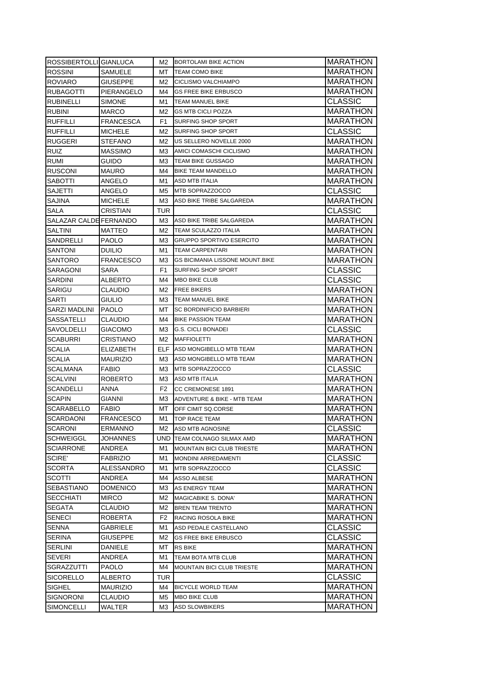| ROSSIBERTOLLI GIANLUCA |                  | M2             | BORTOLAMI BIKE ACTION                  | <b>MARATHON</b> |
|------------------------|------------------|----------------|----------------------------------------|-----------------|
| <b>ROSSINI</b>         | SAMUELE          | МT             | TEAM COMO BIKE                         | <b>MARATHON</b> |
| <b>ROVIARO</b>         | GIUSEPPE         | M2             | CICLISMO VALCHIAMPO                    | <b>MARATHON</b> |
| <b>RUBAGOTTI</b>       | PIERANGELO       | M4             | <b>GS FREE BIKE ERBUSCO</b>            | <b>MARATHON</b> |
| <b>RUBINELLI</b>       | SIMONE           | M1             | TEAM MANUEL BIKE                       | CLASSIC         |
| <b>RUBINI</b>          | <b>MARCO</b>     | M2             | <b>GS MTB CICLI POZZA</b>              | <b>MARATHON</b> |
| <b>RUFFILLI</b>        | FRANCESCA        | F1             | SURFING SHOP SPORT                     | <b>MARATHON</b> |
| <b>RUFFILLI</b>        | <b>MICHELE</b>   | M2             | <b>SURFING SHOP SPORT</b>              | <b>CLASSIC</b>  |
| <b>RUGGERI</b>         | STEFANO          | M2             | US SELLERO NOVELLE 2000                | <b>MARATHON</b> |
| <b>RUIZ</b>            | <b>MASSIMO</b>   | МЗ             | AMICI COMASCHI CICLISMO                | <b>MARATHON</b> |
| <b>RUMI</b>            | Guido            | ΜЗ             | TEAM BIKE GUSSAGO                      | <b>MARATHON</b> |
| <b>RUSCONI</b>         | MAURO            | M4             | <b>BIKE TEAM MANDELLO</b>              | <b>MARATHON</b> |
| <b>SABOTTI</b>         | ANGELO           | M1             | ASD MTB ITALIA                         | <b>MARATHON</b> |
| <b>SAJETTI</b>         | ANGELO           | M5             | MTB SOPRAZZOCCO                        | <b>CLASSIC</b>  |
| <b>SAJINA</b>          | <b>MICHELE</b>   | МЗ             | ASD BIKE TRIBE SALGAREDA               | <b>MARATHON</b> |
| SALA                   | CRISTIAN         | TUR            |                                        | <b>CLASSIC</b>  |
| SALAZAR CALDE FERNANDO |                  | ΜЗ             | ASD BIKE TRIBE SALGAREDA               | <b>MARATHON</b> |
| <b>SALTINI</b>         | MATTEO           | M2             | <b>TEAM SCULAZZO ITALIA</b>            | <b>MARATHON</b> |
| SANDRELLI              | PAOLO            | M3             | <b>GRUPPO SPORTIVO ESERCITO</b>        | MARATHON        |
| <b>SANTONI</b>         | <b>DUILIO</b>    | M1             | TEAM CARPENTARI                        | MARATHON        |
| <b>SANTORO</b>         | FRANCESCO        | M3             | <b>GS BICIMANIA LISSONE MOUNT BIKE</b> | <b>MARATHON</b> |
| SARAGONI               | SARA             | F1             | SURFING SHOP SPORT                     | CLASSIC         |
| SARDINI                | ALBERTO          | M4             | <b>MBO BIKE CLUB</b>                   | <b>CLASSIC</b>  |
| <b>SARIGU</b>          | CLAUDIO          | M2             | <b>FREE BIKERS</b>                     | <b>MARATHON</b> |
| SARTI                  | GIULIO           | MЗ             | <b>TEAM MANUEL BIKE</b>                | <b>MARATHON</b> |
| SARZI MADLINI          | <b>IPAOLO</b>    | МT             | <b>SC BORDINIFICIO BARBIERI</b>        | <b>MARATHON</b> |
| <b>SASSATELLI</b>      | <b>CLAUDIO</b>   | M4             | <b>BIKE PASSION TEAM</b>               | <b>MARATHON</b> |
| SAVOLDELLI             | <b>GIACOMO</b>   | MЗ             | <b>G.S. CICLI BONADEI</b>              | <b>CLASSIC</b>  |
| <b>SCABURRI</b>        | CRISTIANO        | M2             | <b>MAFFIOLETTI</b>                     | <b>MARATHON</b> |
| <b>SCALIA</b>          | ELIZABETH        | ELF.           | ASD MONGIBELLO MTB TEAM                | <b>MARATHON</b> |
| <b>SCALIA</b>          | <b>MAURIZIO</b>  | МЗ             | ASD MONGIBELLO MTB TEAM                | <b>MARATHON</b> |
| <b>SCALMANA</b>        | FABIO            | ΜЗ             | <b>MTB SOPRAZZOCCO</b>                 | <b>CLASSIC</b>  |
| <b>SCALVINI</b>        | <b>ROBERTO</b>   | MЗ             | <b>ASD MTB ITALIA</b>                  | <b>MARATHON</b> |
| <b>SCANDELLI</b>       | ANNA             | F <sub>2</sub> | CC CREMONESE 1891                      | <b>MARATHON</b> |
| <b>SCAPIN</b>          | GIANNI           | MЗ             | ADVENTURE & BIKE - MTB TEAM            | MARATHON        |
| <b>SCARABELLO</b>      | FABIO            | МΤ             | OFF CIMIT SQ.CORSE                     | <b>MARATHON</b> |
| SCARDAONI              | <b>FRANCESCO</b> | M1             | TOP RACE TEAM                          | <b>MARATHON</b> |
| SCARONI                | ERMANNO          | M2             | ASD MTB AGNOSINE                       | <b>CLASSIC</b>  |
| SCHWEIGGL              | JOHANNES         | UND            | <b>TEAM COLNAGO SILMAX AMD</b>         | <b>MARATHON</b> |
| <b>SCIARRONE</b>       | ANDREA           | M1             | <b>MOUNTAIN BICI CLUB TRIESTE</b>      | MARATHON        |
| SCIRE'                 | FABRIZIO         | M1             | <b>MONDINI ARREDAMENTI</b>             | <b>CLASSIC</b>  |
| <b>SCORTA</b>          | ALESSANDRO       | M1             | MTB SOPRAZZOCCO                        | <b>CLASSIC</b>  |
| SCOTTI                 | ANDREA           | M4             | <b>ASSO ALBESE</b>                     | <b>MARATHON</b> |
| <b>SEBASTIANO</b>      | DOMENICO         | M3             | <b>AS ENERGY TEAM</b>                  | <b>MARATHON</b> |
| <b>SECCHIATI</b>       | <b>MIRCO</b>     | M2             | MAGICABIKE S. DONA'                    | <b>MARATHON</b> |
| <b>SEGATA</b>          | CLAUDIO          | M2             | <b>BREN TEAM TRENTO</b>                | <b>MARATHON</b> |
| <b>SENECI</b>          | ROBERTA          | F2             | RACING ROSOLA BIKE                     | MARATHON        |
| <b>SENNA</b>           | GABRIELE         | M1             | ASD PEDALE CASTELLANO                  | <b>CLASSIC</b>  |
| <b>SERINA</b>          | GIUSEPPE         | M2             | <b>GS FREE BIKE ERBUSCO</b>            | <b>CLASSIC</b>  |
| <b>SERLINI</b>         | DANIELE          | МT             | <b>RS BIKE</b>                         | MARATHON        |
| <b>SEVERI</b>          | ANDREA           | M1             | TEAM BOTA MTB CLUB                     | MARATHON        |
| SGRAZZUTTI             | PAOLO            | M4             | <b>MOUNTAIN BICI CLUB TRIESTE</b>      | MARATHON        |
| <b>SICORELLO</b>       | ALBERTO          | TUR            |                                        | <b>CLASSIC</b>  |
| <b>SIGHEL</b>          | MAURIZIO         | M4             | <b>BICYCLE WORLD TEAM</b>              | MARATHON        |
| <b>SIGNORONI</b>       | CLAUDIO          | M5             | <b>MBO BIKE CLUB</b>                   | MARATHON        |
| SIMONCELLI             | WALTER           | MЗ             | <b>ASD SLOWBIKERS</b>                  | MARATHON        |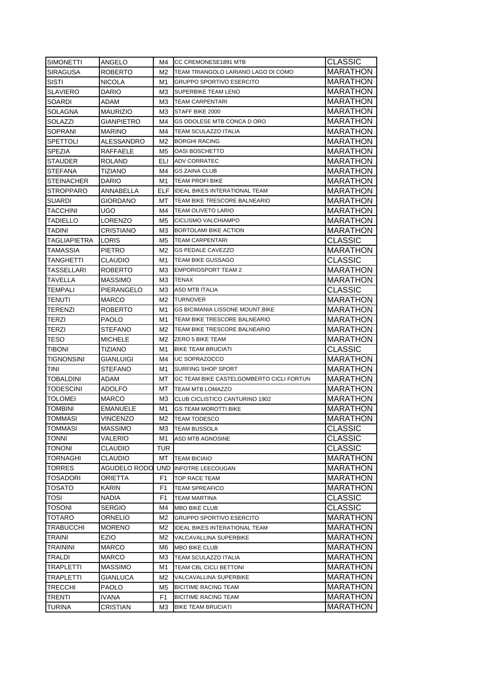| <b>SIRAGUSA</b><br>MARATHON<br>ROBERTO<br>M2<br>TEAM TRIANGOLO LARIANO LAGO DI COMO<br>SISTI<br>MARATHON<br>NICOLA<br>M1<br><b>GRUPPO SPORTIVO ESERCITO</b><br>MARATHON<br><b>SLAVIERO</b><br>DARIO<br>M3<br><b>SUPERBIKE TEAM LENO</b><br><b>SOARDI</b><br><b>MARATHON</b><br>ADAM<br>ΜЗ<br><b>TEAM CARPENTARI</b><br><b>MARATHON</b><br>SOLAGNA<br><b>MAURIZIO</b><br>STAFF BIKE 2000<br>ΜЗ<br>SOLAZZI<br><b>MARATHON</b><br>GIANPIETRO<br><b>GS ODOLESE MTB CONCA D ORO</b><br>M4<br><b>MARATHON</b><br>SOPRANI<br><b>TEAM SCULAZZO ITALIA</b><br><b>MARINO</b><br>M4<br><b>MARATHON</b><br>SPETTOLI<br>ALESSANDRO<br>M2<br><b>BORGHI RACING</b><br>SPEZIA<br>RAFFAELE<br><b>MARATHON</b><br>M5<br><b>OASI BOSCHETTO</b><br>ELI<br><b>MARATHON</b><br><b>STAUDER</b><br><b>ROLAND</b><br><b>ADV CORRATEC</b><br>MARATHON<br><b>STEFANA</b><br>TIZIANO<br>M4<br><b>GS ZAINA CLUB</b><br>MARATHON<br><b>STEINACHER</b><br>DARIO<br>M1<br><b>TEAM PROFI BIKE</b><br>MARATHON<br><b>STROPPARO</b><br>ANNABELLA<br><b>ELF IDEAL BIKES INTERATIONAL TEAM</b><br><b>SUARDI</b><br><b>MARATHON</b><br>GIORDANO<br>MT.<br>TEAM BIKE TRESCORE BALNEARIO<br>TACCHINI<br>MARATHON<br>UGO<br><b>TEAM OLIVETO LARIO</b><br>M4<br><b>TADIELLO</b><br>MARATHON<br>LORENZO<br>M5<br>CICLISMO VALCHIAMPO<br>MARATHON<br>TADINI<br>CRISTIANO<br>MЗ<br><b>BORTOLAMI BIKE ACTION</b><br>CLASSIC<br>TAGLIAPIETRA<br><b>LORIS</b><br>M5<br><b>TEAM CARPENTARI</b><br>TAMASSIA<br>MARATHON<br>PIETRO<br>M2<br><b>GS PEDALE CAVEZZO</b><br><b>CLASSIC</b><br>TANGHETTI<br>CLAUDIO<br>M1<br><b>TEAM BIKE GUSSAGO</b><br>MARATHON<br>TASSELLARI<br><b>EMPORIOSPORT TEAM 2</b><br><b>ROBERTO</b><br>MЗ<br><b>TAVELLA</b><br><b>MASSIMO</b><br><b>MARATHON</b><br>MЗ<br><b>TENAX</b><br>TEMPALI<br>PIERANGELO<br><b>ASD MTB ITALIA</b><br><b>CLASSIC</b><br>ΜЗ<br><b>TENUTI</b><br><b>MARCO</b><br><b>TURNOVER</b><br><b>MARATHON</b><br>M2<br>TERENZI<br>ROBERTO<br>M1<br>GS BICIMANIA LISSONE MOUNT.BIKE<br><b>MARATHON</b><br>TERZI<br><b>PAOLO</b><br>M1<br>TEAM BIKE TRESCORE BALNEARIO<br><b>MARATHON</b><br><b>TERZI</b><br>STEFANO<br>M2<br>TEAM BIKE TRESCORE BALNEARIO<br>MARATHON<br>TESO<br><b>MICHELE</b><br>M2<br><b>ZERO 5 BIKE TEAM</b><br><b>MARATHON</b><br><b>CLASSIC</b><br><b>TIBONI</b><br>TIZIANO<br>M1<br><b>BIKE TEAM BRUCIATI</b><br><b>TIGNONSINI</b><br>UC SOPRAZOCCO<br>MARATHON<br>GIANLUIGI<br>M4<br>TINI<br>MARATHON<br>STEFANO<br>M1<br><b>SURFING SHOP SPORT</b><br>MARATHON<br>TOBALDINI<br>ADAM<br>МT<br>GC TEAM BIKE CASTELGOMBERTO CICLI FORTUN<br>MARATHON<br><b>TODESCINI</b><br>ADOLFO<br>MT.<br><b>TEAM MTB LOMAZZO</b><br>MARATHON<br>TOLOMEI<br>MARCO<br>MЗ<br>CLUB CICLISTICO CANTURINO 1902<br>TOMBINI<br>MARATHON<br>EMANUELE<br>M1<br><b>GS TEAM MOROTTI BIKE</b><br><b>TOMMASI</b><br>VINCENZO<br><b>MARATHON</b><br>M2<br><b>TEAM TODESCO</b><br><b>CLASSIC</b><br>TOMMASI<br>MASSIMO<br>M3<br><b>TEAM BUSSOLA</b><br>CLASSIC<br><b>TONNI</b><br>VALERIO<br>M1<br>ASD MTB AGNOSINE<br><b>CLASSIC</b><br><b>TONONI</b><br>CLAUDIO<br>TUR<br>MARATHON<br><b>TORNAGHI</b><br>CLAUDIO<br><b>TEAM BICIAIO</b><br>MТ<br><b>MARATHON</b><br>TORRES<br>AGUDELO RODO<br>UND<br><b>INFOTRE LEECOUGAN</b><br><b>MARATHON</b><br>TOSADORI<br>ORIETTA<br>F1<br>TOP RACE TEAM<br>MARATHON<br>TOSATO<br>KARIN<br>F1<br><b>TEAM SPREAFICO</b><br>CLASSIC<br>TOSI<br>NADIA<br>F1<br><b>TEAM MARTINA</b><br><b>CLASSIC</b><br>TOSONI<br>SERGIO<br>M4<br><b>MBO BIKE CLUB</b><br><b>MARATHON</b><br>TOTARO<br>ORNELIO<br>M2<br><b>GRUPPO SPORTIVO ESERCITO</b><br><b>MARATHON</b><br><b>TRABUCCHI</b><br>MORENO<br>M2<br>IDEAL BIKES INTERATIONAL TEAM<br>MARATHON<br>TRAINI<br>EZIO<br>M2<br>VALCAVALLINA SUPERBIKE<br><b>TRAININI</b><br>MARATHON<br>MARCO<br>M6<br>MBO BIKE CLUB<br>TRALDI<br>MARCO<br>MЗ<br>TEAM SCULAZZO ITALIA<br>MARATHON<br>TRAPLETTI<br>MARATHON<br>MASSIMO<br>TEAM CBL CICLI BETTONI<br>M1<br>MARATHON<br>TRAPLETTI<br>GIANLUCA<br>M2<br>VALCAVALLINA SUPERBIKE<br><b>TRECCHI</b><br>MARATHON<br>PAOLO<br><b>BICITIME RACING TEAM</b><br>M5<br><b>TRENTI</b><br>MARATHON<br>IVANA<br>F1<br><b>BICITIME RACING TEAM</b> | <b>SIMONETTI</b> | ANGELO   | M4 | <b>ICC CREMONESE1891 MTB</b> | <b>CLASSIC</b> |
|-------------------------------------------------------------------------------------------------------------------------------------------------------------------------------------------------------------------------------------------------------------------------------------------------------------------------------------------------------------------------------------------------------------------------------------------------------------------------------------------------------------------------------------------------------------------------------------------------------------------------------------------------------------------------------------------------------------------------------------------------------------------------------------------------------------------------------------------------------------------------------------------------------------------------------------------------------------------------------------------------------------------------------------------------------------------------------------------------------------------------------------------------------------------------------------------------------------------------------------------------------------------------------------------------------------------------------------------------------------------------------------------------------------------------------------------------------------------------------------------------------------------------------------------------------------------------------------------------------------------------------------------------------------------------------------------------------------------------------------------------------------------------------------------------------------------------------------------------------------------------------------------------------------------------------------------------------------------------------------------------------------------------------------------------------------------------------------------------------------------------------------------------------------------------------------------------------------------------------------------------------------------------------------------------------------------------------------------------------------------------------------------------------------------------------------------------------------------------------------------------------------------------------------------------------------------------------------------------------------------------------------------------------------------------------------------------------------------------------------------------------------------------------------------------------------------------------------------------------------------------------------------------------------------------------------------------------------------------------------------------------------------------------------------------------------------------------------------------------------------------------------------------------------------------------------------------------------------------------------------------------------------------------------------------------------------------------------------------------------------------------------------------------------------------------------------------------------------------------------------------------------------------------------------------------------------------------------------------------------------------------------------------------------------------------------------------------------------------------------------------------------------------------------------------------------------------------------------------------------------------------------------------------------------------------------------------------------------------------------------------------------------------------------------------------------------------------------------------------------------------------------------------------|------------------|----------|----|------------------------------|----------------|
|                                                                                                                                                                                                                                                                                                                                                                                                                                                                                                                                                                                                                                                                                                                                                                                                                                                                                                                                                                                                                                                                                                                                                                                                                                                                                                                                                                                                                                                                                                                                                                                                                                                                                                                                                                                                                                                                                                                                                                                                                                                                                                                                                                                                                                                                                                                                                                                                                                                                                                                                                                                                                                                                                                                                                                                                                                                                                                                                                                                                                                                                                                                                                                                                                                                                                                                                                                                                                                                                                                                                                                                                                                                                                                                                                                                                                                                                                                                                                                                                                                                                                                                                                       |                  |          |    |                              |                |
|                                                                                                                                                                                                                                                                                                                                                                                                                                                                                                                                                                                                                                                                                                                                                                                                                                                                                                                                                                                                                                                                                                                                                                                                                                                                                                                                                                                                                                                                                                                                                                                                                                                                                                                                                                                                                                                                                                                                                                                                                                                                                                                                                                                                                                                                                                                                                                                                                                                                                                                                                                                                                                                                                                                                                                                                                                                                                                                                                                                                                                                                                                                                                                                                                                                                                                                                                                                                                                                                                                                                                                                                                                                                                                                                                                                                                                                                                                                                                                                                                                                                                                                                                       |                  |          |    |                              |                |
|                                                                                                                                                                                                                                                                                                                                                                                                                                                                                                                                                                                                                                                                                                                                                                                                                                                                                                                                                                                                                                                                                                                                                                                                                                                                                                                                                                                                                                                                                                                                                                                                                                                                                                                                                                                                                                                                                                                                                                                                                                                                                                                                                                                                                                                                                                                                                                                                                                                                                                                                                                                                                                                                                                                                                                                                                                                                                                                                                                                                                                                                                                                                                                                                                                                                                                                                                                                                                                                                                                                                                                                                                                                                                                                                                                                                                                                                                                                                                                                                                                                                                                                                                       |                  |          |    |                              |                |
|                                                                                                                                                                                                                                                                                                                                                                                                                                                                                                                                                                                                                                                                                                                                                                                                                                                                                                                                                                                                                                                                                                                                                                                                                                                                                                                                                                                                                                                                                                                                                                                                                                                                                                                                                                                                                                                                                                                                                                                                                                                                                                                                                                                                                                                                                                                                                                                                                                                                                                                                                                                                                                                                                                                                                                                                                                                                                                                                                                                                                                                                                                                                                                                                                                                                                                                                                                                                                                                                                                                                                                                                                                                                                                                                                                                                                                                                                                                                                                                                                                                                                                                                                       |                  |          |    |                              |                |
|                                                                                                                                                                                                                                                                                                                                                                                                                                                                                                                                                                                                                                                                                                                                                                                                                                                                                                                                                                                                                                                                                                                                                                                                                                                                                                                                                                                                                                                                                                                                                                                                                                                                                                                                                                                                                                                                                                                                                                                                                                                                                                                                                                                                                                                                                                                                                                                                                                                                                                                                                                                                                                                                                                                                                                                                                                                                                                                                                                                                                                                                                                                                                                                                                                                                                                                                                                                                                                                                                                                                                                                                                                                                                                                                                                                                                                                                                                                                                                                                                                                                                                                                                       |                  |          |    |                              |                |
|                                                                                                                                                                                                                                                                                                                                                                                                                                                                                                                                                                                                                                                                                                                                                                                                                                                                                                                                                                                                                                                                                                                                                                                                                                                                                                                                                                                                                                                                                                                                                                                                                                                                                                                                                                                                                                                                                                                                                                                                                                                                                                                                                                                                                                                                                                                                                                                                                                                                                                                                                                                                                                                                                                                                                                                                                                                                                                                                                                                                                                                                                                                                                                                                                                                                                                                                                                                                                                                                                                                                                                                                                                                                                                                                                                                                                                                                                                                                                                                                                                                                                                                                                       |                  |          |    |                              |                |
|                                                                                                                                                                                                                                                                                                                                                                                                                                                                                                                                                                                                                                                                                                                                                                                                                                                                                                                                                                                                                                                                                                                                                                                                                                                                                                                                                                                                                                                                                                                                                                                                                                                                                                                                                                                                                                                                                                                                                                                                                                                                                                                                                                                                                                                                                                                                                                                                                                                                                                                                                                                                                                                                                                                                                                                                                                                                                                                                                                                                                                                                                                                                                                                                                                                                                                                                                                                                                                                                                                                                                                                                                                                                                                                                                                                                                                                                                                                                                                                                                                                                                                                                                       |                  |          |    |                              |                |
|                                                                                                                                                                                                                                                                                                                                                                                                                                                                                                                                                                                                                                                                                                                                                                                                                                                                                                                                                                                                                                                                                                                                                                                                                                                                                                                                                                                                                                                                                                                                                                                                                                                                                                                                                                                                                                                                                                                                                                                                                                                                                                                                                                                                                                                                                                                                                                                                                                                                                                                                                                                                                                                                                                                                                                                                                                                                                                                                                                                                                                                                                                                                                                                                                                                                                                                                                                                                                                                                                                                                                                                                                                                                                                                                                                                                                                                                                                                                                                                                                                                                                                                                                       |                  |          |    |                              |                |
|                                                                                                                                                                                                                                                                                                                                                                                                                                                                                                                                                                                                                                                                                                                                                                                                                                                                                                                                                                                                                                                                                                                                                                                                                                                                                                                                                                                                                                                                                                                                                                                                                                                                                                                                                                                                                                                                                                                                                                                                                                                                                                                                                                                                                                                                                                                                                                                                                                                                                                                                                                                                                                                                                                                                                                                                                                                                                                                                                                                                                                                                                                                                                                                                                                                                                                                                                                                                                                                                                                                                                                                                                                                                                                                                                                                                                                                                                                                                                                                                                                                                                                                                                       |                  |          |    |                              |                |
|                                                                                                                                                                                                                                                                                                                                                                                                                                                                                                                                                                                                                                                                                                                                                                                                                                                                                                                                                                                                                                                                                                                                                                                                                                                                                                                                                                                                                                                                                                                                                                                                                                                                                                                                                                                                                                                                                                                                                                                                                                                                                                                                                                                                                                                                                                                                                                                                                                                                                                                                                                                                                                                                                                                                                                                                                                                                                                                                                                                                                                                                                                                                                                                                                                                                                                                                                                                                                                                                                                                                                                                                                                                                                                                                                                                                                                                                                                                                                                                                                                                                                                                                                       |                  |          |    |                              |                |
|                                                                                                                                                                                                                                                                                                                                                                                                                                                                                                                                                                                                                                                                                                                                                                                                                                                                                                                                                                                                                                                                                                                                                                                                                                                                                                                                                                                                                                                                                                                                                                                                                                                                                                                                                                                                                                                                                                                                                                                                                                                                                                                                                                                                                                                                                                                                                                                                                                                                                                                                                                                                                                                                                                                                                                                                                                                                                                                                                                                                                                                                                                                                                                                                                                                                                                                                                                                                                                                                                                                                                                                                                                                                                                                                                                                                                                                                                                                                                                                                                                                                                                                                                       |                  |          |    |                              |                |
|                                                                                                                                                                                                                                                                                                                                                                                                                                                                                                                                                                                                                                                                                                                                                                                                                                                                                                                                                                                                                                                                                                                                                                                                                                                                                                                                                                                                                                                                                                                                                                                                                                                                                                                                                                                                                                                                                                                                                                                                                                                                                                                                                                                                                                                                                                                                                                                                                                                                                                                                                                                                                                                                                                                                                                                                                                                                                                                                                                                                                                                                                                                                                                                                                                                                                                                                                                                                                                                                                                                                                                                                                                                                                                                                                                                                                                                                                                                                                                                                                                                                                                                                                       |                  |          |    |                              |                |
|                                                                                                                                                                                                                                                                                                                                                                                                                                                                                                                                                                                                                                                                                                                                                                                                                                                                                                                                                                                                                                                                                                                                                                                                                                                                                                                                                                                                                                                                                                                                                                                                                                                                                                                                                                                                                                                                                                                                                                                                                                                                                                                                                                                                                                                                                                                                                                                                                                                                                                                                                                                                                                                                                                                                                                                                                                                                                                                                                                                                                                                                                                                                                                                                                                                                                                                                                                                                                                                                                                                                                                                                                                                                                                                                                                                                                                                                                                                                                                                                                                                                                                                                                       |                  |          |    |                              |                |
|                                                                                                                                                                                                                                                                                                                                                                                                                                                                                                                                                                                                                                                                                                                                                                                                                                                                                                                                                                                                                                                                                                                                                                                                                                                                                                                                                                                                                                                                                                                                                                                                                                                                                                                                                                                                                                                                                                                                                                                                                                                                                                                                                                                                                                                                                                                                                                                                                                                                                                                                                                                                                                                                                                                                                                                                                                                                                                                                                                                                                                                                                                                                                                                                                                                                                                                                                                                                                                                                                                                                                                                                                                                                                                                                                                                                                                                                                                                                                                                                                                                                                                                                                       |                  |          |    |                              |                |
|                                                                                                                                                                                                                                                                                                                                                                                                                                                                                                                                                                                                                                                                                                                                                                                                                                                                                                                                                                                                                                                                                                                                                                                                                                                                                                                                                                                                                                                                                                                                                                                                                                                                                                                                                                                                                                                                                                                                                                                                                                                                                                                                                                                                                                                                                                                                                                                                                                                                                                                                                                                                                                                                                                                                                                                                                                                                                                                                                                                                                                                                                                                                                                                                                                                                                                                                                                                                                                                                                                                                                                                                                                                                                                                                                                                                                                                                                                                                                                                                                                                                                                                                                       |                  |          |    |                              |                |
|                                                                                                                                                                                                                                                                                                                                                                                                                                                                                                                                                                                                                                                                                                                                                                                                                                                                                                                                                                                                                                                                                                                                                                                                                                                                                                                                                                                                                                                                                                                                                                                                                                                                                                                                                                                                                                                                                                                                                                                                                                                                                                                                                                                                                                                                                                                                                                                                                                                                                                                                                                                                                                                                                                                                                                                                                                                                                                                                                                                                                                                                                                                                                                                                                                                                                                                                                                                                                                                                                                                                                                                                                                                                                                                                                                                                                                                                                                                                                                                                                                                                                                                                                       |                  |          |    |                              |                |
|                                                                                                                                                                                                                                                                                                                                                                                                                                                                                                                                                                                                                                                                                                                                                                                                                                                                                                                                                                                                                                                                                                                                                                                                                                                                                                                                                                                                                                                                                                                                                                                                                                                                                                                                                                                                                                                                                                                                                                                                                                                                                                                                                                                                                                                                                                                                                                                                                                                                                                                                                                                                                                                                                                                                                                                                                                                                                                                                                                                                                                                                                                                                                                                                                                                                                                                                                                                                                                                                                                                                                                                                                                                                                                                                                                                                                                                                                                                                                                                                                                                                                                                                                       |                  |          |    |                              |                |
|                                                                                                                                                                                                                                                                                                                                                                                                                                                                                                                                                                                                                                                                                                                                                                                                                                                                                                                                                                                                                                                                                                                                                                                                                                                                                                                                                                                                                                                                                                                                                                                                                                                                                                                                                                                                                                                                                                                                                                                                                                                                                                                                                                                                                                                                                                                                                                                                                                                                                                                                                                                                                                                                                                                                                                                                                                                                                                                                                                                                                                                                                                                                                                                                                                                                                                                                                                                                                                                                                                                                                                                                                                                                                                                                                                                                                                                                                                                                                                                                                                                                                                                                                       |                  |          |    |                              |                |
|                                                                                                                                                                                                                                                                                                                                                                                                                                                                                                                                                                                                                                                                                                                                                                                                                                                                                                                                                                                                                                                                                                                                                                                                                                                                                                                                                                                                                                                                                                                                                                                                                                                                                                                                                                                                                                                                                                                                                                                                                                                                                                                                                                                                                                                                                                                                                                                                                                                                                                                                                                                                                                                                                                                                                                                                                                                                                                                                                                                                                                                                                                                                                                                                                                                                                                                                                                                                                                                                                                                                                                                                                                                                                                                                                                                                                                                                                                                                                                                                                                                                                                                                                       |                  |          |    |                              |                |
|                                                                                                                                                                                                                                                                                                                                                                                                                                                                                                                                                                                                                                                                                                                                                                                                                                                                                                                                                                                                                                                                                                                                                                                                                                                                                                                                                                                                                                                                                                                                                                                                                                                                                                                                                                                                                                                                                                                                                                                                                                                                                                                                                                                                                                                                                                                                                                                                                                                                                                                                                                                                                                                                                                                                                                                                                                                                                                                                                                                                                                                                                                                                                                                                                                                                                                                                                                                                                                                                                                                                                                                                                                                                                                                                                                                                                                                                                                                                                                                                                                                                                                                                                       |                  |          |    |                              |                |
|                                                                                                                                                                                                                                                                                                                                                                                                                                                                                                                                                                                                                                                                                                                                                                                                                                                                                                                                                                                                                                                                                                                                                                                                                                                                                                                                                                                                                                                                                                                                                                                                                                                                                                                                                                                                                                                                                                                                                                                                                                                                                                                                                                                                                                                                                                                                                                                                                                                                                                                                                                                                                                                                                                                                                                                                                                                                                                                                                                                                                                                                                                                                                                                                                                                                                                                                                                                                                                                                                                                                                                                                                                                                                                                                                                                                                                                                                                                                                                                                                                                                                                                                                       |                  |          |    |                              |                |
|                                                                                                                                                                                                                                                                                                                                                                                                                                                                                                                                                                                                                                                                                                                                                                                                                                                                                                                                                                                                                                                                                                                                                                                                                                                                                                                                                                                                                                                                                                                                                                                                                                                                                                                                                                                                                                                                                                                                                                                                                                                                                                                                                                                                                                                                                                                                                                                                                                                                                                                                                                                                                                                                                                                                                                                                                                                                                                                                                                                                                                                                                                                                                                                                                                                                                                                                                                                                                                                                                                                                                                                                                                                                                                                                                                                                                                                                                                                                                                                                                                                                                                                                                       |                  |          |    |                              |                |
|                                                                                                                                                                                                                                                                                                                                                                                                                                                                                                                                                                                                                                                                                                                                                                                                                                                                                                                                                                                                                                                                                                                                                                                                                                                                                                                                                                                                                                                                                                                                                                                                                                                                                                                                                                                                                                                                                                                                                                                                                                                                                                                                                                                                                                                                                                                                                                                                                                                                                                                                                                                                                                                                                                                                                                                                                                                                                                                                                                                                                                                                                                                                                                                                                                                                                                                                                                                                                                                                                                                                                                                                                                                                                                                                                                                                                                                                                                                                                                                                                                                                                                                                                       |                  |          |    |                              |                |
|                                                                                                                                                                                                                                                                                                                                                                                                                                                                                                                                                                                                                                                                                                                                                                                                                                                                                                                                                                                                                                                                                                                                                                                                                                                                                                                                                                                                                                                                                                                                                                                                                                                                                                                                                                                                                                                                                                                                                                                                                                                                                                                                                                                                                                                                                                                                                                                                                                                                                                                                                                                                                                                                                                                                                                                                                                                                                                                                                                                                                                                                                                                                                                                                                                                                                                                                                                                                                                                                                                                                                                                                                                                                                                                                                                                                                                                                                                                                                                                                                                                                                                                                                       |                  |          |    |                              |                |
|                                                                                                                                                                                                                                                                                                                                                                                                                                                                                                                                                                                                                                                                                                                                                                                                                                                                                                                                                                                                                                                                                                                                                                                                                                                                                                                                                                                                                                                                                                                                                                                                                                                                                                                                                                                                                                                                                                                                                                                                                                                                                                                                                                                                                                                                                                                                                                                                                                                                                                                                                                                                                                                                                                                                                                                                                                                                                                                                                                                                                                                                                                                                                                                                                                                                                                                                                                                                                                                                                                                                                                                                                                                                                                                                                                                                                                                                                                                                                                                                                                                                                                                                                       |                  |          |    |                              |                |
|                                                                                                                                                                                                                                                                                                                                                                                                                                                                                                                                                                                                                                                                                                                                                                                                                                                                                                                                                                                                                                                                                                                                                                                                                                                                                                                                                                                                                                                                                                                                                                                                                                                                                                                                                                                                                                                                                                                                                                                                                                                                                                                                                                                                                                                                                                                                                                                                                                                                                                                                                                                                                                                                                                                                                                                                                                                                                                                                                                                                                                                                                                                                                                                                                                                                                                                                                                                                                                                                                                                                                                                                                                                                                                                                                                                                                                                                                                                                                                                                                                                                                                                                                       |                  |          |    |                              |                |
|                                                                                                                                                                                                                                                                                                                                                                                                                                                                                                                                                                                                                                                                                                                                                                                                                                                                                                                                                                                                                                                                                                                                                                                                                                                                                                                                                                                                                                                                                                                                                                                                                                                                                                                                                                                                                                                                                                                                                                                                                                                                                                                                                                                                                                                                                                                                                                                                                                                                                                                                                                                                                                                                                                                                                                                                                                                                                                                                                                                                                                                                                                                                                                                                                                                                                                                                                                                                                                                                                                                                                                                                                                                                                                                                                                                                                                                                                                                                                                                                                                                                                                                                                       |                  |          |    |                              |                |
|                                                                                                                                                                                                                                                                                                                                                                                                                                                                                                                                                                                                                                                                                                                                                                                                                                                                                                                                                                                                                                                                                                                                                                                                                                                                                                                                                                                                                                                                                                                                                                                                                                                                                                                                                                                                                                                                                                                                                                                                                                                                                                                                                                                                                                                                                                                                                                                                                                                                                                                                                                                                                                                                                                                                                                                                                                                                                                                                                                                                                                                                                                                                                                                                                                                                                                                                                                                                                                                                                                                                                                                                                                                                                                                                                                                                                                                                                                                                                                                                                                                                                                                                                       |                  |          |    |                              |                |
|                                                                                                                                                                                                                                                                                                                                                                                                                                                                                                                                                                                                                                                                                                                                                                                                                                                                                                                                                                                                                                                                                                                                                                                                                                                                                                                                                                                                                                                                                                                                                                                                                                                                                                                                                                                                                                                                                                                                                                                                                                                                                                                                                                                                                                                                                                                                                                                                                                                                                                                                                                                                                                                                                                                                                                                                                                                                                                                                                                                                                                                                                                                                                                                                                                                                                                                                                                                                                                                                                                                                                                                                                                                                                                                                                                                                                                                                                                                                                                                                                                                                                                                                                       |                  |          |    |                              |                |
|                                                                                                                                                                                                                                                                                                                                                                                                                                                                                                                                                                                                                                                                                                                                                                                                                                                                                                                                                                                                                                                                                                                                                                                                                                                                                                                                                                                                                                                                                                                                                                                                                                                                                                                                                                                                                                                                                                                                                                                                                                                                                                                                                                                                                                                                                                                                                                                                                                                                                                                                                                                                                                                                                                                                                                                                                                                                                                                                                                                                                                                                                                                                                                                                                                                                                                                                                                                                                                                                                                                                                                                                                                                                                                                                                                                                                                                                                                                                                                                                                                                                                                                                                       |                  |          |    |                              |                |
|                                                                                                                                                                                                                                                                                                                                                                                                                                                                                                                                                                                                                                                                                                                                                                                                                                                                                                                                                                                                                                                                                                                                                                                                                                                                                                                                                                                                                                                                                                                                                                                                                                                                                                                                                                                                                                                                                                                                                                                                                                                                                                                                                                                                                                                                                                                                                                                                                                                                                                                                                                                                                                                                                                                                                                                                                                                                                                                                                                                                                                                                                                                                                                                                                                                                                                                                                                                                                                                                                                                                                                                                                                                                                                                                                                                                                                                                                                                                                                                                                                                                                                                                                       |                  |          |    |                              |                |
|                                                                                                                                                                                                                                                                                                                                                                                                                                                                                                                                                                                                                                                                                                                                                                                                                                                                                                                                                                                                                                                                                                                                                                                                                                                                                                                                                                                                                                                                                                                                                                                                                                                                                                                                                                                                                                                                                                                                                                                                                                                                                                                                                                                                                                                                                                                                                                                                                                                                                                                                                                                                                                                                                                                                                                                                                                                                                                                                                                                                                                                                                                                                                                                                                                                                                                                                                                                                                                                                                                                                                                                                                                                                                                                                                                                                                                                                                                                                                                                                                                                                                                                                                       |                  |          |    |                              |                |
|                                                                                                                                                                                                                                                                                                                                                                                                                                                                                                                                                                                                                                                                                                                                                                                                                                                                                                                                                                                                                                                                                                                                                                                                                                                                                                                                                                                                                                                                                                                                                                                                                                                                                                                                                                                                                                                                                                                                                                                                                                                                                                                                                                                                                                                                                                                                                                                                                                                                                                                                                                                                                                                                                                                                                                                                                                                                                                                                                                                                                                                                                                                                                                                                                                                                                                                                                                                                                                                                                                                                                                                                                                                                                                                                                                                                                                                                                                                                                                                                                                                                                                                                                       |                  |          |    |                              |                |
|                                                                                                                                                                                                                                                                                                                                                                                                                                                                                                                                                                                                                                                                                                                                                                                                                                                                                                                                                                                                                                                                                                                                                                                                                                                                                                                                                                                                                                                                                                                                                                                                                                                                                                                                                                                                                                                                                                                                                                                                                                                                                                                                                                                                                                                                                                                                                                                                                                                                                                                                                                                                                                                                                                                                                                                                                                                                                                                                                                                                                                                                                                                                                                                                                                                                                                                                                                                                                                                                                                                                                                                                                                                                                                                                                                                                                                                                                                                                                                                                                                                                                                                                                       |                  |          |    |                              |                |
|                                                                                                                                                                                                                                                                                                                                                                                                                                                                                                                                                                                                                                                                                                                                                                                                                                                                                                                                                                                                                                                                                                                                                                                                                                                                                                                                                                                                                                                                                                                                                                                                                                                                                                                                                                                                                                                                                                                                                                                                                                                                                                                                                                                                                                                                                                                                                                                                                                                                                                                                                                                                                                                                                                                                                                                                                                                                                                                                                                                                                                                                                                                                                                                                                                                                                                                                                                                                                                                                                                                                                                                                                                                                                                                                                                                                                                                                                                                                                                                                                                                                                                                                                       |                  |          |    |                              |                |
|                                                                                                                                                                                                                                                                                                                                                                                                                                                                                                                                                                                                                                                                                                                                                                                                                                                                                                                                                                                                                                                                                                                                                                                                                                                                                                                                                                                                                                                                                                                                                                                                                                                                                                                                                                                                                                                                                                                                                                                                                                                                                                                                                                                                                                                                                                                                                                                                                                                                                                                                                                                                                                                                                                                                                                                                                                                                                                                                                                                                                                                                                                                                                                                                                                                                                                                                                                                                                                                                                                                                                                                                                                                                                                                                                                                                                                                                                                                                                                                                                                                                                                                                                       |                  |          |    |                              |                |
|                                                                                                                                                                                                                                                                                                                                                                                                                                                                                                                                                                                                                                                                                                                                                                                                                                                                                                                                                                                                                                                                                                                                                                                                                                                                                                                                                                                                                                                                                                                                                                                                                                                                                                                                                                                                                                                                                                                                                                                                                                                                                                                                                                                                                                                                                                                                                                                                                                                                                                                                                                                                                                                                                                                                                                                                                                                                                                                                                                                                                                                                                                                                                                                                                                                                                                                                                                                                                                                                                                                                                                                                                                                                                                                                                                                                                                                                                                                                                                                                                                                                                                                                                       |                  |          |    |                              |                |
|                                                                                                                                                                                                                                                                                                                                                                                                                                                                                                                                                                                                                                                                                                                                                                                                                                                                                                                                                                                                                                                                                                                                                                                                                                                                                                                                                                                                                                                                                                                                                                                                                                                                                                                                                                                                                                                                                                                                                                                                                                                                                                                                                                                                                                                                                                                                                                                                                                                                                                                                                                                                                                                                                                                                                                                                                                                                                                                                                                                                                                                                                                                                                                                                                                                                                                                                                                                                                                                                                                                                                                                                                                                                                                                                                                                                                                                                                                                                                                                                                                                                                                                                                       |                  |          |    |                              |                |
|                                                                                                                                                                                                                                                                                                                                                                                                                                                                                                                                                                                                                                                                                                                                                                                                                                                                                                                                                                                                                                                                                                                                                                                                                                                                                                                                                                                                                                                                                                                                                                                                                                                                                                                                                                                                                                                                                                                                                                                                                                                                                                                                                                                                                                                                                                                                                                                                                                                                                                                                                                                                                                                                                                                                                                                                                                                                                                                                                                                                                                                                                                                                                                                                                                                                                                                                                                                                                                                                                                                                                                                                                                                                                                                                                                                                                                                                                                                                                                                                                                                                                                                                                       |                  |          |    |                              |                |
|                                                                                                                                                                                                                                                                                                                                                                                                                                                                                                                                                                                                                                                                                                                                                                                                                                                                                                                                                                                                                                                                                                                                                                                                                                                                                                                                                                                                                                                                                                                                                                                                                                                                                                                                                                                                                                                                                                                                                                                                                                                                                                                                                                                                                                                                                                                                                                                                                                                                                                                                                                                                                                                                                                                                                                                                                                                                                                                                                                                                                                                                                                                                                                                                                                                                                                                                                                                                                                                                                                                                                                                                                                                                                                                                                                                                                                                                                                                                                                                                                                                                                                                                                       |                  |          |    |                              |                |
|                                                                                                                                                                                                                                                                                                                                                                                                                                                                                                                                                                                                                                                                                                                                                                                                                                                                                                                                                                                                                                                                                                                                                                                                                                                                                                                                                                                                                                                                                                                                                                                                                                                                                                                                                                                                                                                                                                                                                                                                                                                                                                                                                                                                                                                                                                                                                                                                                                                                                                                                                                                                                                                                                                                                                                                                                                                                                                                                                                                                                                                                                                                                                                                                                                                                                                                                                                                                                                                                                                                                                                                                                                                                                                                                                                                                                                                                                                                                                                                                                                                                                                                                                       |                  |          |    |                              |                |
|                                                                                                                                                                                                                                                                                                                                                                                                                                                                                                                                                                                                                                                                                                                                                                                                                                                                                                                                                                                                                                                                                                                                                                                                                                                                                                                                                                                                                                                                                                                                                                                                                                                                                                                                                                                                                                                                                                                                                                                                                                                                                                                                                                                                                                                                                                                                                                                                                                                                                                                                                                                                                                                                                                                                                                                                                                                                                                                                                                                                                                                                                                                                                                                                                                                                                                                                                                                                                                                                                                                                                                                                                                                                                                                                                                                                                                                                                                                                                                                                                                                                                                                                                       |                  |          |    |                              |                |
|                                                                                                                                                                                                                                                                                                                                                                                                                                                                                                                                                                                                                                                                                                                                                                                                                                                                                                                                                                                                                                                                                                                                                                                                                                                                                                                                                                                                                                                                                                                                                                                                                                                                                                                                                                                                                                                                                                                                                                                                                                                                                                                                                                                                                                                                                                                                                                                                                                                                                                                                                                                                                                                                                                                                                                                                                                                                                                                                                                                                                                                                                                                                                                                                                                                                                                                                                                                                                                                                                                                                                                                                                                                                                                                                                                                                                                                                                                                                                                                                                                                                                                                                                       |                  |          |    |                              |                |
|                                                                                                                                                                                                                                                                                                                                                                                                                                                                                                                                                                                                                                                                                                                                                                                                                                                                                                                                                                                                                                                                                                                                                                                                                                                                                                                                                                                                                                                                                                                                                                                                                                                                                                                                                                                                                                                                                                                                                                                                                                                                                                                                                                                                                                                                                                                                                                                                                                                                                                                                                                                                                                                                                                                                                                                                                                                                                                                                                                                                                                                                                                                                                                                                                                                                                                                                                                                                                                                                                                                                                                                                                                                                                                                                                                                                                                                                                                                                                                                                                                                                                                                                                       |                  |          |    |                              |                |
|                                                                                                                                                                                                                                                                                                                                                                                                                                                                                                                                                                                                                                                                                                                                                                                                                                                                                                                                                                                                                                                                                                                                                                                                                                                                                                                                                                                                                                                                                                                                                                                                                                                                                                                                                                                                                                                                                                                                                                                                                                                                                                                                                                                                                                                                                                                                                                                                                                                                                                                                                                                                                                                                                                                                                                                                                                                                                                                                                                                                                                                                                                                                                                                                                                                                                                                                                                                                                                                                                                                                                                                                                                                                                                                                                                                                                                                                                                                                                                                                                                                                                                                                                       |                  |          |    |                              |                |
|                                                                                                                                                                                                                                                                                                                                                                                                                                                                                                                                                                                                                                                                                                                                                                                                                                                                                                                                                                                                                                                                                                                                                                                                                                                                                                                                                                                                                                                                                                                                                                                                                                                                                                                                                                                                                                                                                                                                                                                                                                                                                                                                                                                                                                                                                                                                                                                                                                                                                                                                                                                                                                                                                                                                                                                                                                                                                                                                                                                                                                                                                                                                                                                                                                                                                                                                                                                                                                                                                                                                                                                                                                                                                                                                                                                                                                                                                                                                                                                                                                                                                                                                                       |                  |          |    |                              |                |
|                                                                                                                                                                                                                                                                                                                                                                                                                                                                                                                                                                                                                                                                                                                                                                                                                                                                                                                                                                                                                                                                                                                                                                                                                                                                                                                                                                                                                                                                                                                                                                                                                                                                                                                                                                                                                                                                                                                                                                                                                                                                                                                                                                                                                                                                                                                                                                                                                                                                                                                                                                                                                                                                                                                                                                                                                                                                                                                                                                                                                                                                                                                                                                                                                                                                                                                                                                                                                                                                                                                                                                                                                                                                                                                                                                                                                                                                                                                                                                                                                                                                                                                                                       |                  |          |    |                              |                |
|                                                                                                                                                                                                                                                                                                                                                                                                                                                                                                                                                                                                                                                                                                                                                                                                                                                                                                                                                                                                                                                                                                                                                                                                                                                                                                                                                                                                                                                                                                                                                                                                                                                                                                                                                                                                                                                                                                                                                                                                                                                                                                                                                                                                                                                                                                                                                                                                                                                                                                                                                                                                                                                                                                                                                                                                                                                                                                                                                                                                                                                                                                                                                                                                                                                                                                                                                                                                                                                                                                                                                                                                                                                                                                                                                                                                                                                                                                                                                                                                                                                                                                                                                       |                  |          |    |                              |                |
|                                                                                                                                                                                                                                                                                                                                                                                                                                                                                                                                                                                                                                                                                                                                                                                                                                                                                                                                                                                                                                                                                                                                                                                                                                                                                                                                                                                                                                                                                                                                                                                                                                                                                                                                                                                                                                                                                                                                                                                                                                                                                                                                                                                                                                                                                                                                                                                                                                                                                                                                                                                                                                                                                                                                                                                                                                                                                                                                                                                                                                                                                                                                                                                                                                                                                                                                                                                                                                                                                                                                                                                                                                                                                                                                                                                                                                                                                                                                                                                                                                                                                                                                                       |                  |          |    |                              |                |
|                                                                                                                                                                                                                                                                                                                                                                                                                                                                                                                                                                                                                                                                                                                                                                                                                                                                                                                                                                                                                                                                                                                                                                                                                                                                                                                                                                                                                                                                                                                                                                                                                                                                                                                                                                                                                                                                                                                                                                                                                                                                                                                                                                                                                                                                                                                                                                                                                                                                                                                                                                                                                                                                                                                                                                                                                                                                                                                                                                                                                                                                                                                                                                                                                                                                                                                                                                                                                                                                                                                                                                                                                                                                                                                                                                                                                                                                                                                                                                                                                                                                                                                                                       |                  |          |    |                              |                |
|                                                                                                                                                                                                                                                                                                                                                                                                                                                                                                                                                                                                                                                                                                                                                                                                                                                                                                                                                                                                                                                                                                                                                                                                                                                                                                                                                                                                                                                                                                                                                                                                                                                                                                                                                                                                                                                                                                                                                                                                                                                                                                                                                                                                                                                                                                                                                                                                                                                                                                                                                                                                                                                                                                                                                                                                                                                                                                                                                                                                                                                                                                                                                                                                                                                                                                                                                                                                                                                                                                                                                                                                                                                                                                                                                                                                                                                                                                                                                                                                                                                                                                                                                       |                  |          |    |                              |                |
|                                                                                                                                                                                                                                                                                                                                                                                                                                                                                                                                                                                                                                                                                                                                                                                                                                                                                                                                                                                                                                                                                                                                                                                                                                                                                                                                                                                                                                                                                                                                                                                                                                                                                                                                                                                                                                                                                                                                                                                                                                                                                                                                                                                                                                                                                                                                                                                                                                                                                                                                                                                                                                                                                                                                                                                                                                                                                                                                                                                                                                                                                                                                                                                                                                                                                                                                                                                                                                                                                                                                                                                                                                                                                                                                                                                                                                                                                                                                                                                                                                                                                                                                                       |                  |          |    |                              |                |
|                                                                                                                                                                                                                                                                                                                                                                                                                                                                                                                                                                                                                                                                                                                                                                                                                                                                                                                                                                                                                                                                                                                                                                                                                                                                                                                                                                                                                                                                                                                                                                                                                                                                                                                                                                                                                                                                                                                                                                                                                                                                                                                                                                                                                                                                                                                                                                                                                                                                                                                                                                                                                                                                                                                                                                                                                                                                                                                                                                                                                                                                                                                                                                                                                                                                                                                                                                                                                                                                                                                                                                                                                                                                                                                                                                                                                                                                                                                                                                                                                                                                                                                                                       |                  |          |    |                              |                |
|                                                                                                                                                                                                                                                                                                                                                                                                                                                                                                                                                                                                                                                                                                                                                                                                                                                                                                                                                                                                                                                                                                                                                                                                                                                                                                                                                                                                                                                                                                                                                                                                                                                                                                                                                                                                                                                                                                                                                                                                                                                                                                                                                                                                                                                                                                                                                                                                                                                                                                                                                                                                                                                                                                                                                                                                                                                                                                                                                                                                                                                                                                                                                                                                                                                                                                                                                                                                                                                                                                                                                                                                                                                                                                                                                                                                                                                                                                                                                                                                                                                                                                                                                       |                  |          |    |                              |                |
|                                                                                                                                                                                                                                                                                                                                                                                                                                                                                                                                                                                                                                                                                                                                                                                                                                                                                                                                                                                                                                                                                                                                                                                                                                                                                                                                                                                                                                                                                                                                                                                                                                                                                                                                                                                                                                                                                                                                                                                                                                                                                                                                                                                                                                                                                                                                                                                                                                                                                                                                                                                                                                                                                                                                                                                                                                                                                                                                                                                                                                                                                                                                                                                                                                                                                                                                                                                                                                                                                                                                                                                                                                                                                                                                                                                                                                                                                                                                                                                                                                                                                                                                                       | <b>TURINA</b>    | CRISTIAN | MЗ | <b>BIKE TEAM BRUCIATI</b>    | MARATHON       |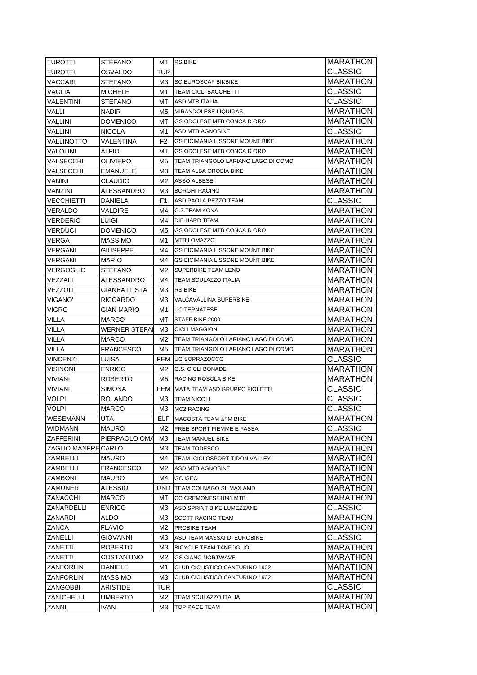| <b>TUROTTI</b>             | <b>STEFANO</b>    | MT             | <b>RS BIKE</b>                         | MARATHON             |
|----------------------------|-------------------|----------------|----------------------------------------|----------------------|
| TUROTTI                    | OSVALDO           | <b>TUR</b>     |                                        | CLASSIC              |
| VACCARI                    | STEFANO           | МЗ             | <b>SC EUROSCAF BIKBIKE</b>             | MARATHON             |
| VAGLIA                     | <b>MICHELE</b>    | M1             | <b>TEAM CICLI BACCHETTI</b>            | CLASSIC              |
| VALENTINI                  | STEFANO           | MT.            | <b>ASD MTB ITALIA</b>                  | CLASSIC              |
| VALLI                      | <b>NADIR</b>      | M5             | <b>MIRANDOLESE LIQUIGAS</b>            | MARATHON             |
| VALLINI                    | <b>DOMENICO</b>   | MT.            | GS ODOLESE MTB CONCA D ORO             | <b>MARATHON</b>      |
| <b>VALLINI</b>             | <b>NICOLA</b>     | M1             | ASD MTB AGNOSINE                       | <b>CLASSIC</b>       |
| <b>VALLINOTTO</b>          | VALENTINA         | F <sub>2</sub> | <b>GS BICIMANIA LISSONE MOUNT.BIKE</b> | <b>MARATHON</b>      |
| VALÒLINI                   | ALFIO             | MT.            | GS ODOLESE MTB CONCA D ORO             | <b>MARATHON</b>      |
| VALSECCHI                  | OLIVIERO          | M5             | TEAM TRIANGOLO LARIANO LAGO DI COMO    | <b>MARATHON</b>      |
| VALSECCHI                  | EMANUELE          | ΜЗ             | TEAM ALBA OROBIA BIKE                  | <b>MARATHON</b>      |
| VANINI                     | CLAUDIO           | M2             | ASSO ALBESE                            | <b>MARATHON</b>      |
| VANZINI                    | ALESSANDRO        | МЗ             | <b>BORGHI RACING</b>                   | <b>MARATHON</b>      |
| <b>VECCHIETTI</b>          | DANIELA           | F1             | ASD PAOLA PEZZO TEAM                   | <b>CLASSIC</b>       |
| <b>VERALDO</b>             | VALDIRE           | M4             | <b>G.Z.TEAM KONA</b>                   | <b>MARATHON</b>      |
| <b>VERDERIO</b>            | LUIGI             | M4             | DIE HARD TEAM                          | <b>MARATHON</b>      |
| <b>VERDUCI</b>             | DOMENICO          | M5             | GS ODOLESE MTB CONCA D ORO             | MARATHON             |
| VERGA                      | <b>MASSIMO</b>    | M1             | MTB LOMAZZO                            | MARATHON             |
| VERGANI                    | GIUSEPPE          | M4             | <b>GS BICIMANIA LISSONE MOUNT BIKE</b> | <b>MARATHON</b>      |
| <b>VERGANI</b>             | <b>MARIO</b>      | M4             | <b>GS BICIMANIA LISSONE MOUNT.BIKE</b> | <b>MARATHON</b>      |
| <b>VERGOGLIO</b>           | STEFANO           | M2             | SUPERBIKE TEAM LENO                    | <b>MARATHON</b>      |
| VEZZALI                    | ALESSANDRO        | M4             | TEAM SCULAZZO ITALIA                   | MARATHON             |
| VEZZOLI                    | GIANBATTISTA      | МЗ             | <b>RS BIKE</b>                         | <b>MARATHON</b>      |
| <b>VIGANO'</b>             | <b>RICCARDO</b>   | МЗ             | VALCAVALLINA SUPERBIKE                 | <b>MARATHON</b>      |
| <b>VIGRO</b>               | <b>GIAN MARIO</b> | M1             | <b>UC TERNATESE</b>                    | <b>MARATHON</b>      |
| <b>VILLA</b>               | MARCO             | МT             | STAFF BIKE 2000                        | <b>MARATHON</b>      |
| VILLA                      | WERNER STEFAI     | ΜЗ             | <b>CICLI MAGGIONI</b>                  | <b>MARATHON</b>      |
| VILLA                      | MARCO             | M2             | TEAM TRIANGOLO LARIANO LAGO DI COMO    | <b>MARATHON</b>      |
| VILLA                      | <b>FRANCESCO</b>  | M5             | TEAM TRIANGOLO LARIANO LAGO DI COMO    | <b>MARATHON</b>      |
| <b>VINCENZI</b>            | LUISA             |                | FEM JUC SOPRAZOCCO                     | CLASSIC              |
| <b>VISINONI</b>            | <b>ENRICO</b>     | M2             | G.S. CICLI BONADEI                     | <b>MARATHON</b>      |
| <b>VIVIANI</b>             | ROBERTO           | M5             | RACING ROSOLA BIKE                     | <b>MARATHON</b>      |
| <b>VIVIANI</b>             | <b>SIMONA</b>     |                | FEM MATA TEAM ASD GRUPPO FIOLETTI      | CLASSIC              |
| <b>VOLPI</b>               | ROLANDO           | ΜЗ             | <b>TEAM NICOLI</b>                     | CLASSIC              |
| VOLPI                      | MARCO             | MЗ             | <b>MC2 RACING</b>                      | <b>CLASSIC</b>       |
| WESEMANN                   | UTA               | ELF            | <b>MACOSTA TEAM &amp;FM BIKE</b>       | <b>MARATHON</b>      |
| WIDMANN                    | MAURO             | M2             | FREE SPORT FIEMME E FASSA              | CLASSIC              |
| <b>ZAFFERINI</b>           | PIERPAOLO OMA     | MЗ             | TEAM MANUEL BIKE                       | <b>MARATHON</b>      |
| <b>ZAGLIO MANFRE CARLO</b> |                   | ΜЗ             | <b>TEAM TODESCO</b>                    | MARATHON             |
| ZAMBELLI                   | <b>MAURO</b>      | M4             | TEAM CICLOSPORT TIDON VALLEY           | <b>MARATHON</b>      |
| ZAMBELLI                   |                   |                | ASD MTB AGNOSINE                       |                      |
|                            | <b>FRANCESCO</b>  | М2             |                                        | <b>MARATHON</b>      |
| ZAMBONI                    |                   |                |                                        |                      |
|                            | <b>MAURO</b>      | M4             | GC ISEO                                | <b>MARATHON</b>      |
| ZAMUNER                    | ALESSIO           | UND            | <b>TEAM COLNAGO SILMAX AMD</b>         | <b>MARATHON</b>      |
| ZANACCHI                   | MARCO             | МT             | CC CREMONESE1891 MTB                   | <b>MARATHON</b>      |
| ZANARDELLI                 | <b>ENRICO</b>     | ΜЗ             | ASD SPRINT BIKE LUMEZZANE              | <b>CLASSIC</b>       |
| ZANARDI                    | ALDO              | MЗ             | <b>SCOTT RACING TEAM</b>               | <b>MARATHON</b>      |
| ZANCA                      | <b>FLAVIO</b>     | M2             | PROBIKE TEAM                           | <b>MARATHON</b>      |
| ZANELLI                    | GIOVANNI          | MЗ             | ASD TEAM MASSAI DI EUROBIKE            | CLASSIC              |
| ZANETTI                    | ROBERTO           | MЗ             | <b>BICYCLE TEAM TANFOGLIO</b>          | <b>MARATHON</b>      |
| ZANETTI                    | COSTANTINO        | M2             | <b>GS CIANO NORTWAVE</b>               | MARATHON             |
| ZANFORLIN                  | DANIELE           | M1             | CLUB CICLISTICO CANTURINO 1902         | <b>MARATHON</b>      |
| ZANFORLIN                  | MASSIMO           | MЗ             | CLUB CICLISTICO CANTURINO 1902         | MARATHON             |
| ZANGOBBI                   | ARISTIDE          | TUR            |                                        | CLASSIC              |
| <b>ZANICHELLI</b><br>ZANNI | UMBERTO<br>IVAN   | M2<br>ΜЗ       | TEAM SCULAZZO ITALIA<br>TOP RACE TEAM  | MARATHON<br>MARATHON |